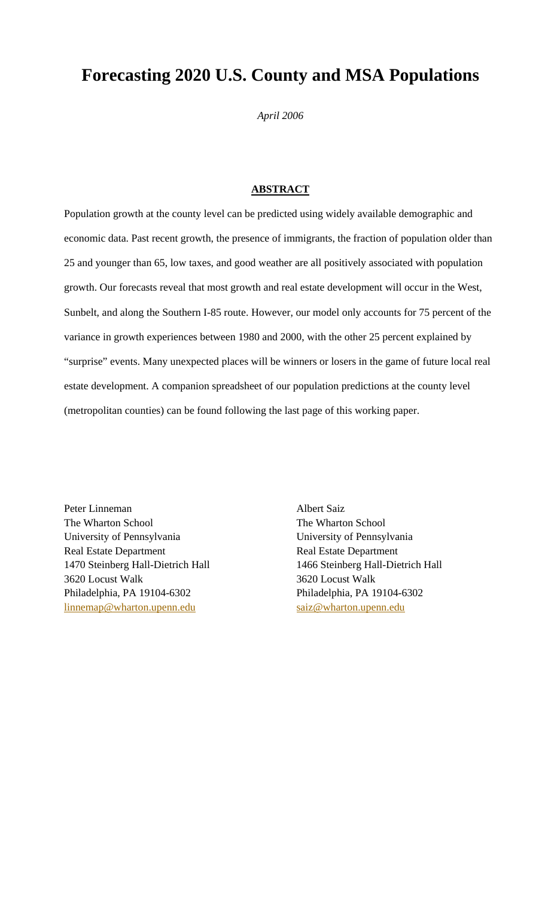# **Forecasting 2020 U.S. County and MSA Populations**

*April 2006* 

# **ABSTRACT**

Population growth at the county level can be predicted using widely available demographic and economic data. Past recent growth, the presence of immigrants, the fraction of population older than 25 and younger than 65, low taxes, and good weather are all positively associated with population growth. Our forecasts reveal that most growth and real estate development will occur in the West, Sunbelt, and along the Southern I-85 route. However, our model only accounts for 75 percent of the variance in growth experiences between 1980 and 2000, with the other 25 percent explained by "surprise" events. Many unexpected places will be winners or losers in the game of future local real estate development. A companion spreadsheet of our population predictions at the county level (metropolitan counties) can be found following the last page of this working paper.

Peter Linneman The Wharton School University of Pennsylvania Real Estate Department 1470 Steinberg Hall-Dietrich Hall 3620 Locust Walk Philadelphia, PA 19104-6302 linnemap@wharton.upenn.edu

Albert Saiz The Wharton School University of Pennsylvania Real Estate Department 1466 Steinberg Hall-Dietrich Hall 3620 Locust Walk Philadelphia, PA 19104-6302 saiz@wharton.upenn.edu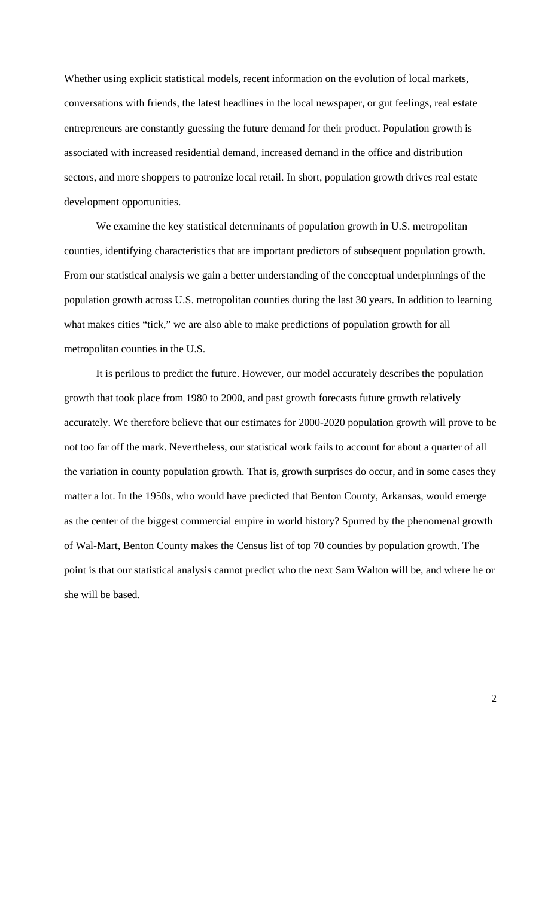Whether using explicit statistical models, recent information on the evolution of local markets, conversations with friends, the latest headlines in the local newspaper, or gut feelings, real estate entrepreneurs are constantly guessing the future demand for their product. Population growth is associated with increased residential demand, increased demand in the office and distribution sectors, and more shoppers to patronize local retail. In short, population growth drives real estate development opportunities.

We examine the key statistical determinants of population growth in U.S. metropolitan counties, identifying characteristics that are important predictors of subsequent population growth. From our statistical analysis we gain a better understanding of the conceptual underpinnings of the population growth across U.S. metropolitan counties during the last 30 years. In addition to learning what makes cities "tick," we are also able to make predictions of population growth for all metropolitan counties in the U.S.

It is perilous to predict the future. However, our model accurately describes the population growth that took place from 1980 to 2000, and past growth forecasts future growth relatively accurately. We therefore believe that our estimates for 2000-2020 population growth will prove to be not too far off the mark. Nevertheless, our statistical work fails to account for about a quarter of all the variation in county population growth. That is, growth surprises do occur, and in some cases they matter a lot. In the 1950s, who would have predicted that Benton County, Arkansas, would emerge as the center of the biggest commercial empire in world history? Spurred by the phenomenal growth of Wal-Mart, Benton County makes the Census list of top 70 counties by population growth. The point is that our statistical analysis cannot predict who the next Sam Walton will be, and where he or she will be based.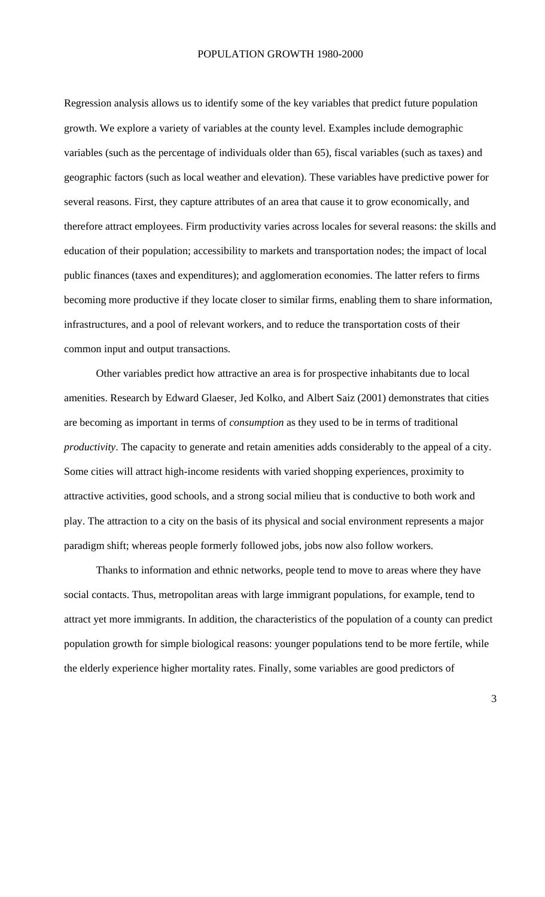## POPULATION GROWTH 1980-2000

Regression analysis allows us to identify some of the key variables that predict future population growth. We explore a variety of variables at the county level. Examples include demographic variables (such as the percentage of individuals older than 65), fiscal variables (such as taxes) and geographic factors (such as local weather and elevation). These variables have predictive power for several reasons. First, they capture attributes of an area that cause it to grow economically, and therefore attract employees. Firm productivity varies across locales for several reasons: the skills and education of their population; accessibility to markets and transportation nodes; the impact of local public finances (taxes and expenditures); and agglomeration economies. The latter refers to firms becoming more productive if they locate closer to similar firms, enabling them to share information, infrastructures, and a pool of relevant workers, and to reduce the transportation costs of their common input and output transactions.

Other variables predict how attractive an area is for prospective inhabitants due to local amenities. Research by Edward Glaeser, Jed Kolko, and Albert Saiz (2001) demonstrates that cities are becoming as important in terms of *consumption* as they used to be in terms of traditional *productivity*. The capacity to generate and retain amenities adds considerably to the appeal of a city. Some cities will attract high-income residents with varied shopping experiences, proximity to attractive activities, good schools, and a strong social milieu that is conductive to both work and play. The attraction to a city on the basis of its physical and social environment represents a major paradigm shift; whereas people formerly followed jobs, jobs now also follow workers.

Thanks to information and ethnic networks, people tend to move to areas where they have social contacts. Thus, metropolitan areas with large immigrant populations, for example, tend to attract yet more immigrants. In addition, the characteristics of the population of a county can predict population growth for simple biological reasons: younger populations tend to be more fertile, while the elderly experience higher mortality rates. Finally, some variables are good predictors of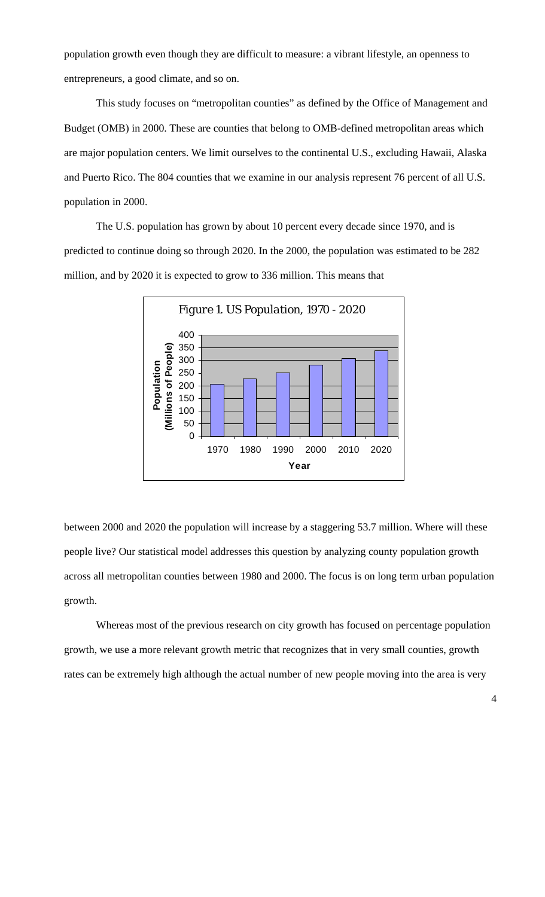population growth even though they are difficult to measure: a vibrant lifestyle, an openness to entrepreneurs, a good climate, and so on.

This study focuses on "metropolitan counties" as defined by the Office of Management and Budget (OMB) in 2000. These are counties that belong to OMB-defined metropolitan areas which are major population centers. We limit ourselves to the continental U.S., excluding Hawaii, Alaska and Puerto Rico. The 804 counties that we examine in our analysis represent 76 percent of all U.S. population in 2000.

The U.S. population has grown by about 10 percent every decade since 1970, and is predicted to continue doing so through 2020. In the 2000, the population was estimated to be 282 million, and by 2020 it is expected to grow to 336 million. This means that



between 2000 and 2020 the population will increase by a staggering 53.7 million. Where will these people live? Our statistical model addresses this question by analyzing county population growth across all metropolitan counties between 1980 and 2000. The focus is on long term urban population growth.

Whereas most of the previous research on city growth has focused on percentage population growth, we use a more relevant growth metric that recognizes that in very small counties, growth rates can be extremely high although the actual number of new people moving into the area is very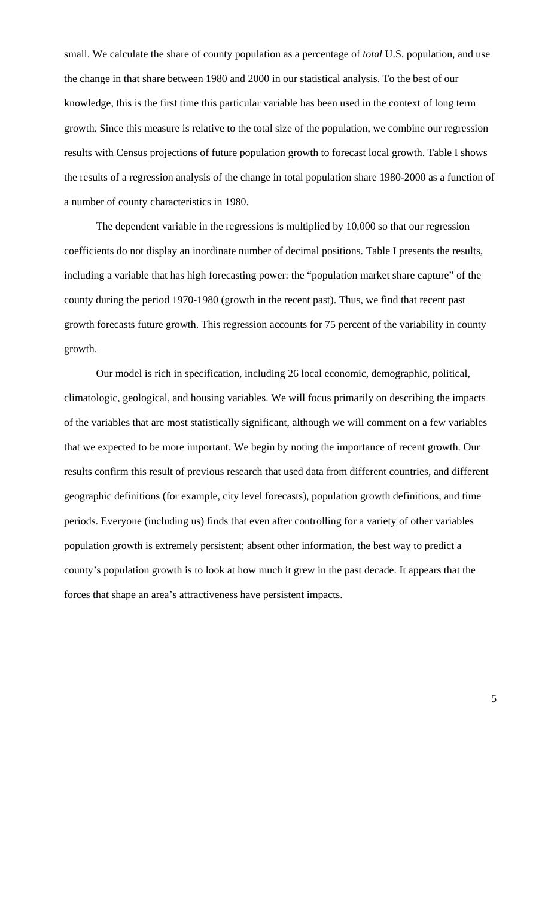small. We calculate the share of county population as a percentage of *total* U.S. population, and use the change in that share between 1980 and 2000 in our statistical analysis. To the best of our knowledge, this is the first time this particular variable has been used in the context of long term growth. Since this measure is relative to the total size of the population, we combine our regression results with Census projections of future population growth to forecast local growth. Table I shows the results of a regression analysis of the change in total population share 1980-2000 as a function of a number of county characteristics in 1980.

The dependent variable in the regressions is multiplied by 10,000 so that our regression coefficients do not display an inordinate number of decimal positions. Table I presents the results, including a variable that has high forecasting power: the "population market share capture" of the county during the period 1970-1980 (growth in the recent past). Thus, we find that recent past growth forecasts future growth. This regression accounts for 75 percent of the variability in county growth.

Our model is rich in specification, including 26 local economic, demographic, political, climatologic, geological, and housing variables. We will focus primarily on describing the impacts of the variables that are most statistically significant, although we will comment on a few variables that we expected to be more important. We begin by noting the importance of recent growth. Our results confirm this result of previous research that used data from different countries, and different geographic definitions (for example, city level forecasts), population growth definitions, and time periods. Everyone (including us) finds that even after controlling for a variety of other variables population growth is extremely persistent; absent other information, the best way to predict a county's population growth is to look at how much it grew in the past decade. It appears that the forces that shape an area's attractiveness have persistent impacts.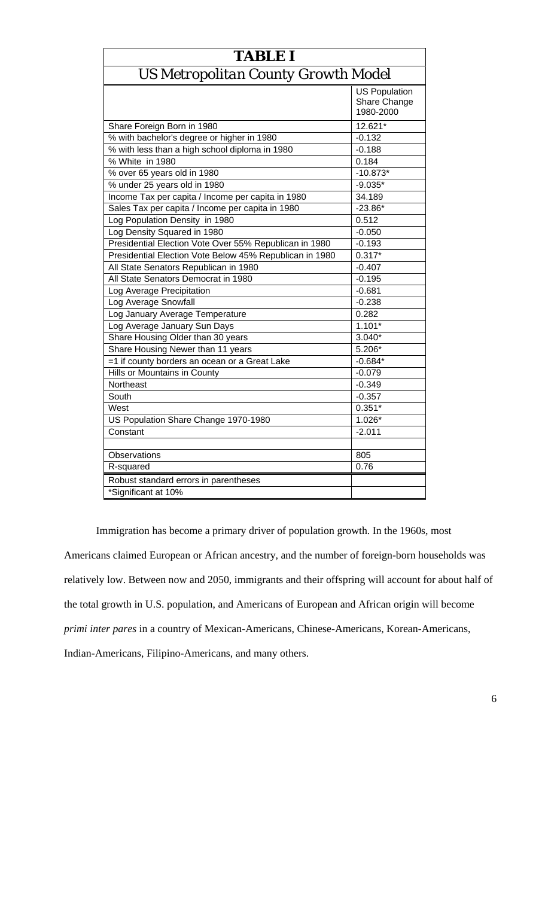| <b>TABLE I</b>                                          |                                                   |  |  |
|---------------------------------------------------------|---------------------------------------------------|--|--|
| US Metropolitan County Growth Model                     |                                                   |  |  |
|                                                         | <b>US Population</b><br>Share Change<br>1980-2000 |  |  |
| Share Foreign Born in 1980                              | 12.621*                                           |  |  |
| % with bachelor's degree or higher in 1980              | $-0.132$                                          |  |  |
| % with less than a high school diploma in 1980          | $-0.188$                                          |  |  |
| % White in 1980                                         | 0.184                                             |  |  |
| % over 65 years old in 1980                             | $-10.873*$                                        |  |  |
| % under 25 years old in 1980                            | $-9.035*$                                         |  |  |
| Income Tax per capita / Income per capita in 1980       | 34.189                                            |  |  |
| Sales Tax per capita / Income per capita in 1980        | $-23.86*$                                         |  |  |
| Log Population Density in 1980                          | 0.512                                             |  |  |
| Log Density Squared in 1980                             | $-0.050$                                          |  |  |
| Presidential Election Vote Over 55% Republican in 1980  | $-0.193$                                          |  |  |
| Presidential Election Vote Below 45% Republican in 1980 | $0.317*$                                          |  |  |
| All State Senators Republican in 1980                   | $-0.407$                                          |  |  |
| All State Senators Democrat in 1980                     | $-0.195$                                          |  |  |
| Log Average Precipitation                               | $-0.681$                                          |  |  |
| Log Average Snowfall                                    | $-0.238$                                          |  |  |
| Log January Average Temperature                         | 0.282                                             |  |  |
| Log Average January Sun Days                            | $1.101*$                                          |  |  |
| Share Housing Older than 30 years                       | $3.040*$                                          |  |  |
| Share Housing Newer than 11 years                       | 5.206*                                            |  |  |
| =1 if county borders an ocean or a Great Lake           | $-0.684*$                                         |  |  |
| Hills or Mountains in County                            | $-0.079$                                          |  |  |
| Northeast                                               | $-0.349$                                          |  |  |
| South                                                   | $-0.357$                                          |  |  |
| West                                                    | $0.351*$                                          |  |  |
| US Population Share Change 1970-1980                    | $1.026*$                                          |  |  |
| Constant                                                | $-2.011$                                          |  |  |
|                                                         |                                                   |  |  |
| Observations                                            | 805                                               |  |  |
| R-squared                                               | 0.76                                              |  |  |
| Robust standard errors in parentheses                   |                                                   |  |  |
| *Significant at 10%                                     |                                                   |  |  |

Immigration has become a primary driver of population growth. In the 1960s, most Americans claimed European or African ancestry, and the number of foreign-born households was relatively low. Between now and 2050, immigrants and their offspring will account for about half of the total growth in U.S. population, and Americans of European and African origin will become *primi inter pares* in a country of Mexican-Americans, Chinese-Americans, Korean-Americans, Indian-Americans, Filipino-Americans, and many others.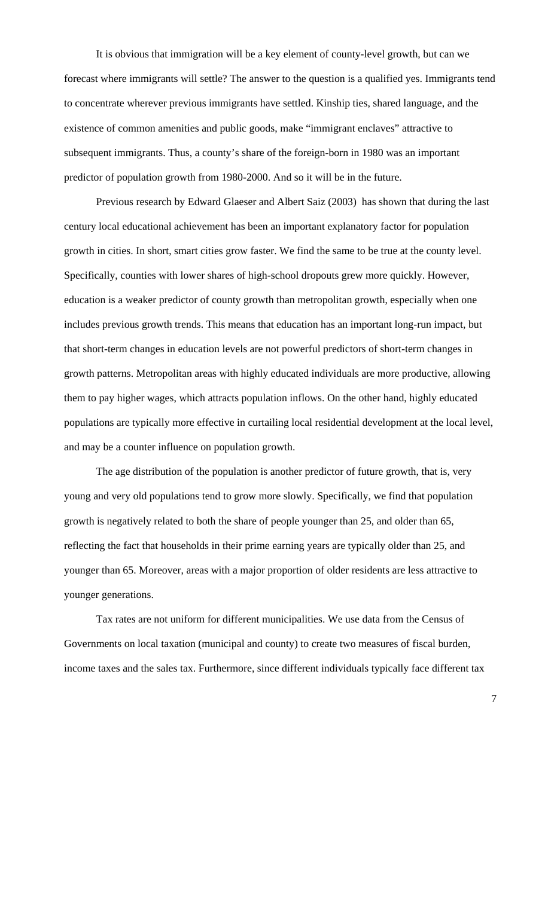It is obvious that immigration will be a key element of county-level growth, but can we forecast where immigrants will settle? The answer to the question is a qualified yes. Immigrants tend to concentrate wherever previous immigrants have settled. Kinship ties, shared language, and the existence of common amenities and public goods, make "immigrant enclaves" attractive to subsequent immigrants. Thus, a county's share of the foreign-born in 1980 was an important predictor of population growth from 1980-2000. And so it will be in the future.

 Previous research by Edward Glaeser and Albert Saiz (2003) has shown that during the last century local educational achievement has been an important explanatory factor for population growth in cities. In short, smart cities grow faster. We find the same to be true at the county level. Specifically, counties with lower shares of high-school dropouts grew more quickly. However, education is a weaker predictor of county growth than metropolitan growth, especially when one includes previous growth trends. This means that education has an important long-run impact, but that short-term changes in education levels are not powerful predictors of short-term changes in growth patterns. Metropolitan areas with highly educated individuals are more productive, allowing them to pay higher wages, which attracts population inflows. On the other hand, highly educated populations are typically more effective in curtailing local residential development at the local level, and may be a counter influence on population growth.

 The age distribution of the population is another predictor of future growth, that is, very young and very old populations tend to grow more slowly. Specifically, we find that population growth is negatively related to both the share of people younger than 25, and older than 65, reflecting the fact that households in their prime earning years are typically older than 25, and younger than 65. Moreover, areas with a major proportion of older residents are less attractive to younger generations.

 Tax rates are not uniform for different municipalities. We use data from the Census of Governments on local taxation (municipal and county) to create two measures of fiscal burden, income taxes and the sales tax. Furthermore, since different individuals typically face different tax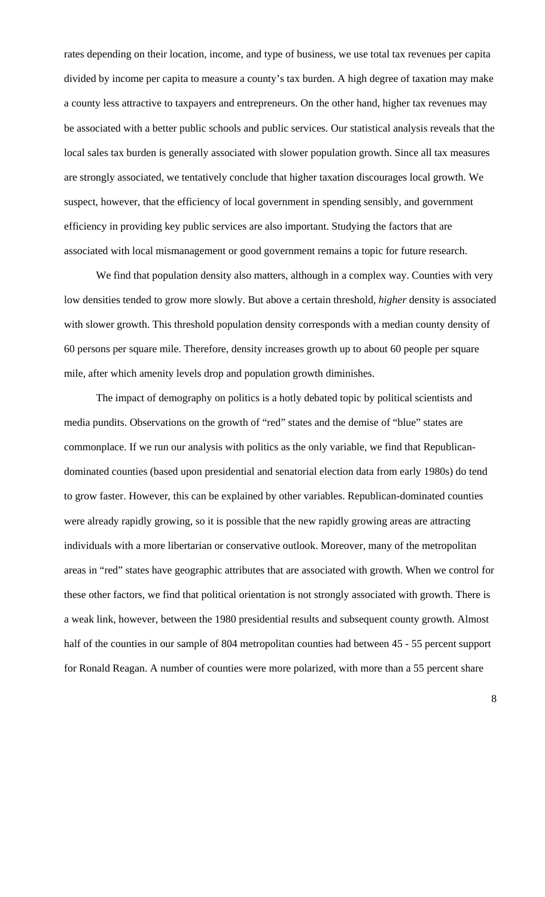rates depending on their location, income, and type of business, we use total tax revenues per capita divided by income per capita to measure a county's tax burden. A high degree of taxation may make a county less attractive to taxpayers and entrepreneurs. On the other hand, higher tax revenues may be associated with a better public schools and public services. Our statistical analysis reveals that the local sales tax burden is generally associated with slower population growth. Since all tax measures are strongly associated, we tentatively conclude that higher taxation discourages local growth. We suspect, however, that the efficiency of local government in spending sensibly, and government efficiency in providing key public services are also important. Studying the factors that are associated with local mismanagement or good government remains a topic for future research.

 We find that population density also matters, although in a complex way. Counties with very low densities tended to grow more slowly. But above a certain threshold, *higher* density is associated with slower growth. This threshold population density corresponds with a median county density of 60 persons per square mile. Therefore, density increases growth up to about 60 people per square mile, after which amenity levels drop and population growth diminishes.

 The impact of demography on politics is a hotly debated topic by political scientists and media pundits. Observations on the growth of "red" states and the demise of "blue" states are commonplace. If we run our analysis with politics as the only variable, we find that Republicandominated counties (based upon presidential and senatorial election data from early 1980s) do tend to grow faster. However, this can be explained by other variables. Republican-dominated counties were already rapidly growing, so it is possible that the new rapidly growing areas are attracting individuals with a more libertarian or conservative outlook. Moreover, many of the metropolitan areas in "red" states have geographic attributes that are associated with growth. When we control for these other factors, we find that political orientation is not strongly associated with growth. There is a weak link, however, between the 1980 presidential results and subsequent county growth. Almost half of the counties in our sample of 804 metropolitan counties had between 45 - 55 percent support for Ronald Reagan. A number of counties were more polarized, with more than a 55 percent share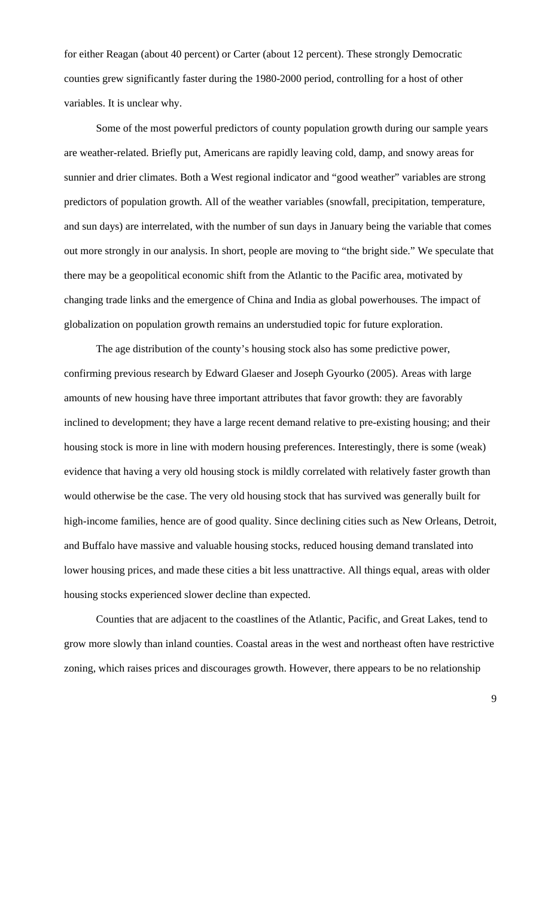for either Reagan (about 40 percent) or Carter (about 12 percent). These strongly Democratic counties grew significantly faster during the 1980-2000 period, controlling for a host of other variables. It is unclear why.

 Some of the most powerful predictors of county population growth during our sample years are weather-related. Briefly put, Americans are rapidly leaving cold, damp, and snowy areas for sunnier and drier climates. Both a West regional indicator and "good weather" variables are strong predictors of population growth. All of the weather variables (snowfall, precipitation, temperature, and sun days) are interrelated, with the number of sun days in January being the variable that comes out more strongly in our analysis. In short, people are moving to "the bright side." We speculate that there may be a geopolitical economic shift from the Atlantic to the Pacific area, motivated by changing trade links and the emergence of China and India as global powerhouses. The impact of globalization on population growth remains an understudied topic for future exploration.

 The age distribution of the county's housing stock also has some predictive power, confirming previous research by Edward Glaeser and Joseph Gyourko (2005). Areas with large amounts of new housing have three important attributes that favor growth: they are favorably inclined to development; they have a large recent demand relative to pre-existing housing; and their housing stock is more in line with modern housing preferences. Interestingly, there is some (weak) evidence that having a very old housing stock is mildly correlated with relatively faster growth than would otherwise be the case. The very old housing stock that has survived was generally built for high-income families, hence are of good quality. Since declining cities such as New Orleans, Detroit, and Buffalo have massive and valuable housing stocks, reduced housing demand translated into lower housing prices, and made these cities a bit less unattractive. All things equal, areas with older housing stocks experienced slower decline than expected.

Counties that are adjacent to the coastlines of the Atlantic, Pacific, and Great Lakes, tend to grow more slowly than inland counties. Coastal areas in the west and northeast often have restrictive zoning, which raises prices and discourages growth. However, there appears to be no relationship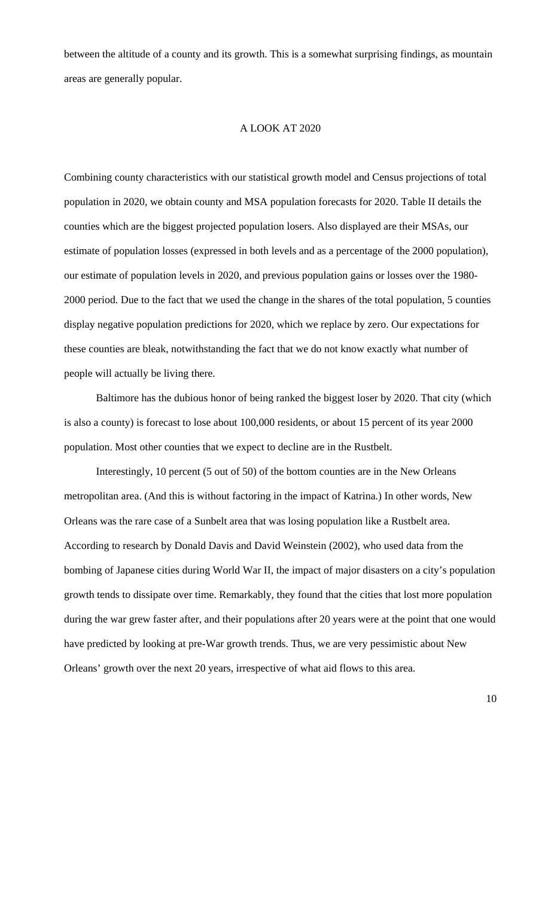between the altitude of a county and its growth. This is a somewhat surprising findings, as mountain areas are generally popular.

#### A LOOK AT 2020

Combining county characteristics with our statistical growth model and Census projections of total population in 2020, we obtain county and MSA population forecasts for 2020. Table II details the counties which are the biggest projected population losers. Also displayed are their MSAs, our estimate of population losses (expressed in both levels and as a percentage of the 2000 population), our estimate of population levels in 2020, and previous population gains or losses over the 1980- 2000 period. Due to the fact that we used the change in the shares of the total population, 5 counties display negative population predictions for 2020, which we replace by zero. Our expectations for these counties are bleak, notwithstanding the fact that we do not know exactly what number of people will actually be living there.

 Baltimore has the dubious honor of being ranked the biggest loser by 2020. That city (which is also a county) is forecast to lose about 100,000 residents, or about 15 percent of its year 2000 population. Most other counties that we expect to decline are in the Rustbelt.

Interestingly, 10 percent (5 out of 50) of the bottom counties are in the New Orleans metropolitan area. (And this is without factoring in the impact of Katrina.) In other words, New Orleans was the rare case of a Sunbelt area that was losing population like a Rustbelt area. According to research by Donald Davis and David Weinstein (2002), who used data from the bombing of Japanese cities during World War II, the impact of major disasters on a city's population growth tends to dissipate over time. Remarkably, they found that the cities that lost more population during the war grew faster after, and their populations after 20 years were at the point that one would have predicted by looking at pre-War growth trends. Thus, we are very pessimistic about New Orleans' growth over the next 20 years, irrespective of what aid flows to this area.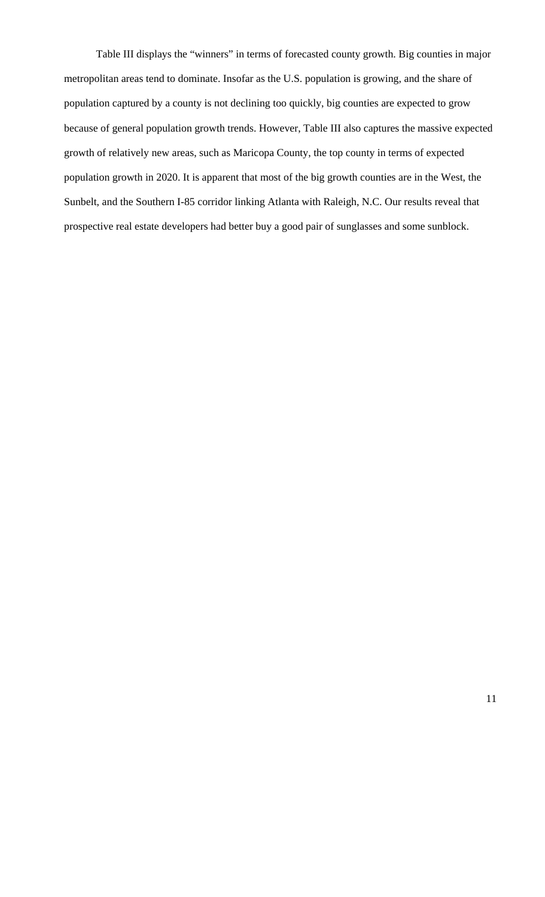Table III displays the "winners" in terms of forecasted county growth. Big counties in major metropolitan areas tend to dominate. Insofar as the U.S. population is growing, and the share of population captured by a county is not declining too quickly, big counties are expected to grow because of general population growth trends. However, Table III also captures the massive expected growth of relatively new areas, such as Maricopa County, the top county in terms of expected population growth in 2020. It is apparent that most of the big growth counties are in the West, the Sunbelt, and the Southern I-85 corridor linking Atlanta with Raleigh, N.C. Our results reveal that prospective real estate developers had better buy a good pair of sunglasses and some sunblock.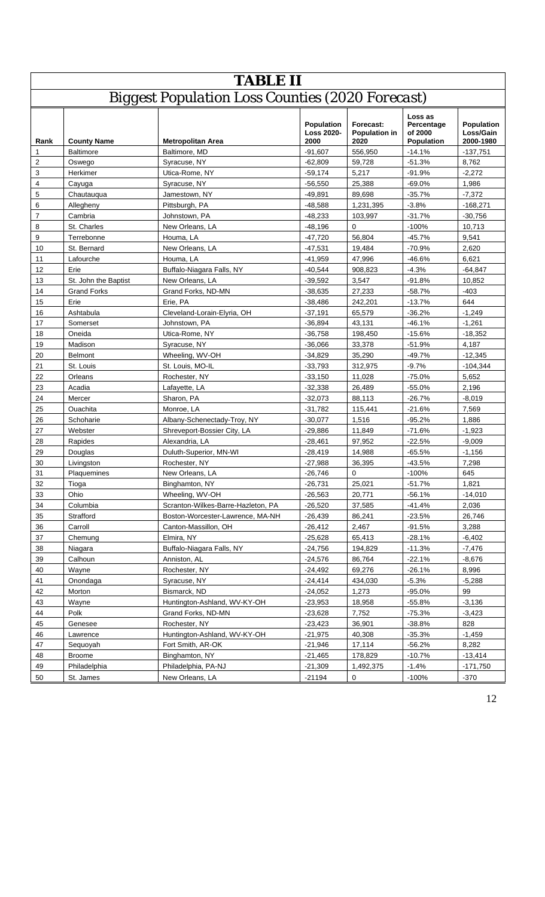|                | <b>TABLE II</b>                                         |                                    |                                         |                                           |                                                       |                                      |  |
|----------------|---------------------------------------------------------|------------------------------------|-----------------------------------------|-------------------------------------------|-------------------------------------------------------|--------------------------------------|--|
|                | <b>Biggest Population Loss Counties (2020 Forecast)</b> |                                    |                                         |                                           |                                                       |                                      |  |
| Rank           | <b>County Name</b>                                      | <b>Metropolitan Area</b>           | Population<br><b>Loss 2020-</b><br>2000 | Forecast:<br><b>Population in</b><br>2020 | Loss as<br>Percentage<br>of 2000<br><b>Population</b> | Population<br>Loss/Gain<br>2000-1980 |  |
| 1              | <b>Baltimore</b>                                        | Baltimore, MD                      | $-91,607$                               | 556,950                                   | $-14.1%$                                              | $-137,751$                           |  |
| $\overline{c}$ | Oswego                                                  | Syracuse, NY                       | $-62,809$                               | 59,728                                    | $-51.3%$                                              | 8,762                                |  |
| 3              | Herkimer                                                | Utica-Rome, NY                     | $-59,174$                               | 5.217                                     | $-91.9%$                                              | $-2,272$                             |  |
| 4              | Cayuga                                                  | Syracuse, NY                       | $-56,550$                               | 25,388                                    | $-69.0%$                                              | 1,986                                |  |
| 5              | Chautauqua                                              | Jamestown, NY                      | $-49,891$                               | 89,698                                    | $-35.7%$                                              | $-7,372$                             |  |
| 6              | Allegheny                                               | Pittsburgh, PA                     | $-48,588$                               | 1,231,395                                 | $-3.8%$                                               | $-168,271$                           |  |
| 7              | Cambria                                                 | Johnstown, PA                      | $-48,233$                               | 103,997                                   | $-31.7%$                                              | $-30,756$                            |  |
| 8              | St. Charles                                             | New Orleans, LA                    | $-48,196$                               | 0                                         | $-100%$                                               | 10,713                               |  |
| 9              | Terrebonne                                              | Houma, LA                          | $-47,720$                               | 56,804                                    | $-45.7%$                                              | 9,541                                |  |
| 10             | St. Bernard                                             | New Orleans, LA                    | $-47.531$                               | 19,484                                    | $-70.9%$                                              | 2,620                                |  |
| 11             | Lafourche                                               | Houma, LA                          | $-41,959$                               | 47,996                                    | -46.6%                                                | 6,621                                |  |
| 12             | Erie                                                    | Buffalo-Niagara Falls, NY          | $-40,544$                               | 908,823                                   | $-4.3%$                                               | $-64.847$                            |  |
| 13             | St. John the Baptist                                    | New Orleans, LA                    | $-39,592$                               | 3,547                                     | $-91.8%$                                              | 10,852                               |  |
| 14             | <b>Grand Forks</b>                                      | Grand Forks, ND-MN                 | $-38,635$                               | 27,233                                    | $-58.7%$                                              | $-403$                               |  |
| 15             | Erie                                                    | Erie, PA                           | $-38,486$                               | 242,201                                   | $-13.7%$                                              | 644                                  |  |
| 16             | Ashtabula                                               | Cleveland-Lorain-Elyria, OH        | $-37,191$                               | 65,579                                    | $-36.2%$                                              | $-1.249$                             |  |
| 17             | Somerset                                                | Johnstown, PA                      | $-36,894$                               | 43,131                                    | $-46.1%$                                              | $-1,261$                             |  |
| 18             | Oneida                                                  | Utica-Rome, NY                     | $-36,758$                               | 198,450                                   | $-15.6%$                                              | $-18,352$                            |  |
| 19             | Madison                                                 | Syracuse, NY                       | $-36,066$                               | 33,378                                    | $-51.9%$                                              | 4,187                                |  |
| 20             | <b>Belmont</b>                                          | Wheeling, WV-OH                    | $-34,829$                               | 35,290                                    | $-49.7%$                                              | $-12,345$                            |  |
| 21             | St. Louis                                               | St. Louis, MO-IL                   | $-33,793$                               | 312,975                                   | $-9.7%$                                               | $-104,344$                           |  |
| 22             | Orleans                                                 | Rochester, NY                      | $-33,150$                               | 11,028                                    | $-75.0%$                                              | 5,652                                |  |
| 23             | Acadia                                                  | Lafayette, LA                      | $-32,338$                               | 26,489                                    | $-55.0%$                                              | 2,196                                |  |
| 24             | Mercer                                                  | Sharon, PA                         | $-32,073$                               | 88,113                                    | $-26.7%$                                              | $-8,019$                             |  |
| 25             | Ouachita                                                | Monroe, LA                         | $-31,782$                               | 115,441                                   | $-21.6%$                                              | 7,569                                |  |
| 26             | Schoharie                                               | Albany-Schenectady-Troy, NY        | $-30,077$                               | 1,516                                     | $-95.2%$                                              | 1,886                                |  |
| 27             | Webster                                                 | Shreveport-Bossier City, LA        | $-29,886$                               | 11,849                                    | $-71.6%$                                              | $-1,923$                             |  |
| 28             | Rapides                                                 | Alexandria, LA                     | $-28,461$                               | 97,952                                    | $-22.5%$                                              | $-9.009$                             |  |
| 29             | Douglas                                                 | Duluth-Superior, MN-WI             | $-28,419$                               | 14,988                                    | $-65.5%$                                              | $-1,156$                             |  |
| 30             | Livingston                                              | Rochester, NY                      | $-27,988$                               | 36,395                                    | $-43.5%$                                              | 7,298                                |  |
| 31             | Plaquemines                                             | New Orleans, LA                    | $-26,746$                               | 0                                         | $-100%$                                               | 645                                  |  |
| 32             | Tioga                                                   | Binghamton, NY                     | $-26,731$                               | 25,021                                    | $-51.7%$                                              | 1,821                                |  |
| 33             | Ohio                                                    | Wheeling, WV-OH                    | $-26,563$                               | 20,771                                    | $-56.1%$                                              | $-14,010$                            |  |
| 34             | Columbia                                                | Scranton-Wilkes-Barre-Hazleton, PA | $-26,520$                               | 37,585                                    | $-41.4%$                                              | 2,036                                |  |
| 35             | Strafford                                               | Boston-Worcester-Lawrence, MA-NH   | $-26,439$                               | 86,241                                    | $-23.5%$                                              | 26,746                               |  |
| 36             | Carroll                                                 | Canton-Massillon, OH               | $-26,412$                               | 2,467                                     | $-91.5%$                                              | 3,288                                |  |
| 37             | Chemung                                                 | Elmira, NY                         | $-25,628$                               | 65,413                                    | $-28.1%$                                              | $-6,402$                             |  |
| 38             | Niagara                                                 | Buffalo-Niagara Falls, NY          | $-24,756$                               | 194,829                                   | $-11.3%$                                              | $-7,476$                             |  |
| 39             | Calhoun                                                 | Anniston, AL                       | $-24,576$                               | 86,764                                    | $-22.1%$                                              | $-8,676$                             |  |
| 40             | Wayne                                                   | Rochester, NY                      | $-24,492$                               | 69,276                                    | $-26.1%$                                              | 8,996                                |  |
| 41             | Onondaga                                                | Syracuse, NY                       | $-24,414$                               | 434,030                                   | $-5.3%$                                               | $-5,288$                             |  |
| 42             | Morton                                                  | Bismarck, ND                       | $-24,052$                               | 1,273                                     | $-95.0%$                                              | 99                                   |  |
| 43             | Wayne                                                   | Huntington-Ashland, WV-KY-OH       | $-23,953$                               | 18,958                                    | $-55.8%$                                              | $-3,136$                             |  |
| 44             | Polk                                                    | Grand Forks, ND-MN                 | $-23,628$                               | 7,752                                     | $-75.3%$                                              | $-3,423$                             |  |
| 45             | Genesee                                                 | Rochester, NY                      | $-23,423$                               | 36,901                                    | $-38.8%$                                              | 828                                  |  |
| 46             | Lawrence                                                | Huntington-Ashland, WV-KY-OH       | $-21,975$                               | 40,308                                    | $-35.3%$                                              | $-1,459$                             |  |
| 47             | Sequoyah                                                | Fort Smith, AR-OK                  | $-21,946$                               | 17,114                                    | $-56.2%$                                              | 8,282                                |  |
| 48             | <b>Broome</b>                                           | Binghamton, NY                     | $-21,465$                               | 178,829                                   | $-10.7%$                                              | $-13,414$                            |  |
| 49             | Philadelphia                                            | Philadelphia, PA-NJ                | $-21,309$                               | 1,492,375                                 | $-1.4%$                                               | $-171,750$                           |  |
| 50             | St. James                                               | New Orleans, LA                    | $-21194$                                | 0                                         | $-100%$                                               | $-370$                               |  |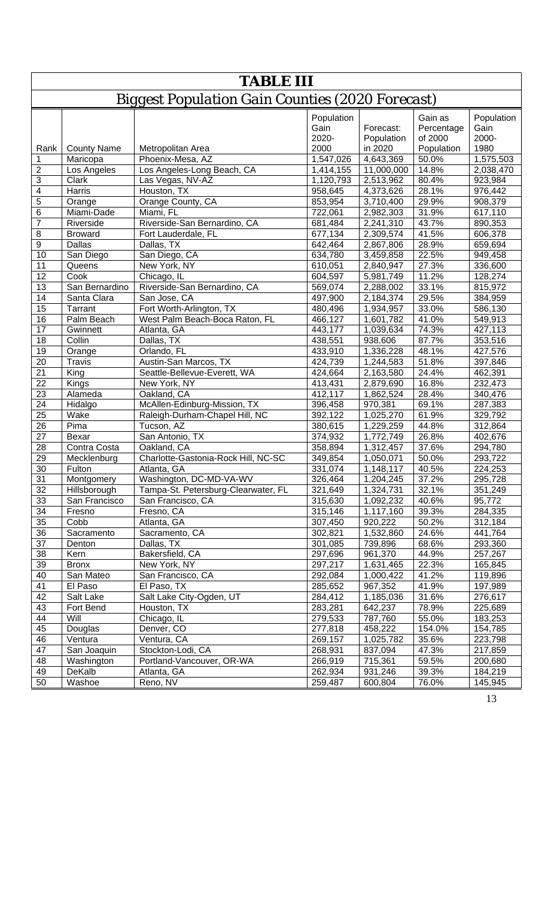|                 | <b>TABLE III</b>        |                                                         |                                     |                                    |                                                |                                     |
|-----------------|-------------------------|---------------------------------------------------------|-------------------------------------|------------------------------------|------------------------------------------------|-------------------------------------|
|                 |                         | <b>Biggest Population Gain Counties (2020 Forecast)</b> |                                     |                                    |                                                |                                     |
|                 | <b>County Name</b>      | Metropolitan Area                                       | Population<br>Gain<br>2020-<br>2000 | Forecast:<br>Population<br>in 2020 | Gain as<br>Percentage<br>of 2000<br>Population | Population<br>Gain<br>2000-<br>1980 |
| Rank<br>1       |                         | Phoenix-Mesa, AZ                                        |                                     |                                    | 50.0%                                          |                                     |
| $\overline{2}$  | Maricopa<br>Los Angeles | Los Angeles-Long Beach, CA                              | 1,547,026<br>1,414,155              | 4,643,369<br>11,000,000            | 14.8%                                          | 1,575,503<br>2,038,470              |
| $\overline{3}$  | Clark                   | Las Vegas, NV-AZ                                        | 1,120,793                           | 2,513,962                          | 80.4%                                          | 923,984                             |
| $\overline{4}$  | Harris                  | Houston, TX                                             | 958,645                             | 4,373,626                          | 28.1%                                          | 976,442                             |
| $\overline{5}$  | Orange                  | Orange County, CA                                       | 853,954                             | 3,710,400                          | 29.9%                                          | 908,379                             |
| $\overline{6}$  | Miami-Dade              | Miami, FL                                               | 722,061                             | 2,982,303                          | 31.9%                                          | 617,110                             |
| $\overline{7}$  | Riverside               | Riverside-San Bernardino, CA                            |                                     | 2,241,310                          | 43.7%                                          | 890,353                             |
| $\overline{8}$  | <b>Broward</b>          | Fort Lauderdale, FL                                     | 681,484                             |                                    | 41.5%                                          |                                     |
| $\overline{9}$  | Dallas                  | Dallas, TX                                              | 677,134                             | 2,309,574                          | 28.9%                                          | 606,378                             |
| 10              |                         | San Diego, CA                                           | 642,464                             | 2,867,806                          | 22.5%                                          | 659,694                             |
|                 | San Diego               | New York, NY                                            | 634,780                             | 3,459,858                          | 27.3%                                          | 949,458                             |
| 11              | Queens<br>Cook          |                                                         | 610,051                             | 2,840,947                          |                                                | 336,600                             |
| 12              | San Bernardino          | Chicago, IL                                             | 604,597                             | 5,981,749                          | 11.2%                                          | 128,274                             |
| 13              |                         | Riverside-San Bernardino, CA                            | 569,074                             | 2,288,002                          | 33.1%                                          | 815,972                             |
| 14              | Santa Clara             | San Jose, CA                                            | 497,900                             | 2,184,374                          | 29.5%                                          | 384,959                             |
| 15              | Tarrant                 | Fort Worth-Arlington, TX                                | 480,496                             | 1,934,957                          | 33.0%                                          | 586,130                             |
| 16              | Palm Beach              | West Palm Beach-Boca Raton, FL                          | 466,127                             | 1,601,782                          | 41.0%                                          | 549,913                             |
| 17              | Gwinnett                | Atlanta, GA                                             | 443,177                             | 1,039,634                          | 74.3%                                          | 427,113                             |
| 18              | Collin                  | Dallas, TX                                              | 438,551                             | 938,606                            | 87.7%                                          | 353,516                             |
| 19              | Orange                  | Orlando, FL                                             | 433,910                             | 1,336,228                          | 48.1%                                          | 427,576                             |
| 20              | <b>Travis</b>           | Austin-San Marcos, TX                                   | 424,739                             | 1,244,583                          | 51.8%                                          | 397,846                             |
| $\overline{21}$ | King                    | Seattle-Bellevue-Everett, WA                            | 424,664                             | 2,163,580                          | 24.4%                                          | 462,391                             |
| $\overline{22}$ | Kings                   | New York, NY                                            | 413,431                             | 2,879,690                          | 16.8%                                          | 232,473                             |
| 23              | Alameda                 | Oakland, CA                                             | 412,117                             | 1,862,524                          | 28.4%                                          | 340,476                             |
| 24              | Hidalgo                 | McAllen-Edinburg-Mission, TX                            | 396,458                             | 970,381                            | 69.1%                                          | 287,383                             |
| 25              | Wake                    | Raleigh-Durham-Chapel Hill, NC                          | 392,122                             | 1,025,270                          | 61.9%                                          | 329,792                             |
| 26              | Pima                    | Tucson, AZ                                              | 380,615                             | 1,229,259                          | 44.8%                                          | 312,864                             |
| 27              | Bexar                   | San Antonio, TX                                         | 374,932                             | 1,772,749                          | 26.8%                                          | 402,676                             |
| 28              | Contra Costa            | Oakland, CA                                             | 358,894                             | 1,312,457                          | 37.6%                                          | 294,780                             |
| 29              | Mecklenburg             | Charlotte-Gastonia-Rock Hill, NC-SC                     | 349,854                             | 1,050,071                          | 50.0%                                          | 293,722                             |
| 30              | Fulton                  | Atlanta, GA                                             | 331,074                             | 1,148,117                          | 40.5%                                          | 224,253                             |
| 31              | Montgomery              | Washington, DC-MD-VA-WV                                 | 326,464                             | 1,204,245                          | 37.2%                                          | 295,728                             |
| 32              | Hillsborough            | Tampa-St. Petersburg-Clearwater, FL                     | 321,649                             | 1,324,731                          | 32.1%                                          | 351,249                             |
| 33              | San Francisco           | San Francisco, CA                                       | 315,630                             | 1,092,232                          | 40.6%                                          | 95,772                              |
| 34              | Fresno                  | Fresno, CA                                              | 315,146                             | 1,117,160                          | 39.3%                                          | 284,335                             |
| 35              | Cobb                    | Atlanta, GA                                             | 307,450                             | 920,222                            | 50.2%                                          | 312,184                             |
| 36              | Sacramento              | Sacramento, CA                                          | 302,821                             | 1,532,860                          | 24.6%                                          | 441,764                             |
| 37              | Denton                  | Dallas, TX                                              | 301,085                             | 739,896                            | 68.6%                                          | 293,360                             |
| 38              | Kern                    | Bakersfield, CA                                         | 297,696                             | 961,370                            | 44.9%                                          | 257,267                             |
| 39              | <b>Bronx</b>            | New York, NY                                            | 297,217                             | 1,631,465                          | 22.3%                                          | 165,845                             |
| 40              | San Mateo               | San Francisco, CA                                       | 292,084                             | 1,000,422                          | 41.2%                                          | 119,896                             |
| 41              | El Paso                 | El Paso, TX                                             | 285,652                             | 967,352                            | 41.9%                                          | 197,989                             |
| 42              | Salt Lake               | Salt Lake City-Ogden, UT                                | 284,412                             | 1,185,036                          | 31.6%                                          | 276,617                             |
| 43              | Fort Bend               | Houston, TX                                             | 283,281                             | 642,237                            | 78.9%                                          | 225,689                             |
| 44              | Will                    | Chicago, IL                                             | 279,533                             | 787,760                            | 55.0%                                          | 183,253                             |
| 45              | Douglas                 | Denver, CO                                              | 277,818                             | 458,222                            | 154.0%                                         | 154,785                             |
| 46              | Ventura                 | Ventura, CA                                             | 269,157                             | 1,025,782                          | 35.6%                                          | 223,798                             |
| 47              | San Joaquin             | Stockton-Lodi, CA                                       | 268,931                             | 837,094                            | 47.3%                                          | 217,859                             |
| 48              | Washington              | Portland-Vancouver, OR-WA                               | 266,919                             | 715,361                            | 59.5%                                          | 200,680                             |
| 49              | DeKalb                  | Atlanta, GA                                             | 262,934                             | 931,246                            | 39.3%                                          | 184,219                             |
| 50              | Washoe                  | Reno, NV                                                | 259,487                             | 600,804                            | 76.0%                                          | 145,945                             |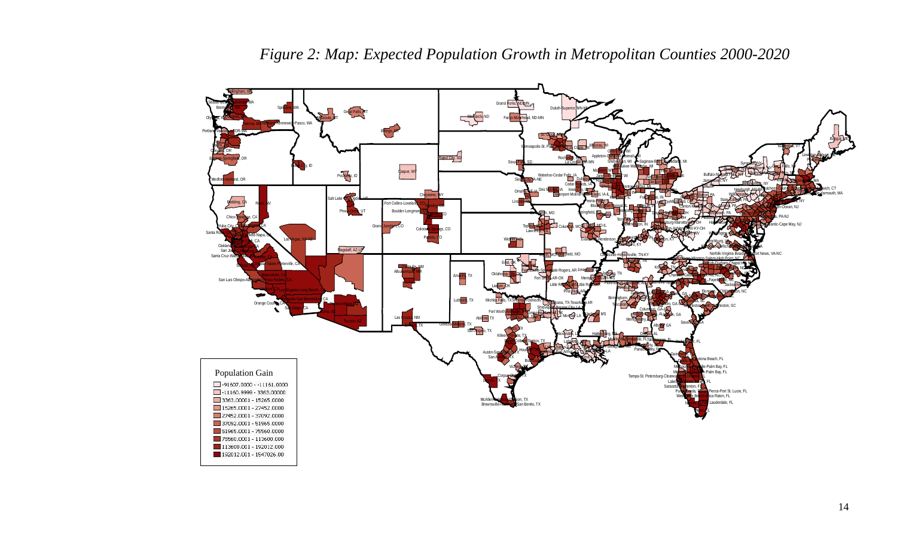

*Figure 2: Map: Expected Population Growth in Metropolitan Counties 2000-2020*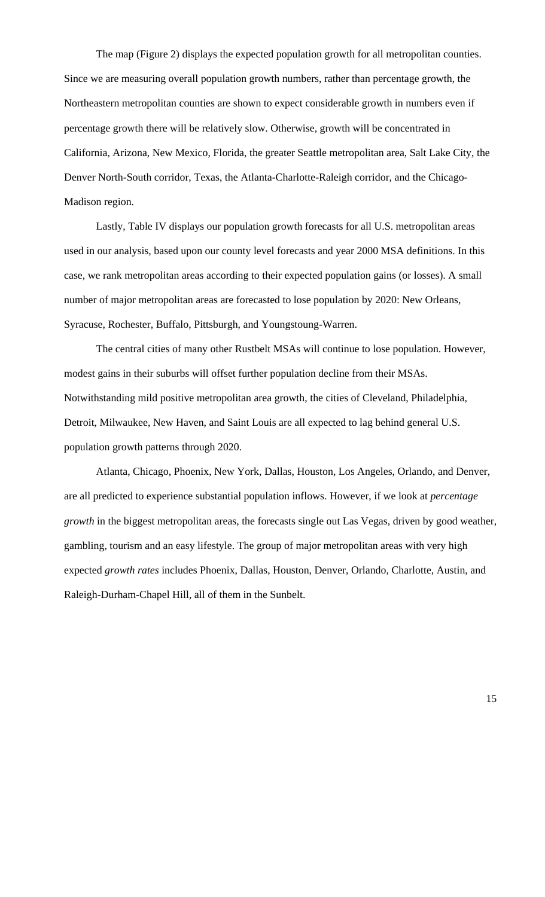The map (Figure 2) displays the expected population growth for all metropolitan counties. Since we are measuring overall population growth numbers, rather than percentage growth, the Northeastern metropolitan counties are shown to expect considerable growth in numbers even if percentage growth there will be relatively slow. Otherwise, growth will be concentrated in California, Arizona, New Mexico, Florida, the greater Seattle metropolitan area, Salt Lake City, the Denver North-South corridor, Texas, the Atlanta-Charlotte-Raleigh corridor, and the Chicago-Madison region.

Lastly, Table IV displays our population growth forecasts for all U.S. metropolitan areas used in our analysis, based upon our county level forecasts and year 2000 MSA definitions. In this case, we rank metropolitan areas according to their expected population gains (or losses). A small number of major metropolitan areas are forecasted to lose population by 2020: New Orleans, Syracuse, Rochester, Buffalo, Pittsburgh, and Youngstoung-Warren.

The central cities of many other Rustbelt MSAs will continue to lose population. However, modest gains in their suburbs will offset further population decline from their MSAs. Notwithstanding mild positive metropolitan area growth, the cities of Cleveland, Philadelphia, Detroit, Milwaukee, New Haven, and Saint Louis are all expected to lag behind general U.S. population growth patterns through 2020.

Atlanta, Chicago, Phoenix, New York, Dallas, Houston, Los Angeles, Orlando, and Denver, are all predicted to experience substantial population inflows. However, if we look at *percentage growth* in the biggest metropolitan areas, the forecasts single out Las Vegas, driven by good weather, gambling, tourism and an easy lifestyle. The group of major metropolitan areas with very high expected *growth rates* includes Phoenix, Dallas, Houston, Denver, Orlando, Charlotte, Austin, and Raleigh-Durham-Chapel Hill, all of them in the Sunbelt.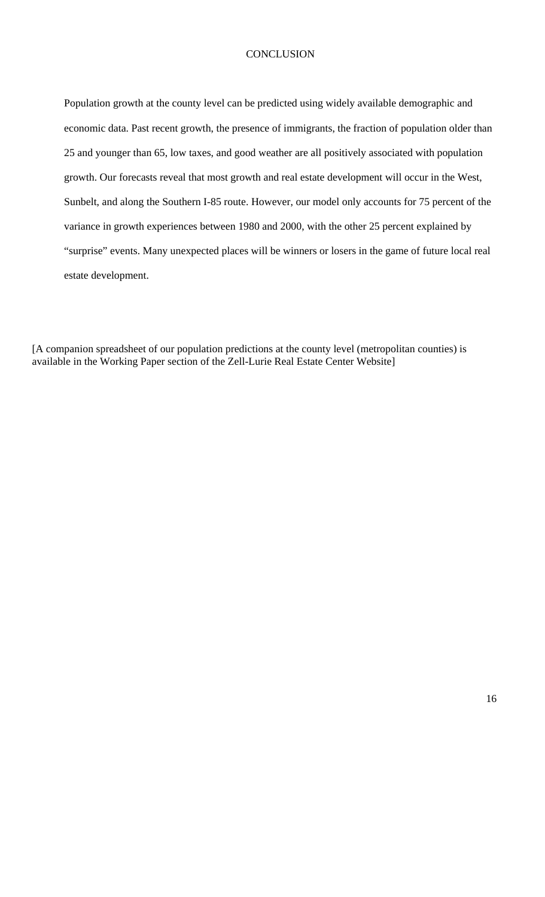## **CONCLUSION**

Population growth at the county level can be predicted using widely available demographic and economic data. Past recent growth, the presence of immigrants, the fraction of population older than 25 and younger than 65, low taxes, and good weather are all positively associated with population growth. Our forecasts reveal that most growth and real estate development will occur in the West, Sunbelt, and along the Southern I-85 route. However, our model only accounts for 75 percent of the variance in growth experiences between 1980 and 2000, with the other 25 percent explained by "surprise" events. Many unexpected places will be winners or losers in the game of future local real estate development.

[A companion spreadsheet of our population predictions at the county level (metropolitan counties) is available in the Working Paper section of the Zell-Lurie Real Estate Center Website]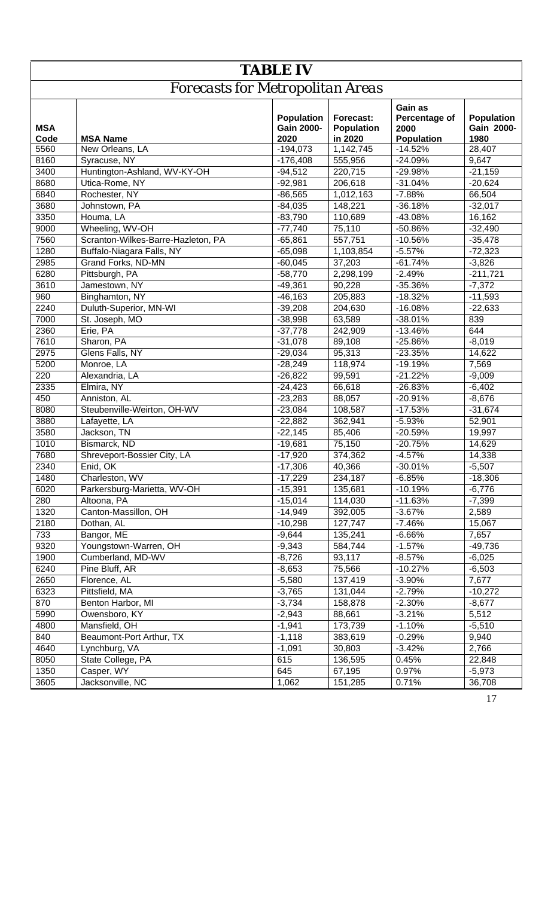|                    | <b>TABLE IV</b>                         |                                                |                                           |                                                       |                                         |  |  |  |  |
|--------------------|-----------------------------------------|------------------------------------------------|-------------------------------------------|-------------------------------------------------------|-----------------------------------------|--|--|--|--|
|                    | <b>Forecasts for Metropolitan Areas</b> |                                                |                                           |                                                       |                                         |  |  |  |  |
| <b>MSA</b><br>Code | <b>MSA Name</b>                         | <b>Population</b><br><b>Gain 2000-</b><br>2020 | Forecast:<br><b>Population</b><br>in 2020 | Gain as<br>Percentage of<br>2000<br><b>Population</b> | <b>Population</b><br>Gain 2000-<br>1980 |  |  |  |  |
| 5560               | New Orleans, LA                         | $-194,073$                                     | 1,142,745                                 | $-14.52%$                                             | 28,407                                  |  |  |  |  |
| 8160               | Syracuse, NY                            | $-176,408$                                     | 555,956                                   | $-24.09%$                                             | 9,647                                   |  |  |  |  |
| 3400               | Huntington-Ashland, WV-KY-OH            | $-94,512$                                      | 220,715                                   | -29.98%                                               | $-21,159$                               |  |  |  |  |
| 8680               | Utica-Rome, NY                          | $-92,981$                                      | 206,618                                   | $-31.04%$                                             | $-20,624$                               |  |  |  |  |
| 6840               | Rochester, NY                           | $-86,565$                                      | 1,012,163                                 | $-7.88%$                                              | 66,504                                  |  |  |  |  |
| 3680               | Johnstown, PA                           | $-84,035$                                      | 148,221                                   | $-36.18%$                                             | $-32,017$                               |  |  |  |  |
| 3350               | Houma, LA                               | $-83,790$                                      | 110,689                                   | $-43.08%$                                             | 16,162                                  |  |  |  |  |
| 9000               | Wheeling, WV-OH                         | $-77,740$                                      | 75,110                                    | -50.86%                                               | $-32,490$                               |  |  |  |  |
| 7560               | Scranton-Wilkes-Barre-Hazleton, PA      | $-65,861$                                      | 557,751                                   | $-10.56%$                                             | $-35,478$                               |  |  |  |  |
| 1280               | Buffalo-Niagara Falls, NY               | $-65,098$                                      | 1,103,854                                 | $-5.57%$                                              | $-72,323$                               |  |  |  |  |
| 2985               | Grand Forks, ND-MN                      | $-60,045$                                      | 37,203                                    | $-61.74%$                                             | $-3,826$                                |  |  |  |  |
| 6280               | Pittsburgh, PA                          | $-58,770$                                      | 2,298,199                                 | $-2.49%$                                              | $-211,721$                              |  |  |  |  |
| 3610               | Jamestown, NY                           | $-49,361$                                      | 90,228                                    | $-35.36%$                                             | $-7,372$                                |  |  |  |  |
| 960                | Binghamton, NY                          | $-46, 163$                                     | 205,883                                   | $-18.32%$                                             | $-11,593$                               |  |  |  |  |
| 2240               | Duluth-Superior, MN-WI                  | $-39,208$                                      | 204,630                                   | $-16.08%$                                             | $-22,633$                               |  |  |  |  |
| 7000               | St. Joseph, MO                          | $-38,998$                                      | 63,589                                    | $-38.01%$                                             | 839                                     |  |  |  |  |
| 2360               | Erie, PA                                | $-37,778$                                      | 242,909                                   | $-13.46%$                                             | 644                                     |  |  |  |  |
| 7610               | Sharon, PA                              | $-31,078$                                      | 89,108                                    | $-25.86%$                                             | $-8,019$                                |  |  |  |  |
| 2975               | Glens Falls, NY                         | $-29,034$                                      | 95,313                                    | $-23.35%$                                             | 14,622                                  |  |  |  |  |
| 5200               | Monroe, LA                              | $-28,249$                                      | 118,974                                   | $-19.19%$                                             | 7,569                                   |  |  |  |  |
| 220                | Alexandria, LA                          | $-26,822$                                      | 99,591                                    | $-21.22%$                                             | $-9,009$                                |  |  |  |  |
| 2335               | Elmira, NY                              | $-24,423$                                      | 66,618                                    | $-26.83%$                                             | $-6,402$                                |  |  |  |  |
| 450                | Anniston, AL                            | $-23,283$                                      | 88,057                                    | $-20.91%$                                             | $-8,676$                                |  |  |  |  |
| 8080               | Steubenville-Weirton, OH-WV             | $-23,084$                                      | 108,587                                   | $-17.53%$                                             | $-31,674$                               |  |  |  |  |
| 3880               | Lafayette, LA                           | $-22,882$                                      | 362,941                                   | $-5.93%$                                              | 52,901                                  |  |  |  |  |
| 3580               | Jackson, TN                             | $-22,145$                                      | 85,406                                    | $-20.59%$                                             | 19,997                                  |  |  |  |  |
| 1010               | Bismarck, ND                            | $-19,681$                                      | 75,150                                    | $-20.75%$                                             | 14,629                                  |  |  |  |  |
| 7680               | Shreveport-Bossier City, LA             | $-17,920$                                      | 374,362                                   | $-4.57%$                                              | 14,338                                  |  |  |  |  |
| 2340               | Enid, OK                                | $-17,306$                                      | 40,366                                    | $-30.01%$                                             | $-5,507$                                |  |  |  |  |
| 1480               | Charleston, WV                          | $-17,229$                                      | 234,187                                   | $-6.85%$                                              | $-18,306$                               |  |  |  |  |
| 6020               | Parkersburg-Marietta, WV-OH             | $-15,391$                                      | 135,681                                   | $-10.19%$                                             | $-6,776$                                |  |  |  |  |
| 280                | Altoona, PA                             | $-15,014$                                      | 114,030                                   | $-11.63%$                                             | $-7,399$                                |  |  |  |  |
| 1320               | Canton-Massillon, OH                    | $-14,949$                                      | 392,005                                   | $-3.67%$                                              | 2,589                                   |  |  |  |  |
| 2180               | Dothan, AL                              | $-10,298$                                      | 127,747                                   | $-7.46%$                                              | 15,067                                  |  |  |  |  |
| 733                | Bangor, ME                              | $-9,644$                                       | 135,241                                   | $-6.66%$                                              | 7,657                                   |  |  |  |  |
| 9320               | Youngstown-Warren, OH                   | $-9,343$                                       | 584,744                                   | $-1.57%$                                              | $-49,736$                               |  |  |  |  |
| 1900               | Cumberland, MD-WV                       | $-8,726$                                       | 93,117                                    | $-8.57%$                                              | $-6,025$                                |  |  |  |  |
| 6240               | Pine Bluff, AR                          | $-8,653$                                       | 75,566                                    | $-10.27%$                                             | $-6,503$                                |  |  |  |  |
| 2650               | Florence, AL                            | $-5,580$                                       | 137,419                                   | $-3.90%$                                              | 7,677                                   |  |  |  |  |
| 6323               | Pittsfield, MA                          | $-3,765$                                       | 131,044                                   | $-2.79%$                                              | $-10,272$                               |  |  |  |  |
|                    | Benton Harbor, MI                       |                                                |                                           |                                                       |                                         |  |  |  |  |
| 870<br>5990        | Owensboro, KY                           | $-3,734$<br>$-2,943$                           | 158,878<br>88,661                         | $-2.30%$<br>$-3.21%$                                  | $-8,677$<br>5,512                       |  |  |  |  |
|                    |                                         |                                                |                                           |                                                       |                                         |  |  |  |  |
| 4800               | Mansfield, OH                           | $-1,941$                                       | 173,739                                   | $-1.10%$                                              | $-5,510$                                |  |  |  |  |
| 840                | Beaumont-Port Arthur, TX                | $-1,118$                                       | 383,619                                   | $-0.29%$                                              | 9,940                                   |  |  |  |  |
| 4640               | Lynchburg, VA                           | $-1,091$                                       | 30,803                                    | $-3.42%$                                              | 2,766                                   |  |  |  |  |
| 8050               | State College, PA                       | 615                                            | 136,595                                   | 0.45%                                                 | 22,848                                  |  |  |  |  |
| 1350               | Casper, WY                              | 645                                            | 67,195                                    | 0.97%                                                 | $-5,973$                                |  |  |  |  |
| 3605               | Jacksonville, NC                        | 1,062                                          | 151,285                                   | 0.71%                                                 | 36,708                                  |  |  |  |  |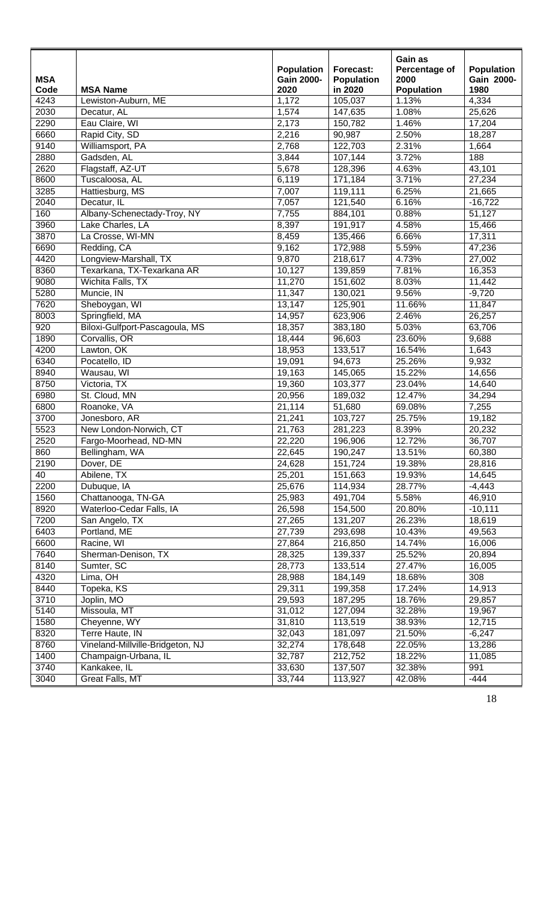| <b>MSA</b><br>Code<br>4243 | <b>MSA Name</b><br>Lewiston-Auburn, ME | <b>Population</b><br><b>Gain 2000-</b><br>2020<br>1,172 | Forecast:<br><b>Population</b><br>in 2020<br>105,037 | Gain as<br>Percentage of<br>2000<br><b>Population</b><br>1.13% | <b>Population</b><br>Gain 2000-<br>1980<br>4,334 |
|----------------------------|----------------------------------------|---------------------------------------------------------|------------------------------------------------------|----------------------------------------------------------------|--------------------------------------------------|
| 2030                       | Decatur, AL                            | 1,574                                                   | 147,635                                              | 1.08%                                                          | 25,626                                           |
| 2290                       | Eau Claire, WI                         | 2,173                                                   | 150,782                                              | 1.46%                                                          | 17,204                                           |
| 6660                       | Rapid City, SD                         | 2,216                                                   | 90,987                                               | 2.50%                                                          | 18,287                                           |
| 9140                       | Williamsport, PA                       | 2,768                                                   | 122,703                                              | 2.31%                                                          | 1,664                                            |
| 2880                       | Gadsden, AL                            | 3,844                                                   | 107,144                                              | 3.72%                                                          | 188                                              |
| 2620                       | Flagstaff, AZ-UT                       | 5,678                                                   | 128,396                                              | 4.63%                                                          | 43,101                                           |
| 8600                       | Tuscaloosa, AL                         | 6,119                                                   | 171,184                                              | 3.71%                                                          | 27,234                                           |
| 3285                       | Hattiesburg, MS                        | 7,007                                                   | 119,111                                              | 6.25%                                                          | 21,665                                           |
| 2040                       | Decatur, IL                            | 7,057                                                   | 121,540                                              | 6.16%                                                          | $-16,722$                                        |
| 160                        | Albany-Schenectady-Troy, NY            | 7,755                                                   | 884,101                                              | 0.88%                                                          | 51,127                                           |
| 3960                       | Lake Charles, LA                       | 8,397                                                   | 191,917                                              | 4.58%                                                          | 15,466                                           |
| 3870                       | La Crosse, WI-MN                       | 8,459                                                   | 135,466                                              | 6.66%                                                          | 17,311                                           |
| 6690                       | Redding, CA                            | 9,162                                                   | 172,988                                              | 5.59%                                                          | 47,236                                           |
| 4420                       | Longview-Marshall, TX                  | 9,870                                                   | 218,617                                              | 4.73%                                                          | 27,002                                           |
| 8360                       | Texarkana, TX-Texarkana AR             | 10,127                                                  | 139,859                                              | 7.81%                                                          | 16,353                                           |
| 9080                       | Wichita Falls, TX                      | 11,270                                                  | 151,602                                              | 8.03%                                                          | 11,442                                           |
| 5280                       | Muncie, IN                             | 11,347                                                  | 130,021                                              | 9.56%                                                          | $-9,720$                                         |
| 7620                       | Sheboygan, WI                          | 13,147                                                  | 125,901                                              | 11.66%                                                         | 11,847                                           |
| 8003                       | Springfield, MA                        | 14,957                                                  | 623,906                                              | 2.46%                                                          | 26,257                                           |
| 920                        | Biloxi-Gulfport-Pascagoula, MS         | 18,357                                                  | 383,180                                              | 5.03%                                                          | 63,706                                           |
| 1890                       | Corvallis, OR                          | 18,444                                                  | 96,603                                               | 23.60%                                                         | 9,688                                            |
| 4200                       | Lawton, OK                             | 18,953                                                  | 133,517                                              | 16.54%                                                         | 1,643                                            |
| 6340                       | Pocatello, ID                          | 19,091                                                  | 94,673                                               | 25.26%                                                         | 9,932                                            |
| 8940                       | Wausau, WI                             | 19,163                                                  | 145,065                                              | 15.22%                                                         | 14,656                                           |
| 8750                       | Victoria, TX                           | 19,360                                                  | 103,377                                              | 23.04%                                                         | 14,640                                           |
| 6980                       | St. Cloud, MN                          | 20,956                                                  | 189,032                                              | 12.47%                                                         | 34,294                                           |
| 6800                       | Roanoke, VA                            | 21,114                                                  | 51,680                                               | 69.08%                                                         | 7,255                                            |
| 3700                       | Jonesboro, AR                          | 21,241                                                  | 103,727                                              | 25.75%                                                         | 19,182                                           |
| 5523                       | New London-Norwich, CT                 | 21,763                                                  | 281,223                                              | 8.39%                                                          | 20,232                                           |
| 2520                       | Fargo-Moorhead, ND-MN                  | 22,220                                                  | 196,906                                              | 12.72%                                                         | 36,707                                           |
| 860                        | Bellingham, WA                         | 22,645                                                  | 190,247                                              | 13.51%                                                         | 60,380                                           |
| 2190                       | Dover, DE                              | 24,628                                                  | 151,724                                              | 19.38%                                                         | 28,816                                           |
| 40                         | Abilene, TX                            | 25,201                                                  | 151,663                                              | 19.93%                                                         | 14,645                                           |
| 2200                       | Dubuque, IA                            | 25,676                                                  | 114,934                                              | 28.77%                                                         | $-4,443$                                         |
| 1560                       | Chattanooga, TN-GA                     | 25,983                                                  | 491,704                                              | 5.58%                                                          | 46,910                                           |
| 8920                       | Waterloo-Cedar Falls, IA               | 26,598                                                  | 154,500                                              | 20.80%                                                         | $-10,111$                                        |
| 7200                       | San Angelo, TX                         | 27,265                                                  | 131,207                                              | 26.23%                                                         | 18,619                                           |
| 6403                       | Portland, ME                           | 27,739                                                  | 293,698                                              | 10.43%                                                         | 49,563                                           |
| 6600                       | Racine, WI                             | 27,864                                                  | 216,850                                              | 14.74%                                                         | 16,006                                           |
| 7640                       | Sherman-Denison, TX                    | 28,325                                                  | 139,337                                              | 25.52%                                                         | 20,894                                           |
| 8140                       | Sumter, SC                             | 28,773                                                  | 133,514                                              | 27.47%                                                         | 16,005                                           |
| 4320                       | Lima, OH                               | 28,988                                                  | 184,149                                              | 18.68%                                                         | 308                                              |
| 8440                       | Topeka, KS                             | 29,311                                                  | 199,358                                              | 17.24%                                                         | 14,913                                           |
| 3710                       | Joplin, MO                             | 29,593                                                  | 187,295                                              | 18.76%                                                         | 29,857                                           |
| 5140                       | Missoula, MT                           | 31,012                                                  | 127,094                                              | 32.28%                                                         | 19,967                                           |
| 1580                       | Cheyenne, WY                           | 31,810                                                  | 113,519                                              | 38.93%                                                         | 12,715                                           |
| 8320                       | Terre Haute, IN                        | 32,043                                                  | 181,097                                              | 21.50%                                                         | $-6,247$                                         |
| 8760                       | Vineland-Millville-Bridgeton, NJ       | 32,274                                                  | 178,648                                              | 22.05%                                                         | 13,286                                           |
| 1400                       | Champaign-Urbana, IL                   | 32,787                                                  | 212,752                                              | 18.22%                                                         | 11,085                                           |
| 3740                       | Kankakee, IL                           | 33,630                                                  | 137,507                                              | 32.38%                                                         | 991                                              |
| 3040                       | Great Falls, MT                        | 33,744                                                  | 113,927                                              | 42.08%                                                         | $-444$                                           |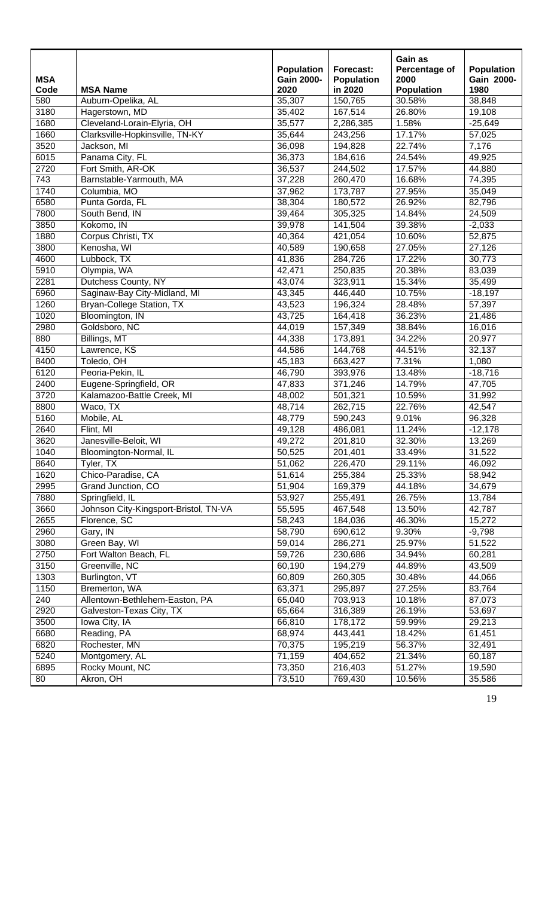|                    |                                       |                           |                              | Gain as                   |                    |
|--------------------|---------------------------------------|---------------------------|------------------------------|---------------------------|--------------------|
|                    |                                       | <b>Population</b>         | Forecast:                    | Percentage of             | <b>Population</b>  |
| <b>MSA</b><br>Code | <b>MSA Name</b>                       | <b>Gain 2000-</b><br>2020 | <b>Population</b><br>in 2020 | 2000<br><b>Population</b> | Gain 2000-<br>1980 |
| 580                | Auburn-Opelika, AL                    | 35,307                    | 150,765                      | 30.58%                    | 38,848             |
| 3180               | Hagerstown, MD                        | 35,402                    | 167,514                      | 26.80%                    | 19,108             |
| 1680               | Cleveland-Lorain-Elyria, OH           | 35,577                    | 2,286,385                    | 1.58%                     | $-25,649$          |
| 1660               | Clarksville-Hopkinsville, TN-KY       | 35,644                    | 243,256                      | 17.17%                    | 57,025             |
| 3520               | Jackson, MI                           | 36,098                    | 194,828                      | 22.74%                    | 7,176              |
| 6015               | Panama City, FL                       | 36,373                    | 184,616                      | 24.54%                    | 49,925             |
| 2720               | Fort Smith, AR-OK                     | 36,537                    | 244,502                      | 17.57%                    | 44,880             |
| 743                | Barnstable-Yarmouth, MA               | 37,228                    | 260,470                      | 16.68%                    | 74,395             |
| 1740               | Columbia, MO                          | 37,962                    | 173,787                      | 27.95%                    | 35,049             |
| 6580               | Punta Gorda, FL                       | 38,304                    | 180,572                      | 26.92%                    | 82,796             |
| 7800               | South Bend, IN                        | 39,464                    | 305,325                      | 14.84%                    | 24,509             |
| 3850               | Kokomo, IN                            | 39,978                    | 141,504                      | 39.38%                    | $-2,033$           |
| 1880               | Corpus Christi, TX                    | 40,364                    | 421,054                      | 10.60%                    | 52,875             |
| 3800               | Kenosha, WI                           | 40,589                    | 190,658                      | 27.05%                    | 27,126             |
| 4600               | Lubbock, TX                           | 41,836                    | 284,726                      | 17.22%                    | 30,773             |
| 5910               | Olympia, WA                           | 42,471                    | 250,835                      | 20.38%                    | 83,039             |
| 2281               | Dutchess County, NY                   | 43,074                    | 323,911                      | 15.34%                    | 35,499             |
| 6960               | Saginaw-Bay City-Midland, MI          | 43,345                    | 446,440                      | 10.75%                    | $-18,197$          |
| 1260               | <b>Bryan-College Station, TX</b>      | 43,523                    | 196,324                      | 28.48%                    | 57,397             |
| 1020               | Bloomington, IN                       | 43,725                    | 164,418                      | 36.23%                    | 21,486             |
| 2980               | Goldsboro, NC                         | 44,019                    | 157,349                      | 38.84%                    | 16,016             |
| 880                | Billings, MT                          | 44,338                    | 173,891                      | 34.22%                    | 20,977             |
| 4150               | Lawrence, KS                          | 44,586                    | 144,768                      | 44.51%                    | 32,137             |
| 8400               | Toledo, OH                            | 45,183                    | 663,427                      | 7.31%                     | 1,080              |
| 6120               | Peoria-Pekin, IL                      | 46,790                    | 393,976                      | 13.48%                    | $-18,716$          |
| 2400               | Eugene-Springfield, OR                | 47,833                    | 371,246                      | 14.79%                    | 47,705             |
| 3720               | Kalamazoo-Battle Creek, MI            | 48,002                    | 501,321                      | 10.59%                    | 31,992             |
| 8800               | Waco, TX                              | 48,714                    | 262,715                      | 22.76%                    | 42,547             |
| 5160               | Mobile, AL                            | 48,779                    | 590,243                      | 9.01%                     | 96,328             |
| 2640               | Flint, MI                             | 49,128                    | 486,081                      | 11.24%                    | $-12,178$          |
| 3620               | Janesville-Beloit, WI                 | 49,272                    | 201,810                      | 32.30%                    | 13,269             |
| 1040               | Bloomington-Normal, IL                | 50,525                    | 201,401                      | 33.49%                    | 31,522             |
| 8640               | Tyler, TX                             | 51,062                    | 226,470                      | 29.11%                    | 46,092             |
| 1620               | Chico-Paradise, CA                    | 51,614                    | 255,384                      | 25.33%                    | 58,942             |
| 2995               | Grand Junction, CO                    | 51,904                    | 169,379                      | 44.18%                    | 34,679             |
| 7880               | Springfield, IL                       | 53,927                    | 255,491                      | 26.75%                    | 13,784             |
| 3660               | Johnson City-Kingsport-Bristol, TN-VA | 55,595                    | 467,548                      | 13.50%                    | 42,787             |
| 2655               | Florence, SC                          | 58,243                    | 184,036                      | 46.30%                    | 15,272             |
| 2960               | Gary, IN                              | 58,790                    | 690,612                      | 9.30%                     | $-9,798$           |
| 3080               | Green Bay, WI                         | 59,014                    | 286,271                      | 25.97%                    | 51,522             |
| 2750               | Fort Walton Beach, FL                 | 59,726                    | 230,686                      | 34.94%                    | 60,281             |
| 3150               | Greenville, NC                        | 60,190                    | 194,279                      | 44.89%                    | 43,509             |
| 1303               | Burlington, VT                        | 60,809                    | 260,305                      | 30.48%                    | 44,066             |
| 1150               | Bremerton, WA                         | 63,371                    | 295,897                      | 27.25%                    | 83,764             |
| 240                | Allentown-Bethlehem-Easton, PA        | 65,040                    | 703,913                      | 10.18%                    | 87,073             |
| 2920               | Galveston-Texas City, TX              | 65,664                    | 316,389                      | 26.19%                    | 53,697             |
| 3500               | Iowa City, IA                         | 66,810                    | 178,172                      | 59.99%                    | 29,213             |
| 6680               | Reading, PA                           | 68,974                    | 443,441                      | 18.42%                    | 61,451             |
| 6820               | Rochester, MN                         | 70,375                    | 195,219                      | 56.37%                    | 32,491             |
| 5240               | Montgomery, AL                        | 71,159                    | 404,652                      | 21.34%                    | 60,187             |
| 6895               | Rocky Mount, NC                       | 73,350                    | 216,403                      | 51.27%                    | 19,590             |
| 80                 | Akron, OH                             | 73,510                    | 769,430                      | 10.56%                    | 35,586             |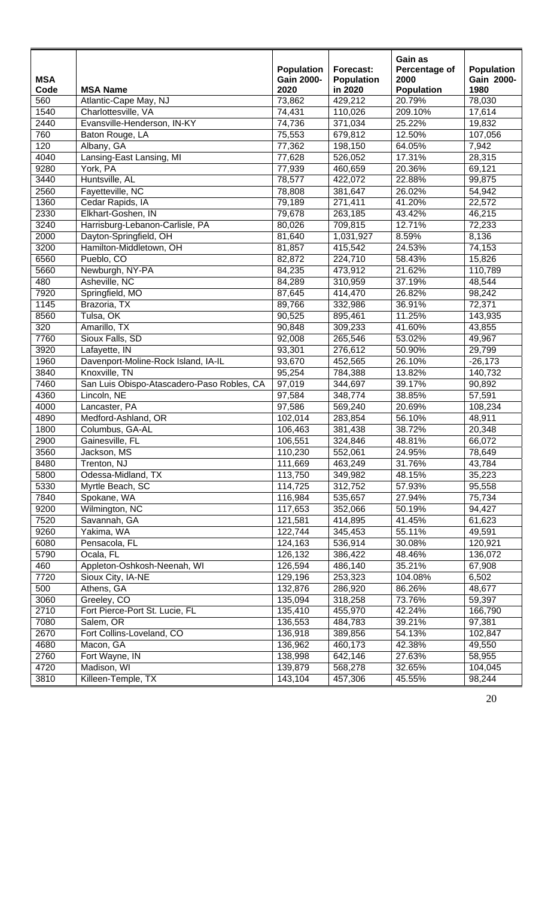| <b>MSA</b> |                                            | <b>Population</b><br><b>Gain 2000-</b> | Forecast:<br><b>Population</b> | Gain as<br>Percentage of<br>2000 | <b>Population</b><br>Gain 2000- |
|------------|--------------------------------------------|----------------------------------------|--------------------------------|----------------------------------|---------------------------------|
| Code       | <b>MSA Name</b>                            | 2020                                   | in 2020                        | <b>Population</b>                | 1980                            |
| 560        | Atlantic-Cape May, NJ                      | 73,862                                 | 429,212                        | 20.79%                           | 78,030                          |
| 1540       | Charlottesville, VA                        | 74,431                                 | 110,026                        | 209.10%                          | 17,614                          |
| 2440       | Evansville-Henderson, IN-KY                | 74,736                                 | 371,034                        | 25.22%                           | 19,832                          |
| 760        | Baton Rouge, LA                            | 75,553                                 | 679,812                        | 12.50%                           | 107,056                         |
| 120        | Albany, GA                                 | 77,362                                 | 198,150                        | 64.05%                           | 7,942                           |
| 4040       | Lansing-East Lansing, MI                   | 77,628                                 | 526,052                        | 17.31%                           | 28,315                          |
| 9280       | York, PA                                   | 77,939                                 | 460,659                        | 20.36%                           | 69, 121                         |
| 3440       | Huntsville, AL                             | 78,577                                 | 422,072                        | 22.88%                           | 99,875                          |
| 2560       | Fayetteville, NC                           | 78,808                                 | 381,647                        | 26.02%                           | 54,942                          |
| 1360       | Cedar Rapids, IA                           | 79,189                                 | 271,411                        | 41.20%                           | 22,572                          |
| 2330       | Elkhart-Goshen, IN                         | 79,678                                 | 263,185                        | 43.42%                           | 46,215                          |
| 3240       | Harrisburg-Lebanon-Carlisle, PA            | 80,026                                 | 709,815                        | 12.71%                           | 72,233                          |
| 2000       | Dayton-Springfield, OH                     | 81,640                                 | 1,031,927                      | 8.59%                            | 8,136                           |
| 3200       | Hamilton-Middletown, OH                    | 81,857                                 | 415,542                        | 24.53%                           | 74,153                          |
| 6560       | Pueblo, CO                                 | 82,872                                 | 224,710                        | 58.43%                           | 15,826                          |
| 5660       | Newburgh, NY-PA                            | 84,235                                 | 473,912                        | 21.62%                           | 110,789                         |
| 480        | Asheville, NC                              | 84,289                                 | 310,959                        | 37.19%                           | 48,544                          |
| 7920       | Springfield, MO                            | 87,645                                 | 414,470                        | 26.82%                           | 98,242                          |
| 1145       | Brazoria, TX                               | 89,766                                 | 332,986                        | 36.91%                           | 72,371                          |
| 8560       | Tulsa, OK                                  | 90,525                                 | 895,461                        | 11.25%                           | 143,935                         |
| 320        | Amarillo, TX                               | 90,848                                 | 309,233                        | 41.60%                           | 43,855                          |
| 7760       | Sioux Falls, SD                            | 92,008                                 | 265,546                        | 53.02%                           | 49,967                          |
| 3920       | Lafayette, IN                              | 93,301                                 | 276,612                        | 50.90%                           | 29,799                          |
| 1960       | Davenport-Moline-Rock Island, IA-IL        | 93,670                                 | 452,565                        | 26.10%                           | $-26,173$                       |
| 3840       | Knoxville, TN                              | 95,254                                 | 784,388                        | 13.82%                           | 140,732                         |
| 7460       | San Luis Obispo-Atascadero-Paso Robles, CA | 97,019                                 | 344,697                        | 39.17%                           | 90,892                          |
| 4360       | Lincoln, NE                                | 97,584                                 | 348,774                        | 38.85%                           | 57,591                          |
| 4000       | Lancaster, PA                              | 97,586                                 | 569,240                        | 20.69%                           | 108,234                         |
| 4890       | Medford-Ashland, OR                        | 102,014                                | 283,854                        | 56.10%                           | 48,911                          |
| 1800       | Columbus, GA-AL                            | 106,463                                | 381,438                        | 38.72%                           | 20,348                          |
| 2900       | Gainesville, FL                            | 106,551                                | 324,846                        | 48.81%                           | 66,072                          |
| 3560       | Jackson, MS                                | 110,230                                | 552,061                        | 24.95%                           | 78,649                          |
| 8480       | Trenton, NJ                                | 111,669                                | 463,249                        | 31.76%                           | 43,784                          |
| 5800       | Odessa-Midland, TX                         | 113,750                                | 349,982                        | 48.15%                           | 35,223                          |
| 5330       | Myrtle Beach, SC                           | 114,725                                | 312,752                        | 57.93%                           | 95,558                          |
| 7840       | Spokane, WA                                | 116,984                                | 535,657                        | 27.94%                           | 75,734                          |
| 9200       | Wilmington, NC                             | 117,653                                | 352,066                        | 50.19%                           | 94,427                          |
| 7520       | Savannah, GA                               | 121,581                                | 414,895                        | 41.45%                           | 61,623                          |
| 9260       | Yakima, WA                                 | 122,744                                | 345,453                        | 55.11%                           | 49,591                          |
| 6080       | Pensacola, FL                              | 124,163                                | 536,914                        | 30.08%                           | 120,921                         |
| 5790       | Ocala, FL                                  | 126,132                                | 386,422                        | 48.46%                           | 136,072                         |
| 460        | Appleton-Oshkosh-Neenah, WI                | 126,594                                | 486,140                        | 35.21%                           | 67,908                          |
| 7720       | Sioux City, IA-NE                          | 129,196                                | 253,323                        | 104.08%                          | 6,502                           |
| 500        | Athens, GA                                 | 132,876                                | 286,920                        | 86.26%                           | 48,677                          |
| 3060       | Greeley, CO                                | 135,094                                | 318,258                        | 73.76%                           | 59,397                          |
| 2710       | Fort Pierce-Port St. Lucie, FL             | 135,410                                | 455,970                        | 42.24%                           | 166,790                         |
| 7080       | Salem, OR                                  | 136,553                                | 484,783                        | 39.21%                           | 97,381                          |
| 2670       | Fort Collins-Loveland, CO                  | 136,918                                | 389,856                        | 54.13%                           | 102,847                         |
| 4680       | Macon, GA                                  | 136,962                                | 460,173                        | 42.38%                           | 49,550                          |
| 2760       | Fort Wayne, IN                             | 138,998                                | 642,146                        | 27.63%                           | 58,955                          |
| 4720       | Madison, WI                                | 139,879                                | 568,278                        | 32.65%                           | 104,045                         |
| 3810       | Killeen-Temple, TX                         | 143,104                                | 457,306                        | 45.55%                           | 98,244                          |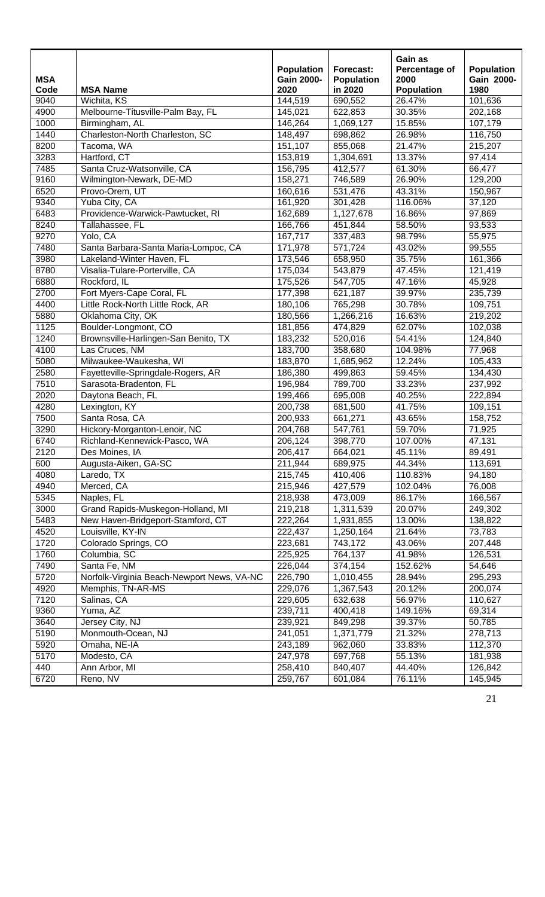| <b>MSA</b><br>Code<br>9040 | <b>MSA Name</b><br>Wichita, KS             | <b>Population</b><br><b>Gain 2000-</b><br>2020<br>144,519 | Forecast:<br><b>Population</b><br>in 2020<br>690,552 | Gain as<br>Percentage of<br>2000<br><b>Population</b><br>26.47% | <b>Population</b><br>Gain 2000-<br>1980<br>101,636 |
|----------------------------|--------------------------------------------|-----------------------------------------------------------|------------------------------------------------------|-----------------------------------------------------------------|----------------------------------------------------|
| 4900                       | Melbourne-Titusville-Palm Bay, FL          | 145,021                                                   | 622,853                                              | 30.35%                                                          | 202,168                                            |
| 1000                       | Birmingham, AL                             | 146,264                                                   | 1,069,127                                            | 15.85%                                                          | 107,179                                            |
| 1440                       | Charleston-North Charleston, SC            | 148,497                                                   | 698,862                                              | 26.98%                                                          | 116,750                                            |
| 8200                       | Tacoma, WA                                 | 151,107                                                   | 855,068                                              | 21.47%                                                          | 215,207                                            |
| 3283                       | Hartford, CT                               | 153,819                                                   | 1,304,691                                            | 13.37%                                                          | 97,414                                             |
| 7485                       | Santa Cruz-Watsonville, CA                 | 156,795                                                   | 412,577                                              | 61.30%                                                          | 66,477                                             |
| 9160                       | Wilmington-Newark, DE-MD                   | 158,271                                                   | 746,589                                              | 26.90%                                                          | 129,200                                            |
| 6520                       | Provo-Orem, UT                             | 160,616                                                   | 531,476                                              | 43.31%                                                          | 150,967                                            |
| 9340                       | Yuba City, CA                              | 161,920                                                   | 301,428                                              | 116.06%                                                         | 37,120                                             |
| 6483                       | Providence-Warwick-Pawtucket, RI           | 162,689                                                   | 1,127,678                                            | 16.86%                                                          | 97,869                                             |
| 8240                       | Tallahassee, FL                            | 166,766                                                   | 451,844                                              | 58.50%                                                          | 93,533                                             |
| 9270                       | Yolo, CA                                   | 167,717                                                   | 337,483                                              | 98.79%                                                          | 55,975                                             |
| 7480                       | Santa Barbara-Santa Maria-Lompoc, CA       | 171,978                                                   | 571,724                                              | 43.02%                                                          | 99,555                                             |
| 3980                       | Lakeland-Winter Haven, FL                  | 173,546                                                   | 658,950                                              | 35.75%                                                          | 161,366                                            |
| 8780                       | Visalia-Tulare-Porterville, CA             | 175,034                                                   | 543,879                                              | 47.45%                                                          | 121,419                                            |
| 6880                       | Rockford, IL                               | 175,526                                                   | 547,705                                              | 47.16%                                                          | 45,928                                             |
| 2700                       | Fort Myers-Cape Coral, FL                  | 177,398                                                   | 621,187                                              | 39.97%                                                          | 235,739                                            |
| 4400                       | Little Rock-North Little Rock, AR          | 180,106                                                   | 765,298                                              | 30.78%                                                          | 109,751                                            |
| 5880                       | Oklahoma City, OK                          | 180,566                                                   | 1,266,216                                            | 16.63%                                                          | 219,202                                            |
| 1125                       | Boulder-Longmont, CO                       | 181,856                                                   | 474,829                                              | 62.07%                                                          | 102,038                                            |
| 1240                       | Brownsville-Harlingen-San Benito, TX       | 183,232                                                   | 520,016                                              | 54.41%                                                          | 124,840                                            |
| 4100                       | Las Cruces, NM                             | 183,700                                                   | 358,680                                              | 104.98%                                                         | 77,968                                             |
| 5080                       | Milwaukee-Waukesha, WI                     | 183,870                                                   | 1,685,962                                            | 12.24%                                                          | 105,433                                            |
| 2580                       | Fayetteville-Springdale-Rogers, AR         | 186,380                                                   | 499,863                                              | 59.45%                                                          | 134,430                                            |
| 7510                       | Sarasota-Bradenton, FL                     | 196,984                                                   | 789,700                                              | 33.23%                                                          | 237,992                                            |
| 2020                       | Daytona Beach, FL                          | 199,466                                                   | 695,008                                              | 40.25%                                                          | 222,894                                            |
| 4280                       | Lexington, KY                              | 200,738                                                   | 681,500                                              | 41.75%                                                          | 109, 151                                           |
| 7500                       | Santa Rosa, CA                             | 200,933                                                   | 661,271                                              | 43.65%                                                          | 158,752                                            |
| 3290                       | Hickory-Morganton-Lenoir, NC               | 204,768                                                   | 547,761                                              | 59.70%                                                          | 71,925                                             |
| 6740                       | Richland-Kennewick-Pasco, WA               | 206,124                                                   | 398,770                                              | 107.00%                                                         | 47,131                                             |
| 2120                       | Des Moines, IA                             | 206,417                                                   | 664,021                                              | 45.11%                                                          | 89,491                                             |
| 600                        | Augusta-Aiken, GA-SC                       | 211,944                                                   | 689,975                                              | 44.34%                                                          | 113,691                                            |
| 4080                       |                                            |                                                           |                                                      |                                                                 |                                                    |
| 4940                       | Laredo, TX<br>Merced, CA                   | 215,745                                                   | 410,406                                              | 110.83%<br>102.04%                                              | 94,180                                             |
|                            | Naples, FL                                 | 215,946                                                   | 427,579                                              |                                                                 | 76,008                                             |
| 5345<br>3000               |                                            | 218,938                                                   | 473,009                                              | 86.17%                                                          | 166,567                                            |
|                            | Grand Rapids-Muskegon-Holland, MI          | 219,218                                                   | 1,311,539                                            | 20.07%                                                          | 249,302                                            |
| 5483                       | New Haven-Bridgeport-Stamford, CT          | 222,264                                                   | 1,931,855                                            | 13.00%                                                          | 138,822                                            |
| 4520                       | Louisville, KY-IN                          | 222,437                                                   | 1,250,164                                            | 21.64%                                                          | 73,783                                             |
| 1720                       | Colorado Springs, CO                       | 223,681                                                   | 743,172                                              | 43.06%                                                          | 207,448                                            |
| 1760                       | Columbia, SC                               | 225,925                                                   | 764,137                                              | 41.98%                                                          | 126,531                                            |
| 7490                       | Santa Fe, NM                               | 226,044                                                   | 374,154                                              | 152.62%                                                         | 54,646                                             |
| 5720                       | Norfolk-Virginia Beach-Newport News, VA-NC | 226,790                                                   | 1,010,455                                            | 28.94%                                                          | 295,293                                            |
| 4920                       | Memphis, TN-AR-MS                          | 229,076                                                   | 1,367,543                                            | 20.12%                                                          | 200,074                                            |
| 7120                       | Salinas, CA                                | 229,605                                                   | 632,638                                              | 56.97%                                                          | 110,627                                            |
| 9360                       | Yuma, AZ                                   | 239,711                                                   | 400,418                                              | 149.16%                                                         | 69,314                                             |
| 3640                       | Jersey City, NJ                            | 239,921                                                   | 849,298                                              | 39.37%                                                          | 50,785                                             |
| 5190                       | Monmouth-Ocean, NJ                         | 241,051                                                   | 1,371,779                                            | 21.32%                                                          | 278,713                                            |
| 5920                       | Omaha, NE-IA                               | 243,189                                                   | 962,060                                              | 33.83%                                                          | 112,370                                            |
| 5170                       | Modesto, CA                                | 247,978                                                   | 697,768                                              | 55.13%                                                          | 181,938                                            |
| 440                        | Ann Arbor, MI                              | 258,410                                                   | 840,407                                              | 44.40%                                                          | 126,842                                            |
| 6720                       | Reno, NV                                   | 259,767                                                   | 601,084                                              | 76.11%                                                          | 145,945                                            |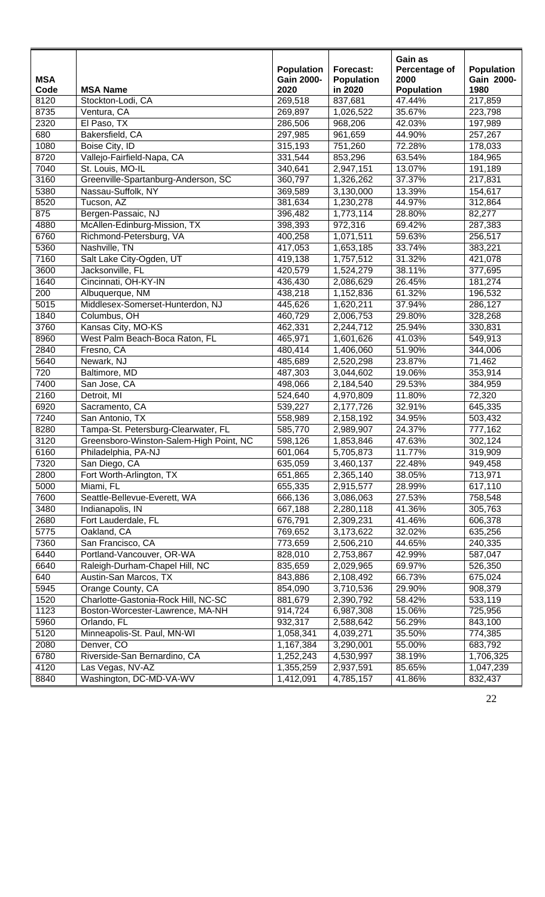| <b>MSA</b>   |                                                     | <b>Population</b><br><b>Gain 2000-</b> | Forecast:<br><b>Population</b> | Gain as<br>Percentage of<br>2000 | Population<br>Gain 2000- |
|--------------|-----------------------------------------------------|----------------------------------------|--------------------------------|----------------------------------|--------------------------|
| Code<br>8120 | <b>MSA Name</b><br>Stockton-Lodi, CA                | 2020<br>269,518                        | in 2020<br>837,681             | <b>Population</b><br>47.44%      | 1980<br>217,859          |
| 8735         | Ventura, CA                                         | 269,897                                | 1,026,522                      | 35.67%                           | 223,798                  |
| 2320         | El Paso, TX                                         | 286,506                                | 968,206                        | 42.03%                           | 197,989                  |
| 680          | Bakersfield, CA                                     | 297,985                                | 961,659                        | 44.90%                           | 257,267                  |
| 1080         | Boise City, ID                                      | 315,193                                | 751,260                        | 72.28%                           | 178,033                  |
| 8720         | Vallejo-Fairfield-Napa, CA                          | 331,544                                | 853,296                        | 63.54%                           | 184,965                  |
| 7040         | St. Louis, MO-IL                                    | 340,641                                | 2,947,151                      | 13.07%                           | 191,189                  |
| 3160         | Greenville-Spartanburg-Anderson, SC                 | 360,797                                | $\overline{1,}326,262$         | 37.37%                           | 217,831                  |
| 5380         | Nassau-Suffolk, NY                                  | 369,589                                | 3,130,000                      | 13.39%                           | 154,617                  |
| 8520         | Tucson, AZ                                          | 381,634                                | 1,230,278                      | 44.97%                           | 312,864                  |
| 875          | Bergen-Passaic, NJ                                  | 396,482                                | 1,773,114                      | 28.80%                           | 82,277                   |
| 4880         | McAllen-Edinburg-Mission, TX                        | 398,393                                | 972,316                        | 69.42%                           | 287,383                  |
| 6760         | Richmond-Petersburg, VA                             | 400,258                                | 1,071,511                      | 59.63%                           | 256,517                  |
| 5360         | Nashville, TN                                       | 417,053                                |                                | 33.74%                           | 383,221                  |
| 7160         | Salt Lake City-Ogden, UT                            |                                        | 1,653,185                      | 31.32%                           |                          |
|              |                                                     | 419,138                                | 1,757,512<br>1,524,279         |                                  | 421,078<br>377,695       |
| 3600         | Jacksonville, FL                                    | 420,579                                |                                | 38.11%                           |                          |
| 1640         | Cincinnati, OH-KY-IN                                | 436,430                                | 2,086,629                      | 26.45%                           | 181,274                  |
| 200          | Albuquerque, NM<br>Middlesex-Somerset-Hunterdon, NJ | 438,218                                | 1,152,836                      | 61.32%                           | 196,532                  |
| 5015         |                                                     | 445,626                                | 1,620,211                      | 37.94%                           | 286,127                  |
| 1840         | Columbus, OH                                        | 460,729                                | 2,006,753                      | 29.80%                           | 328,268                  |
| 3760         | Kansas City, MO-KS                                  | 462,331                                | 2,244,712                      | 25.94%                           | 330,831                  |
| 8960         | West Palm Beach-Boca Raton, FL                      | 465,971                                | 1,601,626                      | 41.03%                           | 549,913                  |
| 2840         | Fresno, CA                                          | 480,414                                | 1,406,060                      | 51.90%                           | 344,006                  |
| 5640         | Newark, NJ                                          | 485,689                                | 2,520,298                      | 23.87%                           | 71,462                   |
| 720          | Baltimore, MD                                       | 487,303                                | 3,044,602                      | 19.06%                           | 353,914                  |
| 7400         | San Jose, CA                                        | 498,066                                | 2,184,540                      | 29.53%                           | 384,959                  |
| 2160         | Detroit, MI                                         | 524,640                                | 4,970,809                      | 11.80%                           | 72,320                   |
| 6920         | Sacramento, CA                                      | 539,227                                | 2,177,726                      | 32.91%                           | 645,335                  |
| 7240         | San Antonio, TX                                     | 558,989                                | 2,158,192                      | 34.95%                           | 503,432                  |
| 8280         | Tampa-St. Petersburg-Clearwater, FL                 | 585,770                                | 2,989,907                      | 24.37%                           | 777,162                  |
| 3120         | Greensboro-Winston-Salem-High Point, NC             | 598,126                                | 1,853,846                      | 47.63%                           | 302,124                  |
| 6160         | Philadelphia, PA-NJ                                 | 601,064                                | 5,705,873                      | 11.77%                           | 319,909                  |
| 7320         | San Diego, CA                                       | 635,059                                | 3,460,137                      | 22.48%                           | 949,458                  |
| 2800         | Fort Worth-Arlington, TX                            | 651,865                                | 2,365,140                      | 38.05%                           | 713,971                  |
| 5000         | Miami, FL                                           | 655,335                                | 2,915,577                      | 28.99%                           | 617,110                  |
| 7600         | Seattle-Bellevue-Everett, WA                        | 666,136                                | 3,086,063                      | 27.53%                           | 758,548                  |
| 3480         | Indianapolis, IN                                    | 667,188                                | 2,280,118                      | 41.36%                           | 305,763                  |
| 2680         | Fort Lauderdale, FL                                 | 676,791                                | 2,309,231                      | 41.46%                           | 606,378                  |
| 5775         | Oakland, CA                                         | 769,652                                | 3,173,622                      | 32.02%                           | 635,256                  |
| 7360         | San Francisco, CA                                   | 773,659                                | 2,506,210                      | 44.65%                           | 240,335                  |
| 6440         | Portland-Vancouver, OR-WA                           | 828,010                                | 2,753,867                      | 42.99%                           | 587,047                  |
| 6640         | Raleigh-Durham-Chapel Hill, NC                      | 835,659                                | 2,029,965                      | 69.97%                           | 526,350                  |
| 640          | Austin-San Marcos, TX                               | 843,886                                | 2,108,492                      | 66.73%                           | 675,024                  |
| 5945         | Orange County, CA                                   | 854,090                                | 3,710,536                      | 29.90%                           | 908,379                  |
| 1520         | Charlotte-Gastonia-Rock Hill, NC-SC                 | 881,679                                | 2,390,792                      | 58.42%                           | 533,119                  |
| 1123         | Boston-Worcester-Lawrence, MA-NH                    | 914,724                                | 6,987,308                      | 15.06%                           | 725,956                  |
| 5960         | Orlando, FL                                         | 932,317                                | 2,588,642                      | 56.29%                           | 843,100                  |
| 5120         | Minneapolis-St. Paul, MN-WI                         | 1,058,341                              | 4,039,271                      | 35.50%                           | 774,385                  |
| 2080         | Denver, CO                                          | 1,167,384                              | 3,290,001                      | 55.00%                           | 683,792                  |
| 6780         | Riverside-San Bernardino, CA                        | 1,252,243                              | 4,530,997                      | 38.19%                           | 1,706,325                |
| 4120         | Las Vegas, NV-AZ                                    | 1,355,259                              | 2,937,591                      | 85.65%                           | 1,047,239                |
| 8840         | Washington, DC-MD-VA-WV                             | 1,412,091                              | 4,785,157                      | 41.86%                           | 832,437                  |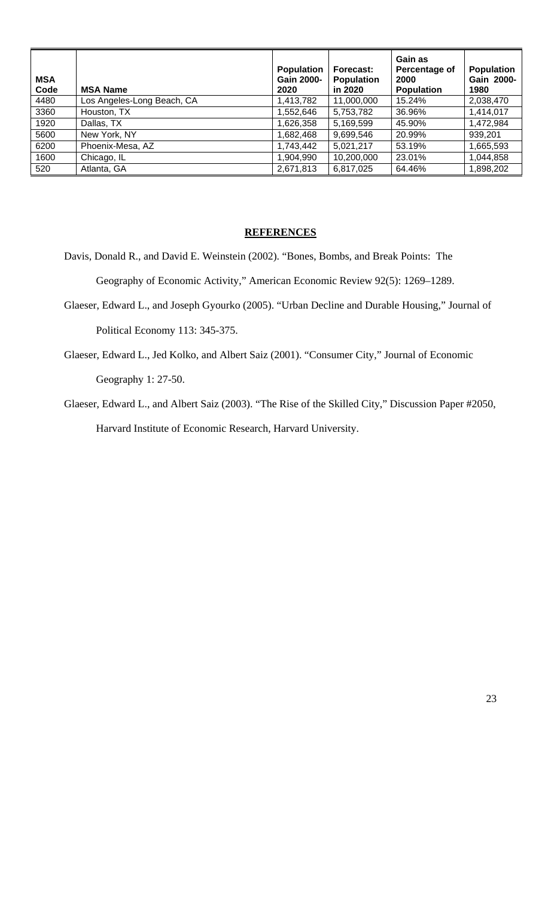| <b>MSA</b><br>Code | <b>MSA Name</b>            | Population<br><b>Gain 2000-</b><br>2020 | Forecast:<br><b>Population</b><br>in 2020 | Gain as<br>Percentage of<br>2000<br><b>Population</b> | <b>Population</b><br>Gain 2000-<br>1980 |
|--------------------|----------------------------|-----------------------------------------|-------------------------------------------|-------------------------------------------------------|-----------------------------------------|
| 4480               | Los Angeles-Long Beach, CA | 1,413,782                               | 11,000,000                                | 15.24%                                                | 2,038,470                               |
| 3360               | Houston, TX                | 1,552,646                               | 5,753,782                                 | 36.96%                                                | 1,414,017                               |
| 1920               | Dallas, TX                 | 1,626,358                               | 5,169,599                                 | 45.90%                                                | 1,472,984                               |
| 5600               | New York, NY               | 1,682,468                               | 9,699,546                                 | 20.99%                                                | 939,201                                 |
| 6200               | Phoenix-Mesa, AZ           | 1,743,442                               | 5,021,217                                 | 53.19%                                                | 1,665,593                               |
| 1600               | Chicago, IL                | 1,904,990                               | 10,200,000                                | 23.01%                                                | 1,044,858                               |
| 520                | Atlanta, GA                | 2,671,813                               | 6,817,025                                 | 64.46%                                                | 1,898,202                               |

# **REFERENCES**

- Davis, Donald R., and David E. Weinstein (2002). "Bones, Bombs, and Break Points: The Geography of Economic Activity," American Economic Review 92(5): 1269–1289.
- Glaeser, Edward L., and Joseph Gyourko (2005). "Urban Decline and Durable Housing," Journal of Political Economy 113: 345-375.
- Glaeser, Edward L., Jed Kolko, and Albert Saiz (2001). "Consumer City," Journal of Economic Geography 1: 27-50.
- Glaeser, Edward L., and Albert Saiz (2003). "The Rise of the Skilled City," Discussion Paper #2050, Harvard Institute of Economic Research, Harvard University.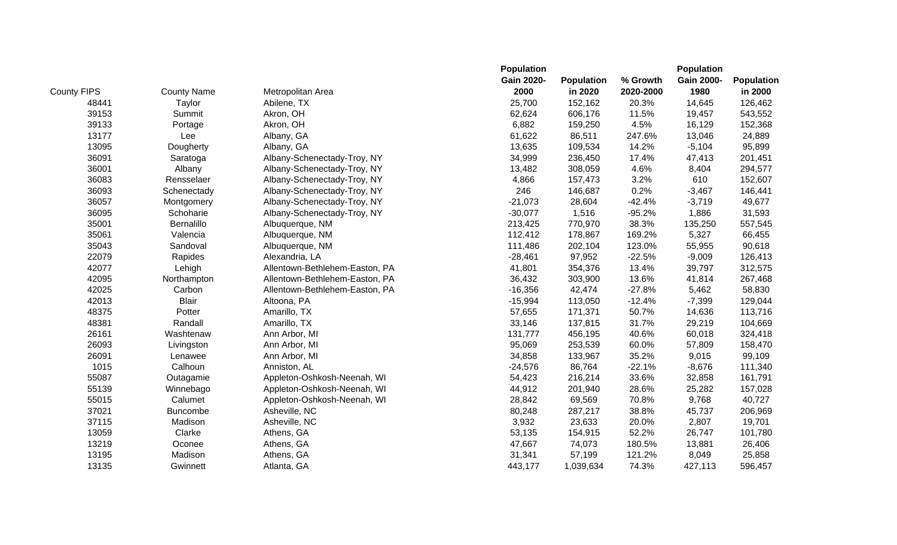|                    |                    |                                | <b>Population</b> |                   |           | <b>Population</b> |                   |
|--------------------|--------------------|--------------------------------|-------------------|-------------------|-----------|-------------------|-------------------|
|                    |                    |                                | <b>Gain 2020-</b> | <b>Population</b> | % Growth  | <b>Gain 2000-</b> | <b>Population</b> |
| <b>County FIPS</b> | <b>County Name</b> | Metropolitan Area              | 2000              | in 2020           | 2020-2000 | 1980              | in 2000           |
| 48441              | Taylor             | Abilene, TX                    | 25,700            | 152,162           | 20.3%     | 14,645            | 126,462           |
| 39153              | Summit             | Akron, OH                      | 62,624            | 606,176           | 11.5%     | 19,457            | 543,552           |
| 39133              | Portage            | Akron, OH                      | 6,882             | 159,250           | 4.5%      | 16,129            | 152,368           |
| 13177              | Lee                | Albany, GA                     | 61,622            | 86,511            | 247.6%    | 13,046            | 24,889            |
| 13095              | Dougherty          | Albany, GA                     | 13,635            | 109,534           | 14.2%     | $-5,104$          | 95,899            |
| 36091              | Saratoga           | Albany-Schenectady-Troy, NY    | 34,999            | 236,450           | 17.4%     | 47,413            | 201,451           |
| 36001              | Albany             | Albany-Schenectady-Troy, NY    | 13,482            | 308,059           | 4.6%      | 8,404             | 294,577           |
| 36083              | Rensselaer         | Albany-Schenectady-Troy, NY    | 4,866             | 157,473           | 3.2%      | 610               | 152,607           |
| 36093              | Schenectady        | Albany-Schenectady-Troy, NY    | 246               | 146,687           | 0.2%      | $-3,467$          | 146,441           |
| 36057              | Montgomery         | Albany-Schenectady-Troy, NY    | $-21,073$         | 28,604            | $-42.4%$  | $-3,719$          | 49,677            |
| 36095              | Schoharie          | Albany-Schenectady-Troy, NY    | $-30,077$         | 1,516             | $-95.2%$  | 1,886             | 31,593            |
| 35001              | Bernalillo         | Albuquerque, NM                | 213,425           | 770,970           | 38.3%     | 135,250           | 557,545           |
| 35061              | Valencia           | Albuquerque, NM                | 112,412           | 178,867           | 169.2%    | 5,327             | 66,455            |
| 35043              | Sandoval           | Albuquerque, NM                | 111,486           | 202,104           | 123.0%    | 55,955            | 90,618            |
| 22079              | Rapides            | Alexandria, LA                 | $-28,461$         | 97,952            | $-22.5%$  | $-9,009$          | 126,413           |
| 42077              | Lehigh             | Allentown-Bethlehem-Easton, PA | 41,801            | 354,376           | 13.4%     | 39,797            | 312,575           |
| 42095              | Northampton        | Allentown-Bethlehem-Easton, PA | 36,432            | 303,900           | 13.6%     | 41,814            | 267,468           |
| 42025              | Carbon             | Allentown-Bethlehem-Easton, PA | $-16,356$         | 42,474            | $-27.8%$  | 5,462             | 58,830            |
| 42013              | <b>Blair</b>       | Altoona, PA                    | $-15,994$         | 113,050           | $-12.4%$  | $-7,399$          | 129,044           |
| 48375              | Potter             | Amarillo, TX                   | 57,655            | 171,371           | 50.7%     | 14,636            | 113,716           |
| 48381              | Randall            | Amarillo, TX                   | 33,146            | 137,815           | 31.7%     | 29,219            | 104,669           |
| 26161              | Washtenaw          | Ann Arbor, MI                  | 131,777           | 456,195           | 40.6%     | 60,018            | 324,418           |
| 26093              | Livingston         | Ann Arbor, MI                  | 95,069            | 253,539           | 60.0%     | 57,809            | 158,470           |
| 26091              | Lenawee            | Ann Arbor, MI                  | 34,858            | 133,967           | 35.2%     | 9,015             | 99,109            |
| 1015               | Calhoun            | Anniston, AL                   | $-24,576$         | 86,764            | $-22.1%$  | $-8,676$          | 111,340           |
| 55087              | Outagamie          | Appleton-Oshkosh-Neenah, WI    | 54,423            | 216,214           | 33.6%     | 32,858            | 161,791           |
| 55139              | Winnebago          | Appleton-Oshkosh-Neenah, WI    | 44,912            | 201,940           | 28.6%     | 25,282            | 157,028           |
| 55015              | Calumet            | Appleton-Oshkosh-Neenah, WI    | 28,842            | 69,569            | 70.8%     | 9,768             | 40,727            |
| 37021              | <b>Buncombe</b>    | Asheville, NC                  | 80,248            | 287,217           | 38.8%     | 45,737            | 206,969           |
| 37115              | Madison            | Asheville, NC                  | 3,932             | 23,633            | 20.0%     | 2,807             | 19,701            |
| 13059              | Clarke             | Athens, GA                     | 53,135            | 154,915           | 52.2%     | 26,747            | 101,780           |
| 13219              | Oconee             | Athens, GA                     | 47,667            | 74,073            | 180.5%    | 13,881            | 26,406            |
| 13195              | Madison            | Athens, GA                     | 31,341            | 57,199            | 121.2%    | 8,049             | 25,858            |
| 13135              | Gwinnett           | Atlanta, GA                    | 443,177           | 1,039,634         | 74.3%     | 427,113           | 596,457           |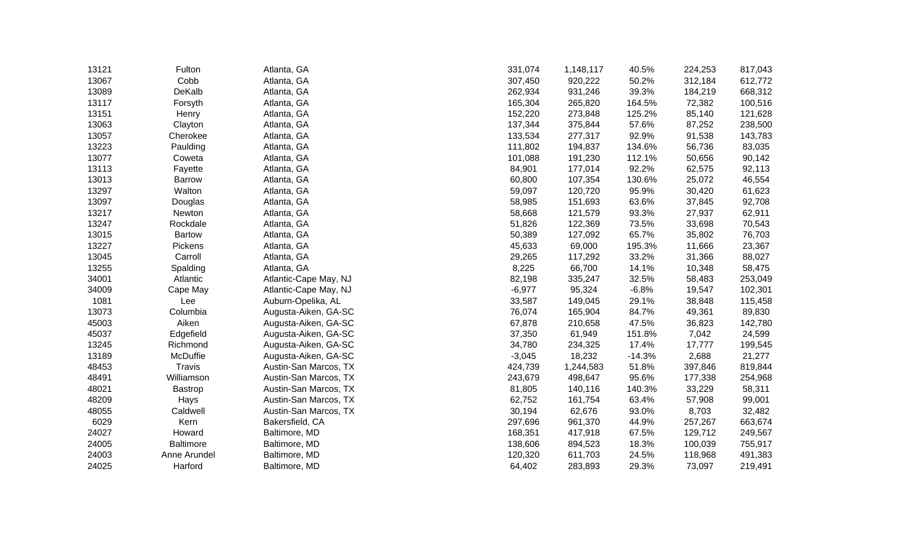| 13121 | Fulton           | Atlanta, GA           | 331,074  | 1,148,117 | 40.5%    | 224,253 | 817,043 |
|-------|------------------|-----------------------|----------|-----------|----------|---------|---------|
| 13067 | Cobb             | Atlanta, GA           | 307,450  | 920,222   | 50.2%    | 312,184 | 612,772 |
| 13089 | DeKalb           | Atlanta, GA           | 262,934  | 931,246   | 39.3%    | 184,219 | 668,312 |
| 13117 | Forsyth          | Atlanta, GA           | 165,304  | 265,820   | 164.5%   | 72,382  | 100,516 |
| 13151 | Henry            | Atlanta, GA           | 152,220  | 273,848   | 125.2%   | 85,140  | 121,628 |
| 13063 | Clayton          | Atlanta, GA           | 137,344  | 375,844   | 57.6%    | 87,252  | 238,500 |
| 13057 | Cherokee         | Atlanta, GA           | 133,534  | 277,317   | 92.9%    | 91,538  | 143,783 |
| 13223 | Paulding         | Atlanta, GA           | 111,802  | 194,837   | 134.6%   | 56,736  | 83,035  |
| 13077 | Coweta           | Atlanta, GA           | 101,088  | 191,230   | 112.1%   | 50,656  | 90,142  |
| 13113 | Fayette          | Atlanta, GA           | 84,901   | 177,014   | 92.2%    | 62,575  | 92,113  |
| 13013 | <b>Barrow</b>    | Atlanta, GA           | 60,800   | 107,354   | 130.6%   | 25,072  | 46,554  |
| 13297 | Walton           | Atlanta, GA           | 59,097   | 120,720   | 95.9%    | 30,420  | 61,623  |
| 13097 | Douglas          | Atlanta, GA           | 58,985   | 151,693   | 63.6%    | 37,845  | 92,708  |
| 13217 | Newton           | Atlanta, GA           | 58,668   | 121,579   | 93.3%    | 27,937  | 62,911  |
| 13247 | Rockdale         | Atlanta, GA           | 51,826   | 122,369   | 73.5%    | 33,698  | 70,543  |
| 13015 | <b>Bartow</b>    | Atlanta, GA           | 50,389   | 127,092   | 65.7%    | 35,802  | 76,703  |
| 13227 | Pickens          | Atlanta, GA           | 45,633   | 69,000    | 195.3%   | 11,666  | 23,367  |
| 13045 | Carroll          | Atlanta, GA           | 29,265   | 117,292   | 33.2%    | 31,366  | 88,027  |
| 13255 | Spalding         | Atlanta, GA           | 8,225    | 66,700    | 14.1%    | 10,348  | 58,475  |
| 34001 | Atlantic         | Atlantic-Cape May, NJ | 82,198   | 335,247   | 32.5%    | 58,483  | 253,049 |
| 34009 | Cape May         | Atlantic-Cape May, NJ | $-6,977$ | 95,324    | $-6.8%$  | 19,547  | 102,301 |
| 1081  | Lee              | Auburn-Opelika, AL    | 33,587   | 149,045   | 29.1%    | 38,848  | 115,458 |
| 13073 | Columbia         | Augusta-Aiken, GA-SC  | 76,074   | 165,904   | 84.7%    | 49,361  | 89,830  |
| 45003 | Aiken            | Augusta-Aiken, GA-SC  | 67,878   | 210,658   | 47.5%    | 36,823  | 142,780 |
| 45037 | Edgefield        | Augusta-Aiken, GA-SC  | 37,350   | 61,949    | 151.8%   | 7,042   | 24,599  |
| 13245 | Richmond         | Augusta-Aiken, GA-SC  | 34,780   | 234,325   | 17.4%    | 17,777  | 199,545 |
| 13189 | McDuffie         | Augusta-Aiken, GA-SC  | $-3,045$ | 18,232    | $-14.3%$ | 2,688   | 21,277  |
| 48453 | Travis           | Austin-San Marcos, TX | 424,739  | 1,244,583 | 51.8%    | 397,846 | 819,844 |
| 48491 | Williamson       | Austin-San Marcos, TX | 243,679  | 498,647   | 95.6%    | 177,338 | 254,968 |
| 48021 | <b>Bastrop</b>   | Austin-San Marcos, TX | 81,805   | 140,116   | 140.3%   | 33,229  | 58,311  |
| 48209 | Hays             | Austin-San Marcos, TX | 62,752   | 161,754   | 63.4%    | 57,908  | 99,001  |
| 48055 | Caldwell         | Austin-San Marcos, TX | 30,194   | 62,676    | 93.0%    | 8,703   | 32,482  |
| 6029  | Kern             | Bakersfield, CA       | 297,696  | 961,370   | 44.9%    | 257,267 | 663,674 |
| 24027 | Howard           | Baltimore, MD         | 168,351  | 417,918   | 67.5%    | 129,712 | 249,567 |
| 24005 | <b>Baltimore</b> | Baltimore, MD         | 138,606  | 894,523   | 18.3%    | 100,039 | 755,917 |
| 24003 | Anne Arundel     | Baltimore, MD         | 120,320  | 611,703   | 24.5%    | 118,968 | 491,383 |
| 24025 | Harford          | Baltimore, MD         | 64,402   | 283,893   | 29.3%    | 73,097  | 219,491 |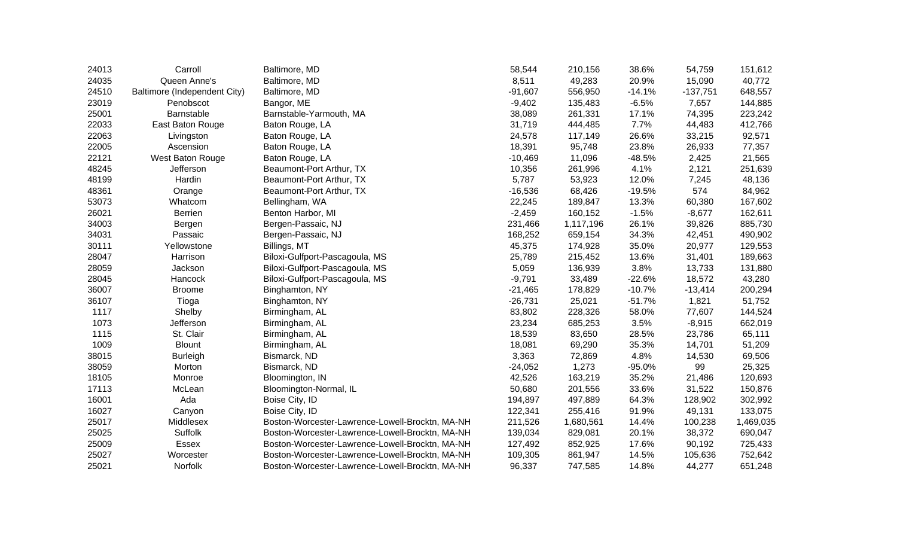| 24013 | Carroll                      | Baltimore, MD                                   | 58,544    | 210,156   | 38.6%    | 54,759     | 151,612   |
|-------|------------------------------|-------------------------------------------------|-----------|-----------|----------|------------|-----------|
| 24035 | Queen Anne's                 | Baltimore, MD                                   | 8,511     | 49,283    | 20.9%    | 15,090     | 40,772    |
| 24510 | Baltimore (Independent City) | Baltimore, MD                                   | $-91,607$ | 556,950   | $-14.1%$ | $-137,751$ | 648,557   |
| 23019 | Penobscot                    | Bangor, ME                                      | $-9,402$  | 135,483   | $-6.5%$  | 7,657      | 144,885   |
| 25001 | Barnstable                   | Barnstable-Yarmouth, MA                         | 38,089    | 261,331   | 17.1%    | 74,395     | 223,242   |
| 22033 | East Baton Rouge             | Baton Rouge, LA                                 | 31,719    | 444,485   | 7.7%     | 44,483     | 412,766   |
| 22063 | Livingston                   | Baton Rouge, LA                                 | 24,578    | 117,149   | 26.6%    | 33,215     | 92,571    |
| 22005 | Ascension                    | Baton Rouge, LA                                 | 18,391    | 95,748    | 23.8%    | 26,933     | 77,357    |
| 22121 | West Baton Rouge             | Baton Rouge, LA                                 | $-10,469$ | 11,096    | $-48.5%$ | 2,425      | 21,565    |
| 48245 | Jefferson                    | Beaumont-Port Arthur, TX                        | 10,356    | 261,996   | 4.1%     | 2,121      | 251,639   |
| 48199 | Hardin                       | Beaumont-Port Arthur, TX                        | 5,787     | 53,923    | 12.0%    | 7,245      | 48,136    |
| 48361 | Orange                       | Beaumont-Port Arthur, TX                        | $-16,536$ | 68,426    | $-19.5%$ | 574        | 84,962    |
| 53073 | Whatcom                      | Bellingham, WA                                  | 22,245    | 189,847   | 13.3%    | 60,380     | 167,602   |
| 26021 | <b>Berrien</b>               | Benton Harbor, MI                               | $-2,459$  | 160,152   | $-1.5%$  | $-8,677$   | 162,611   |
| 34003 | Bergen                       | Bergen-Passaic, NJ                              | 231,466   | 1,117,196 | 26.1%    | 39,826     | 885,730   |
| 34031 | Passaic                      | Bergen-Passaic, NJ                              | 168,252   | 659,154   | 34.3%    | 42,451     | 490,902   |
| 30111 | Yellowstone                  | Billings, MT                                    | 45,375    | 174,928   | 35.0%    | 20,977     | 129,553   |
| 28047 | Harrison                     | Biloxi-Gulfport-Pascagoula, MS                  | 25,789    | 215,452   | 13.6%    | 31,401     | 189,663   |
| 28059 | Jackson                      | Biloxi-Gulfport-Pascagoula, MS                  | 5,059     | 136,939   | 3.8%     | 13,733     | 131,880   |
| 28045 | Hancock                      | Biloxi-Gulfport-Pascagoula, MS                  | $-9,791$  | 33,489    | $-22.6%$ | 18,572     | 43,280    |
| 36007 | <b>Broome</b>                | Binghamton, NY                                  | $-21,465$ | 178,829   | $-10.7%$ | $-13,414$  | 200,294   |
| 36107 | Tioga                        | Binghamton, NY                                  | $-26,731$ | 25,021    | $-51.7%$ | 1,821      | 51,752    |
| 1117  | Shelby                       | Birmingham, AL                                  | 83,802    | 228,326   | 58.0%    | 77,607     | 144,524   |
| 1073  | Jefferson                    | Birmingham, AL                                  | 23,234    | 685,253   | 3.5%     | $-8,915$   | 662,019   |
| 1115  | St. Clair                    | Birmingham, AL                                  | 18,539    | 83,650    | 28.5%    | 23,786     | 65,111    |
| 1009  | <b>Blount</b>                | Birmingham, AL                                  | 18,081    | 69,290    | 35.3%    | 14,701     | 51,209    |
| 38015 | <b>Burleigh</b>              | Bismarck, ND                                    | 3,363     | 72,869    | 4.8%     | 14,530     | 69,506    |
| 38059 | Morton                       | Bismarck, ND                                    | $-24,052$ | 1,273     | $-95.0%$ | 99         | 25,325    |
| 18105 | Monroe                       | Bloomington, IN                                 | 42,526    | 163,219   | 35.2%    | 21,486     | 120,693   |
| 17113 | McLean                       | Bloomington-Normal, IL                          | 50,680    | 201,556   | 33.6%    | 31,522     | 150,876   |
| 16001 | Ada                          | Boise City, ID                                  | 194,897   | 497,889   | 64.3%    | 128,902    | 302,992   |
| 16027 | Canyon                       | Boise City, ID                                  | 122,341   | 255,416   | 91.9%    | 49,131     | 133,075   |
| 25017 | Middlesex                    | Boston-Worcester-Lawrence-Lowell-Brocktn, MA-NH | 211,526   | 1,680,561 | 14.4%    | 100,238    | 1,469,035 |
| 25025 | <b>Suffolk</b>               | Boston-Worcester-Lawrence-Lowell-Brocktn, MA-NH | 139,034   | 829,081   | 20.1%    | 38,372     | 690,047   |
| 25009 | <b>Essex</b>                 | Boston-Worcester-Lawrence-Lowell-Brocktn, MA-NH | 127,492   | 852,925   | 17.6%    | 90,192     | 725,433   |
| 25027 | Worcester                    | Boston-Worcester-Lawrence-Lowell-Brocktn, MA-NH | 109,305   | 861,947   | 14.5%    | 105,636    | 752,642   |
| 25021 | Norfolk                      | Boston-Worcester-Lawrence-Lowell-Brocktn, MA-NH | 96,337    | 747,585   | 14.8%    | 44,277     | 651,248   |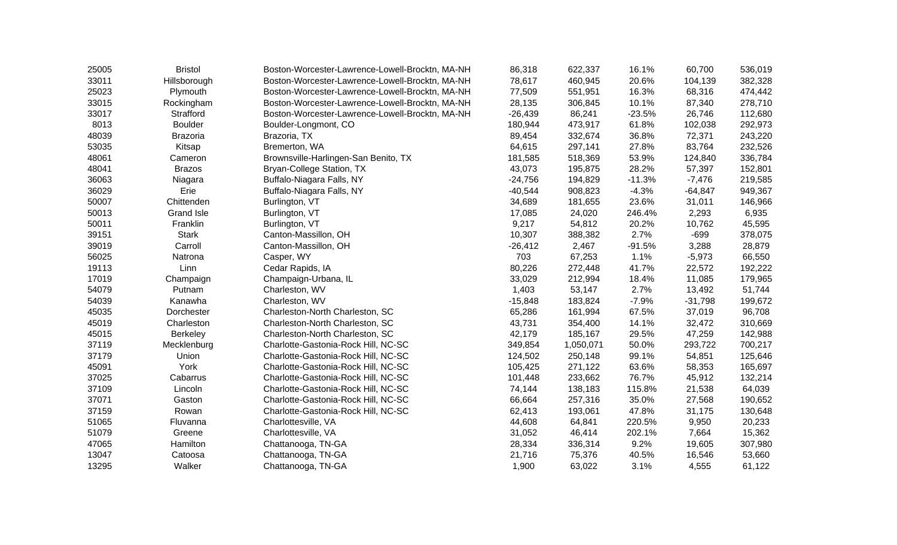| 25005 | <b>Bristol</b>    | Boston-Worcester-Lawrence-Lowell-Brocktn, MA-NH | 86,318    | 622,337   | 16.1%    | 60,700    | 536,019 |
|-------|-------------------|-------------------------------------------------|-----------|-----------|----------|-----------|---------|
| 33011 | Hillsborough      | Boston-Worcester-Lawrence-Lowell-Brocktn, MA-NH | 78,617    | 460,945   | 20.6%    | 104,139   | 382,328 |
| 25023 | Plymouth          | Boston-Worcester-Lawrence-Lowell-Brocktn, MA-NH | 77,509    | 551,951   | 16.3%    | 68,316    | 474,442 |
| 33015 | Rockingham        | Boston-Worcester-Lawrence-Lowell-Brocktn, MA-NH | 28,135    | 306,845   | 10.1%    | 87,340    | 278,710 |
| 33017 | Strafford         | Boston-Worcester-Lawrence-Lowell-Brocktn, MA-NH | $-26,439$ | 86,241    | $-23.5%$ | 26,746    | 112,680 |
| 8013  | <b>Boulder</b>    | Boulder-Longmont, CO                            | 180,944   | 473,917   | 61.8%    | 102,038   | 292,973 |
| 48039 | <b>Brazoria</b>   | Brazoria, TX                                    | 89,454    | 332,674   | 36.8%    | 72,371    | 243,220 |
| 53035 | Kitsap            | Bremerton, WA                                   | 64,615    | 297,141   | 27.8%    | 83,764    | 232,526 |
| 48061 | Cameron           | Brownsville-Harlingen-San Benito, TX            | 181,585   | 518,369   | 53.9%    | 124,840   | 336,784 |
| 48041 | <b>Brazos</b>     | Bryan-College Station, TX                       | 43,073    | 195,875   | 28.2%    | 57,397    | 152,801 |
| 36063 | Niagara           | Buffalo-Niagara Falls, NY                       | $-24,756$ | 194,829   | $-11.3%$ | $-7,476$  | 219,585 |
| 36029 | Erie              | Buffalo-Niagara Falls, NY                       | $-40,544$ | 908,823   | $-4.3%$  | $-64,847$ | 949,367 |
| 50007 | Chittenden        | Burlington, VT                                  | 34,689    | 181,655   | 23.6%    | 31,011    | 146,966 |
| 50013 | <b>Grand Isle</b> | Burlington, VT                                  | 17,085    | 24,020    | 246.4%   | 2,293     | 6,935   |
| 50011 | Franklin          | Burlington, VT                                  | 9,217     | 54,812    | 20.2%    | 10,762    | 45,595  |
| 39151 | <b>Stark</b>      | Canton-Massillon, OH                            | 10,307    | 388,382   | 2.7%     | $-699$    | 378,075 |
| 39019 | Carroll           | Canton-Massillon, OH                            | $-26,412$ | 2,467     | $-91.5%$ | 3,288     | 28,879  |
| 56025 | Natrona           | Casper, WY                                      | 703       | 67,253    | 1.1%     | $-5,973$  | 66,550  |
| 19113 | Linn              | Cedar Rapids, IA                                | 80,226    | 272,448   | 41.7%    | 22,572    | 192,222 |
| 17019 | Champaign         | Champaign-Urbana, IL                            | 33,029    | 212,994   | 18.4%    | 11,085    | 179,965 |
| 54079 | Putnam            | Charleston, WV                                  | 1,403     | 53,147    | 2.7%     | 13,492    | 51,744  |
| 54039 | Kanawha           | Charleston, WV                                  | $-15,848$ | 183,824   | $-7.9%$  | $-31,798$ | 199,672 |
| 45035 | Dorchester        | Charleston-North Charleston, SC                 | 65,286    | 161,994   | 67.5%    | 37,019    | 96,708  |
| 45019 | Charleston        | Charleston-North Charleston, SC                 | 43,731    | 354,400   | 14.1%    | 32,472    | 310,669 |
| 45015 | <b>Berkeley</b>   | Charleston-North Charleston, SC                 | 42,179    | 185,167   | 29.5%    | 47,259    | 142,988 |
| 37119 | Mecklenburg       | Charlotte-Gastonia-Rock Hill, NC-SC             | 349,854   | 1,050,071 | 50.0%    | 293,722   | 700,217 |
| 37179 | Union             | Charlotte-Gastonia-Rock Hill, NC-SC             | 124,502   | 250,148   | 99.1%    | 54,851    | 125,646 |
| 45091 | York              | Charlotte-Gastonia-Rock Hill, NC-SC             | 105,425   | 271,122   | 63.6%    | 58,353    | 165,697 |
| 37025 | Cabarrus          | Charlotte-Gastonia-Rock Hill, NC-SC             | 101,448   | 233,662   | 76.7%    | 45,912    | 132,214 |
| 37109 | Lincoln           | Charlotte-Gastonia-Rock Hill, NC-SC             | 74,144    | 138,183   | 115.8%   | 21,538    | 64,039  |
| 37071 | Gaston            | Charlotte-Gastonia-Rock Hill, NC-SC             | 66,664    | 257,316   | 35.0%    | 27,568    | 190,652 |
| 37159 | Rowan             | Charlotte-Gastonia-Rock Hill, NC-SC             | 62,413    | 193,061   | 47.8%    | 31,175    | 130,648 |
| 51065 | Fluvanna          | Charlottesville, VA                             | 44,608    | 64,841    | 220.5%   | 9,950     | 20,233  |
| 51079 | Greene            | Charlottesville, VA                             | 31,052    | 46,414    | 202.1%   | 7,664     | 15,362  |
| 47065 | Hamilton          | Chattanooga, TN-GA                              | 28,334    | 336,314   | 9.2%     | 19,605    | 307,980 |
| 13047 | Catoosa           | Chattanooga, TN-GA                              | 21,716    | 75,376    | 40.5%    | 16,546    | 53,660  |
| 13295 | Walker            | Chattanooga, TN-GA                              | 1,900     | 63,022    | 3.1%     | 4,555     | 61,122  |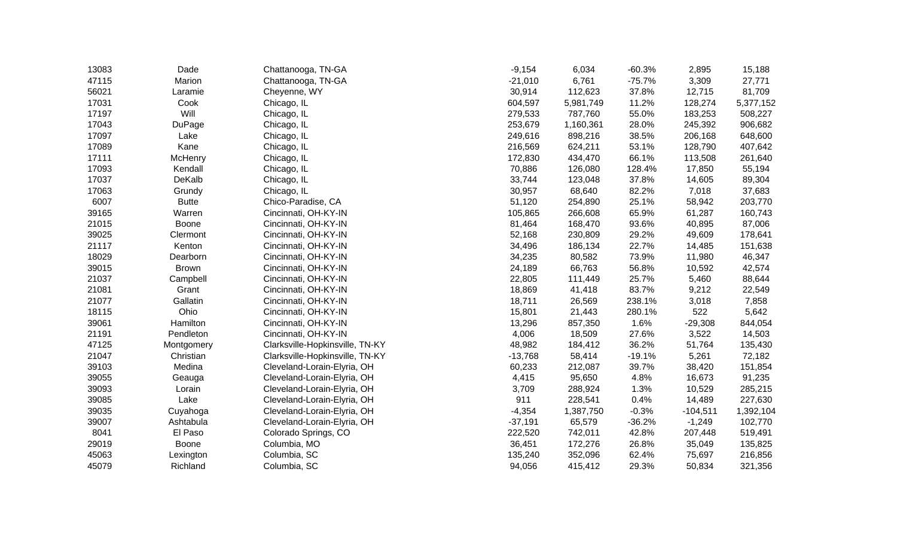| 13083 | Dade          | Chattanooga, TN-GA              | $-9,154$  | 6,034     | $-60.3%$ | 2,895      | 15,188    |
|-------|---------------|---------------------------------|-----------|-----------|----------|------------|-----------|
| 47115 | Marion        | Chattanooga, TN-GA              | $-21,010$ | 6,761     | $-75.7%$ | 3,309      | 27,771    |
| 56021 | Laramie       | Cheyenne, WY                    | 30,914    | 112,623   | 37.8%    | 12,715     | 81,709    |
| 17031 | Cook          | Chicago, IL                     | 604,597   | 5,981,749 | 11.2%    | 128,274    | 5,377,152 |
| 17197 | Will          | Chicago, IL                     | 279,533   | 787,760   | 55.0%    | 183,253    | 508,227   |
| 17043 | <b>DuPage</b> | Chicago, IL                     | 253,679   | 1,160,361 | 28.0%    | 245,392    | 906,682   |
| 17097 | Lake          | Chicago, IL                     | 249,616   | 898,216   | 38.5%    | 206,168    | 648,600   |
| 17089 | Kane          | Chicago, IL                     | 216,569   | 624,211   | 53.1%    | 128,790    | 407,642   |
| 17111 | McHenry       | Chicago, IL                     | 172,830   | 434,470   | 66.1%    | 113,508    | 261,640   |
| 17093 | Kendall       | Chicago, IL                     | 70,886    | 126,080   | 128.4%   | 17,850     | 55,194    |
| 17037 | DeKalb        | Chicago, IL                     | 33,744    | 123,048   | 37.8%    | 14,605     | 89,304    |
| 17063 | Grundy        | Chicago, IL                     | 30,957    | 68,640    | 82.2%    | 7,018      | 37,683    |
| 6007  | <b>Butte</b>  | Chico-Paradise, CA              | 51,120    | 254,890   | 25.1%    | 58,942     | 203,770   |
| 39165 | Warren        | Cincinnati, OH-KY-IN            | 105,865   | 266,608   | 65.9%    | 61,287     | 160,743   |
| 21015 | Boone         | Cincinnati, OH-KY-IN            | 81,464    | 168,470   | 93.6%    | 40,895     | 87,006    |
| 39025 | Clermont      | Cincinnati, OH-KY-IN            | 52,168    | 230,809   | 29.2%    | 49,609     | 178,641   |
| 21117 | Kenton        | Cincinnati, OH-KY-IN            | 34,496    | 186,134   | 22.7%    | 14,485     | 151,638   |
| 18029 | Dearborn      | Cincinnati, OH-KY-IN            | 34,235    | 80,582    | 73.9%    | 11,980     | 46,347    |
| 39015 | <b>Brown</b>  | Cincinnati, OH-KY-IN            | 24,189    | 66,763    | 56.8%    | 10,592     | 42,574    |
| 21037 | Campbell      | Cincinnati, OH-KY-IN            | 22,805    | 111,449   | 25.7%    | 5,460      | 88,644    |
| 21081 | Grant         | Cincinnati, OH-KY-IN            | 18,869    | 41,418    | 83.7%    | 9,212      | 22,549    |
| 21077 | Gallatin      | Cincinnati, OH-KY-IN            | 18,711    | 26,569    | 238.1%   | 3,018      | 7,858     |
| 18115 | Ohio          | Cincinnati, OH-KY-IN            | 15,801    | 21,443    | 280.1%   | 522        | 5,642     |
| 39061 | Hamilton      | Cincinnati, OH-KY-IN            | 13,296    | 857,350   | 1.6%     | $-29,308$  | 844,054   |
| 21191 | Pendleton     | Cincinnati, OH-KY-IN            | 4,006     | 18,509    | 27.6%    | 3,522      | 14,503    |
| 47125 | Montgomery    | Clarksville-Hopkinsville, TN-KY | 48,982    | 184,412   | 36.2%    | 51,764     | 135,430   |
| 21047 | Christian     | Clarksville-Hopkinsville, TN-KY | $-13,768$ | 58,414    | $-19.1%$ | 5,261      | 72,182    |
| 39103 | Medina        | Cleveland-Lorain-Elyria, OH     | 60,233    | 212,087   | 39.7%    | 38,420     | 151,854   |
| 39055 | Geauga        | Cleveland-Lorain-Elyria, OH     | 4,415     | 95,650    | 4.8%     | 16,673     | 91,235    |
| 39093 | Lorain        | Cleveland-Lorain-Elyria, OH     | 3,709     | 288,924   | 1.3%     | 10,529     | 285,215   |
| 39085 | Lake          | Cleveland-Lorain-Elyria, OH     | 911       | 228,541   | 0.4%     | 14,489     | 227,630   |
| 39035 | Cuyahoga      | Cleveland-Lorain-Elyria, OH     | $-4,354$  | 1,387,750 | $-0.3%$  | $-104,511$ | 1,392,104 |
| 39007 | Ashtabula     | Cleveland-Lorain-Elyria, OH     | $-37,191$ | 65,579    | $-36.2%$ | $-1,249$   | 102,770   |
| 8041  | El Paso       | Colorado Springs, CO            | 222,520   | 742,011   | 42.8%    | 207,448    | 519,491   |
| 29019 | Boone         | Columbia, MO                    | 36,451    | 172,276   | 26.8%    | 35,049     | 135,825   |
| 45063 | Lexington     | Columbia, SC                    | 135,240   | 352,096   | 62.4%    | 75,697     | 216,856   |
| 45079 | Richland      | Columbia, SC                    | 94,056    | 415,412   | 29.3%    | 50,834     | 321,356   |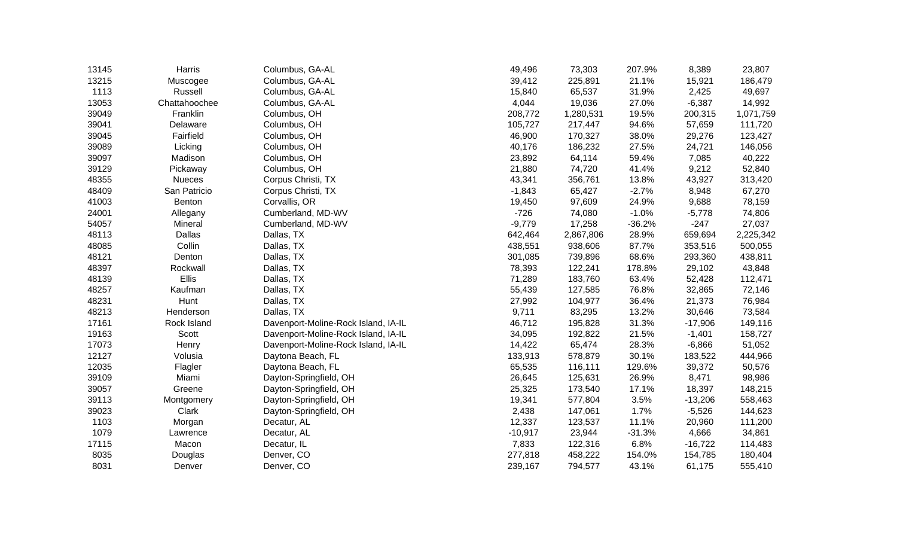| 13145 | Harris        | Columbus, GA-AL                     | 49,496    | 73,303    | 207.9%   | 8,389     | 23,807    |
|-------|---------------|-------------------------------------|-----------|-----------|----------|-----------|-----------|
| 13215 | Muscogee      | Columbus, GA-AL                     | 39,412    | 225,891   | 21.1%    | 15,921    | 186,479   |
| 1113  | Russell       | Columbus, GA-AL                     | 15,840    | 65,537    | 31.9%    | 2,425     | 49,697    |
| 13053 | Chattahoochee | Columbus, GA-AL                     | 4,044     | 19,036    | 27.0%    | $-6,387$  | 14,992    |
| 39049 | Franklin      | Columbus, OH                        | 208,772   | 1,280,531 | 19.5%    | 200,315   | 1,071,759 |
| 39041 | Delaware      | Columbus, OH                        | 105,727   | 217,447   | 94.6%    | 57,659    | 111,720   |
| 39045 | Fairfield     | Columbus, OH                        | 46,900    | 170,327   | 38.0%    | 29,276    | 123,427   |
| 39089 | Licking       | Columbus, OH                        | 40,176    | 186,232   | 27.5%    | 24,721    | 146,056   |
| 39097 | Madison       | Columbus, OH                        | 23,892    | 64,114    | 59.4%    | 7,085     | 40,222    |
| 39129 | Pickaway      | Columbus, OH                        | 21,880    | 74,720    | 41.4%    | 9,212     | 52,840    |
| 48355 | <b>Nueces</b> | Corpus Christi, TX                  | 43,341    | 356,761   | 13.8%    | 43,927    | 313,420   |
| 48409 | San Patricio  | Corpus Christi, TX                  | $-1,843$  | 65,427    | $-2.7%$  | 8,948     | 67,270    |
| 41003 | Benton        | Corvallis, OR                       | 19,450    | 97,609    | 24.9%    | 9,688     | 78,159    |
| 24001 | Allegany      | Cumberland, MD-WV                   | $-726$    | 74,080    | $-1.0%$  | $-5,778$  | 74,806    |
| 54057 | Mineral       | Cumberland, MD-WV                   | $-9,779$  | 17,258    | $-36.2%$ | $-247$    | 27,037    |
| 48113 | Dallas        | Dallas, TX                          | 642,464   | 2,867,806 | 28.9%    | 659,694   | 2,225,342 |
| 48085 | Collin        | Dallas, TX                          | 438,551   | 938,606   | 87.7%    | 353,516   | 500,055   |
| 48121 | Denton        | Dallas, TX                          | 301,085   | 739,896   | 68.6%    | 293,360   | 438,811   |
| 48397 | Rockwall      | Dallas, TX                          | 78,393    | 122,241   | 178.8%   | 29,102    | 43,848    |
| 48139 | <b>Ellis</b>  | Dallas, TX                          | 71,289    | 183,760   | 63.4%    | 52,428    | 112,471   |
| 48257 | Kaufman       | Dallas, TX                          | 55,439    | 127,585   | 76.8%    | 32,865    | 72,146    |
| 48231 | Hunt          | Dallas, TX                          | 27,992    | 104,977   | 36.4%    | 21,373    | 76,984    |
| 48213 | Henderson     | Dallas, TX                          | 9,711     | 83,295    | 13.2%    | 30,646    | 73,584    |
| 17161 | Rock Island   | Davenport-Moline-Rock Island, IA-IL | 46,712    | 195,828   | 31.3%    | $-17,906$ | 149,116   |
| 19163 | Scott         | Davenport-Moline-Rock Island, IA-IL | 34,095    | 192,822   | 21.5%    | $-1,401$  | 158,727   |
| 17073 | Henry         | Davenport-Moline-Rock Island, IA-IL | 14,422    | 65,474    | 28.3%    | $-6,866$  | 51,052    |
| 12127 | Volusia       | Daytona Beach, FL                   | 133,913   | 578,879   | 30.1%    | 183,522   | 444,966   |
| 12035 | Flagler       | Daytona Beach, FL                   | 65,535    | 116,111   | 129.6%   | 39,372    | 50,576    |
| 39109 | Miami         | Dayton-Springfield, OH              | 26,645    | 125,631   | 26.9%    | 8,471     | 98,986    |
| 39057 | Greene        | Dayton-Springfield, OH              | 25,325    | 173,540   | 17.1%    | 18,397    | 148,215   |
| 39113 | Montgomery    | Dayton-Springfield, OH              | 19,341    | 577,804   | 3.5%     | $-13,206$ | 558,463   |
| 39023 | Clark         | Dayton-Springfield, OH              | 2,438     | 147,061   | 1.7%     | $-5,526$  | 144,623   |
| 1103  | Morgan        | Decatur, AL                         | 12,337    | 123,537   | 11.1%    | 20,960    | 111,200   |
| 1079  | Lawrence      | Decatur, AL                         | $-10,917$ | 23,944    | $-31.3%$ | 4,666     | 34,861    |
| 17115 | Macon         | Decatur, IL                         | 7,833     | 122,316   | 6.8%     | $-16,722$ | 114,483   |
| 8035  | Douglas       | Denver, CO                          | 277,818   | 458,222   | 154.0%   | 154,785   | 180,404   |
| 8031  | Denver        | Denver, CO                          | 239,167   | 794,577   | 43.1%    | 61,175    | 555,410   |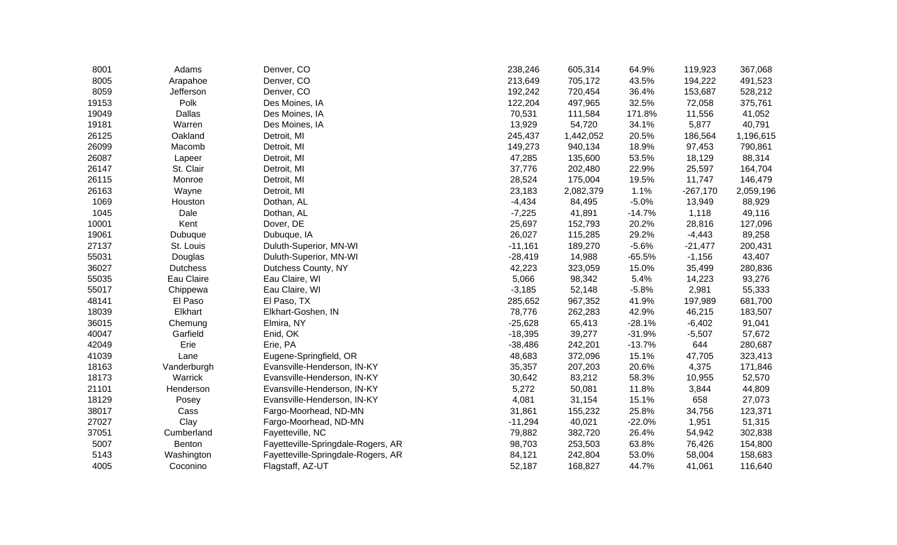| 8001  | Adams           | Denver, CO                         | 238,246   | 605,314   | 64.9%    | 119,923    | 367,068   |
|-------|-----------------|------------------------------------|-----------|-----------|----------|------------|-----------|
| 8005  | Arapahoe        | Denver, CO                         | 213,649   | 705,172   | 43.5%    | 194,222    | 491,523   |
| 8059  | Jefferson       | Denver, CO                         | 192,242   | 720,454   | 36.4%    | 153,687    | 528,212   |
| 19153 | Polk            | Des Moines, IA                     | 122,204   | 497,965   | 32.5%    | 72,058     | 375,761   |
| 19049 | <b>Dallas</b>   | Des Moines, IA                     | 70,531    | 111,584   | 171.8%   | 11,556     | 41,052    |
| 19181 | Warren          | Des Moines, IA                     | 13,929    | 54,720    | 34.1%    | 5,877      | 40,791    |
| 26125 | Oakland         | Detroit, MI                        | 245,437   | 1,442,052 | 20.5%    | 186,564    | 1,196,615 |
| 26099 | Macomb          | Detroit, MI                        | 149,273   | 940,134   | 18.9%    | 97,453     | 790,861   |
| 26087 | Lapeer          | Detroit, MI                        | 47,285    | 135,600   | 53.5%    | 18,129     | 88,314    |
| 26147 | St. Clair       | Detroit, MI                        | 37,776    | 202,480   | 22.9%    | 25,597     | 164,704   |
| 26115 | Monroe          | Detroit, MI                        | 28,524    | 175,004   | 19.5%    | 11,747     | 146,479   |
| 26163 | Wayne           | Detroit, MI                        | 23,183    | 2,082,379 | 1.1%     | $-267,170$ | 2,059,196 |
| 1069  | Houston         | Dothan, AL                         | $-4,434$  | 84,495    | $-5.0%$  | 13,949     | 88,929    |
| 1045  | Dale            | Dothan, AL                         | $-7,225$  | 41,891    | $-14.7%$ | 1,118      | 49,116    |
| 10001 | Kent            | Dover, DE                          | 25,697    | 152,793   | 20.2%    | 28,816     | 127,096   |
| 19061 | Dubuque         | Dubuque, IA                        | 26,027    | 115,285   | 29.2%    | $-4,443$   | 89,258    |
| 27137 | St. Louis       | Duluth-Superior, MN-WI             | $-11,161$ | 189,270   | $-5.6%$  | $-21,477$  | 200,431   |
| 55031 | Douglas         | Duluth-Superior, MN-WI             | $-28,419$ | 14,988    | $-65.5%$ | $-1,156$   | 43,407    |
| 36027 | <b>Dutchess</b> | Dutchess County, NY                | 42,223    | 323,059   | 15.0%    | 35,499     | 280,836   |
| 55035 | Eau Claire      | Eau Claire, WI                     | 5,066     | 98,342    | 5.4%     | 14,223     | 93,276    |
| 55017 | Chippewa        | Eau Claire, WI                     | $-3,185$  | 52,148    | $-5.8%$  | 2,981      | 55,333    |
| 48141 | El Paso         | El Paso, TX                        | 285,652   | 967,352   | 41.9%    | 197,989    | 681,700   |
| 18039 | Elkhart         | Elkhart-Goshen, IN                 | 78,776    | 262,283   | 42.9%    | 46,215     | 183,507   |
| 36015 | Chemung         | Elmira, NY                         | $-25,628$ | 65,413    | $-28.1%$ | $-6,402$   | 91,041    |
| 40047 | Garfield        | Enid, OK                           | $-18,395$ | 39,277    | $-31.9%$ | $-5,507$   | 57,672    |
| 42049 | Erie            | Erie, PA                           | $-38,486$ | 242,201   | $-13.7%$ | 644        | 280,687   |
| 41039 | Lane            | Eugene-Springfield, OR             | 48,683    | 372,096   | 15.1%    | 47,705     | 323,413   |
| 18163 | Vanderburgh     | Evansville-Henderson, IN-KY        | 35,357    | 207,203   | 20.6%    | 4,375      | 171,846   |
| 18173 | Warrick         | Evansville-Henderson, IN-KY        | 30,642    | 83,212    | 58.3%    | 10,955     | 52,570    |
| 21101 | Henderson       | Evansville-Henderson, IN-KY        | 5,272     | 50,081    | 11.8%    | 3,844      | 44,809    |
| 18129 | Posey           | Evansville-Henderson, IN-KY        | 4,081     | 31,154    | 15.1%    | 658        | 27,073    |
| 38017 | Cass            | Fargo-Moorhead, ND-MN              | 31,861    | 155,232   | 25.8%    | 34,756     | 123,371   |
| 27027 | Clay            | Fargo-Moorhead, ND-MN              | $-11,294$ | 40,021    | $-22.0%$ | 1,951      | 51,315    |
| 37051 | Cumberland      | Fayetteville, NC                   | 79,882    | 382,720   | 26.4%    | 54,942     | 302,838   |
| 5007  | Benton          | Fayetteville-Springdale-Rogers, AR | 98,703    | 253,503   | 63.8%    | 76,426     | 154,800   |
| 5143  | Washington      | Fayetteville-Springdale-Rogers, AR | 84,121    | 242,804   | 53.0%    | 58,004     | 158,683   |
| 4005  | Coconino        | Flagstaff, AZ-UT                   | 52,187    | 168,827   | 44.7%    | 41,061     | 116,640   |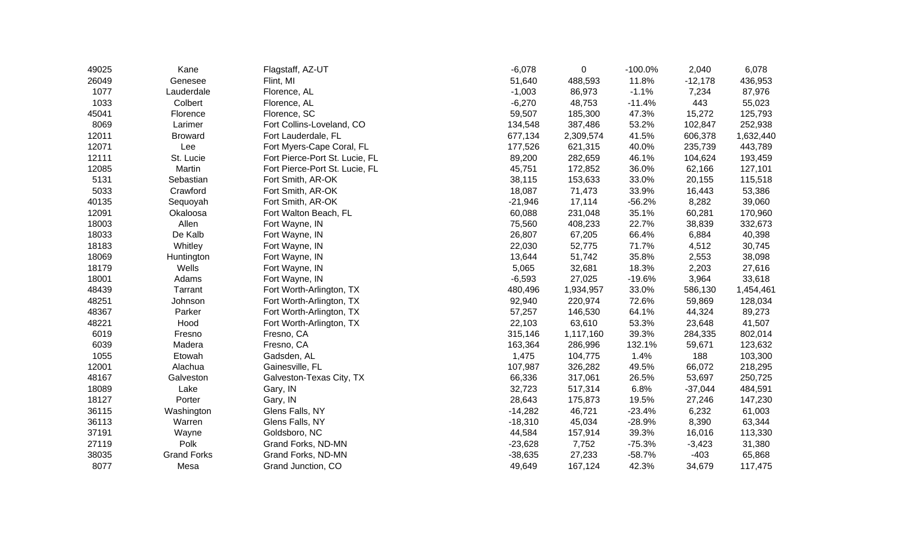| 49025 | Kane               | Flagstaff, AZ-UT               | $-6,078$  | 0         | $-100.0%$ | 2,040     | 6,078     |
|-------|--------------------|--------------------------------|-----------|-----------|-----------|-----------|-----------|
| 26049 | Genesee            | Flint, MI                      | 51,640    | 488,593   | 11.8%     | $-12,178$ | 436,953   |
| 1077  | Lauderdale         | Florence, AL                   | $-1,003$  | 86,973    | $-1.1%$   | 7,234     | 87,976    |
| 1033  | Colbert            | Florence, AL                   | $-6,270$  | 48,753    | $-11.4%$  | 443       | 55,023    |
| 45041 | Florence           | Florence, SC                   | 59,507    | 185,300   | 47.3%     | 15,272    | 125,793   |
| 8069  | Larimer            | Fort Collins-Loveland, CO      | 134,548   | 387,486   | 53.2%     | 102,847   | 252,938   |
| 12011 | <b>Broward</b>     | Fort Lauderdale, FL            | 677,134   | 2,309,574 | 41.5%     | 606,378   | 1,632,440 |
| 12071 | Lee                | Fort Myers-Cape Coral, FL      | 177,526   | 621,315   | 40.0%     | 235,739   | 443,789   |
| 12111 | St. Lucie          | Fort Pierce-Port St. Lucie, FL | 89,200    | 282,659   | 46.1%     | 104,624   | 193,459   |
| 12085 | Martin             | Fort Pierce-Port St. Lucie, FL | 45,751    | 172,852   | 36.0%     | 62,166    | 127,101   |
| 5131  | Sebastian          | Fort Smith, AR-OK              | 38,115    | 153,633   | 33.0%     | 20,155    | 115,518   |
| 5033  | Crawford           | Fort Smith, AR-OK              | 18,087    | 71,473    | 33.9%     | 16,443    | 53,386    |
| 40135 | Sequoyah           | Fort Smith, AR-OK              | $-21,946$ | 17,114    | $-56.2%$  | 8,282     | 39,060    |
| 12091 | Okaloosa           | Fort Walton Beach, FL          | 60,088    | 231,048   | 35.1%     | 60,281    | 170,960   |
| 18003 | Allen              | Fort Wayne, IN                 | 75,560    | 408,233   | 22.7%     | 38,839    | 332,673   |
| 18033 | De Kalb            | Fort Wayne, IN                 | 26,807    | 67,205    | 66.4%     | 6,884     | 40,398    |
| 18183 | Whitley            | Fort Wayne, IN                 | 22,030    | 52,775    | 71.7%     | 4,512     | 30,745    |
| 18069 | Huntington         | Fort Wayne, IN                 | 13,644    | 51,742    | 35.8%     | 2,553     | 38,098    |
| 18179 | Wells              | Fort Wayne, IN                 | 5,065     | 32,681    | 18.3%     | 2,203     | 27,616    |
| 18001 | Adams              | Fort Wayne, IN                 | $-6,593$  | 27,025    | $-19.6%$  | 3,964     | 33,618    |
| 48439 | Tarrant            | Fort Worth-Arlington, TX       | 480,496   | 1,934,957 | 33.0%     | 586,130   | 1,454,461 |
| 48251 | Johnson            | Fort Worth-Arlington, TX       | 92,940    | 220,974   | 72.6%     | 59,869    | 128,034   |
| 48367 | Parker             | Fort Worth-Arlington, TX       | 57,257    | 146,530   | 64.1%     | 44,324    | 89,273    |
| 48221 | Hood               | Fort Worth-Arlington, TX       | 22,103    | 63,610    | 53.3%     | 23,648    | 41,507    |
| 6019  | Fresno             | Fresno, CA                     | 315,146   | 1,117,160 | 39.3%     | 284,335   | 802,014   |
| 6039  | Madera             | Fresno, CA                     | 163,364   | 286,996   | 132.1%    | 59,671    | 123,632   |
| 1055  | Etowah             | Gadsden, AL                    | 1,475     | 104,775   | 1.4%      | 188       | 103,300   |
| 12001 | Alachua            | Gainesville, FL                | 107,987   | 326,282   | 49.5%     | 66,072    | 218,295   |
| 48167 | Galveston          | Galveston-Texas City, TX       | 66,336    | 317,061   | 26.5%     | 53,697    | 250,725   |
| 18089 | Lake               | Gary, IN                       | 32,723    | 517,314   | 6.8%      | $-37,044$ | 484,591   |
| 18127 | Porter             | Gary, IN                       | 28,643    | 175,873   | 19.5%     | 27,246    | 147,230   |
| 36115 | Washington         | Glens Falls, NY                | $-14,282$ | 46,721    | $-23.4%$  | 6,232     | 61,003    |
| 36113 | Warren             | Glens Falls, NY                | $-18,310$ | 45,034    | $-28.9%$  | 8,390     | 63,344    |
| 37191 | Wayne              | Goldsboro, NC                  | 44,584    | 157,914   | 39.3%     | 16,016    | 113,330   |
| 27119 | Polk               | Grand Forks, ND-MN             | $-23,628$ | 7,752     | $-75.3%$  | $-3,423$  | 31,380    |
| 38035 | <b>Grand Forks</b> | Grand Forks, ND-MN             | $-38,635$ | 27,233    | $-58.7%$  | $-403$    | 65,868    |
| 8077  | Mesa               | Grand Junction, CO             | 49,649    | 167,124   | 42.3%     | 34,679    | 117,475   |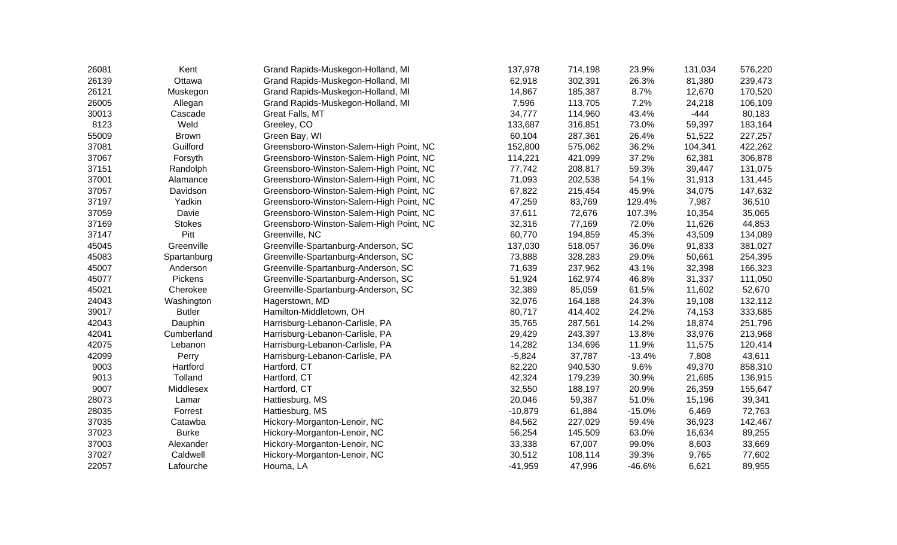| 26081 | Kent          | Grand Rapids-Muskegon-Holland, MI       | 137,978   | 714,198 | 23.9%    | 131,034 | 576,220 |
|-------|---------------|-----------------------------------------|-----------|---------|----------|---------|---------|
| 26139 | Ottawa        | Grand Rapids-Muskegon-Holland, MI       | 62,918    | 302,391 | 26.3%    | 81,380  | 239,473 |
| 26121 | Muskegon      | Grand Rapids-Muskegon-Holland, MI       | 14,867    | 185,387 | 8.7%     | 12,670  | 170,520 |
| 26005 | Allegan       | Grand Rapids-Muskegon-Holland, MI       | 7,596     | 113,705 | 7.2%     | 24,218  | 106,109 |
| 30013 | Cascade       | Great Falls, MT                         | 34,777    | 114,960 | 43.4%    | $-444$  | 80,183  |
| 8123  | Weld          | Greeley, CO                             | 133,687   | 316,851 | 73.0%    | 59,397  | 183,164 |
| 55009 | <b>Brown</b>  | Green Bay, WI                           | 60,104    | 287,361 | 26.4%    | 51,522  | 227,257 |
| 37081 | Guilford      | Greensboro-Winston-Salem-High Point, NC | 152,800   | 575,062 | 36.2%    | 104,341 | 422,262 |
| 37067 | Forsyth       | Greensboro-Winston-Salem-High Point, NC | 114,221   | 421,099 | 37.2%    | 62,381  | 306,878 |
| 37151 | Randolph      | Greensboro-Winston-Salem-High Point, NC | 77,742    | 208,817 | 59.3%    | 39,447  | 131,075 |
| 37001 | Alamance      | Greensboro-Winston-Salem-High Point, NC | 71,093    | 202,538 | 54.1%    | 31,913  | 131,445 |
| 37057 | Davidson      | Greensboro-Winston-Salem-High Point, NC | 67,822    | 215,454 | 45.9%    | 34,075  | 147,632 |
| 37197 | Yadkin        | Greensboro-Winston-Salem-High Point, NC | 47,259    | 83,769  | 129.4%   | 7,987   | 36,510  |
| 37059 | Davie         | Greensboro-Winston-Salem-High Point, NC | 37,611    | 72,676  | 107.3%   | 10,354  | 35,065  |
| 37169 | <b>Stokes</b> | Greensboro-Winston-Salem-High Point, NC | 32,316    | 77,169  | 72.0%    | 11,626  | 44,853  |
| 37147 | Pitt          | Greenville, NC                          | 60,770    | 194,859 | 45.3%    | 43,509  | 134,089 |
| 45045 | Greenville    | Greenville-Spartanburg-Anderson, SC     | 137,030   | 518,057 | 36.0%    | 91,833  | 381,027 |
| 45083 | Spartanburg   | Greenville-Spartanburg-Anderson, SC     | 73,888    | 328,283 | 29.0%    | 50,661  | 254,395 |
| 45007 | Anderson      | Greenville-Spartanburg-Anderson, SC     | 71,639    | 237,962 | 43.1%    | 32,398  | 166,323 |
| 45077 | Pickens       | Greenville-Spartanburg-Anderson, SC     | 51,924    | 162,974 | 46.8%    | 31,337  | 111,050 |
| 45021 | Cherokee      | Greenville-Spartanburg-Anderson, SC     | 32,389    | 85,059  | 61.5%    | 11,602  | 52,670  |
| 24043 | Washington    | Hagerstown, MD                          | 32,076    | 164,188 | 24.3%    | 19,108  | 132,112 |
| 39017 | <b>Butler</b> | Hamilton-Middletown, OH                 | 80,717    | 414,402 | 24.2%    | 74,153  | 333,685 |
| 42043 | Dauphin       | Harrisburg-Lebanon-Carlisle, PA         | 35,765    | 287,561 | 14.2%    | 18,874  | 251,796 |
| 42041 | Cumberland    | Harrisburg-Lebanon-Carlisle, PA         | 29,429    | 243,397 | 13.8%    | 33,976  | 213,968 |
| 42075 | Lebanon       | Harrisburg-Lebanon-Carlisle, PA         | 14,282    | 134,696 | 11.9%    | 11,575  | 120,414 |
| 42099 | Perry         | Harrisburg-Lebanon-Carlisle, PA         | $-5,824$  | 37,787  | $-13.4%$ | 7,808   | 43,611  |
| 9003  | Hartford      | Hartford, CT                            | 82,220    | 940,530 | 9.6%     | 49,370  | 858,310 |
| 9013  | Tolland       | Hartford, CT                            | 42,324    | 179,239 | 30.9%    | 21,685  | 136,915 |
| 9007  | Middlesex     | Hartford, CT                            | 32,550    | 188,197 | 20.9%    | 26,359  | 155,647 |
| 28073 | Lamar         | Hattiesburg, MS                         | 20,046    | 59,387  | 51.0%    | 15,196  | 39,341  |
| 28035 | Forrest       | Hattiesburg, MS                         | $-10,879$ | 61,884  | $-15.0%$ | 6,469   | 72,763  |
| 37035 | Catawba       | Hickory-Morganton-Lenoir, NC            | 84,562    | 227,029 | 59.4%    | 36,923  | 142,467 |
| 37023 | <b>Burke</b>  | Hickory-Morganton-Lenoir, NC            | 56,254    | 145,509 | 63.0%    | 16,634  | 89,255  |
| 37003 | Alexander     | Hickory-Morganton-Lenoir, NC            | 33,338    | 67,007  | 99.0%    | 8,603   | 33,669  |
| 37027 | Caldwell      | Hickory-Morganton-Lenoir, NC            | 30,512    | 108,114 | 39.3%    | 9,765   | 77,602  |
| 22057 | Lafourche     | Houma, LA                               | $-41,959$ | 47,996  | $-46.6%$ | 6,621   | 89,955  |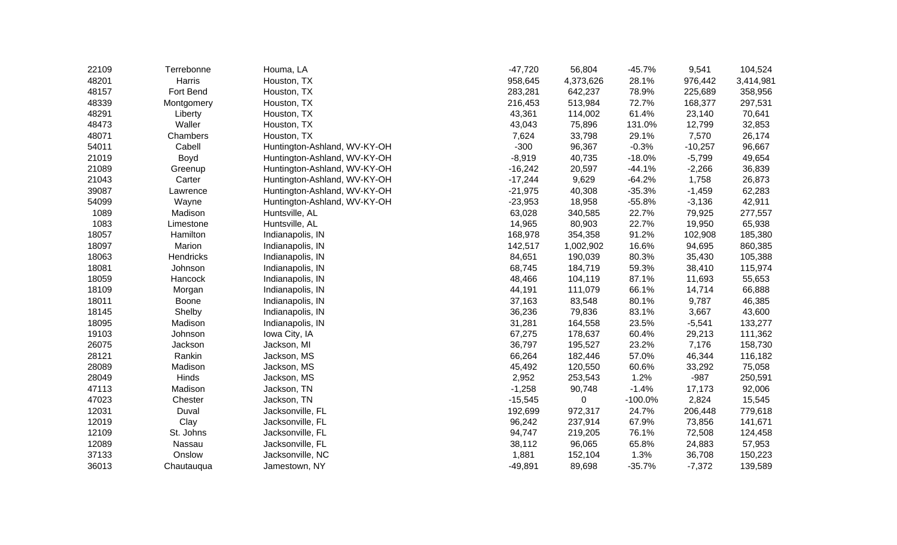| 22109 | Terrebonne | Houma, LA                    | $-47,720$ | 56,804    | $-45.7%$  | 9,541     | 104,524   |
|-------|------------|------------------------------|-----------|-----------|-----------|-----------|-----------|
| 48201 | Harris     | Houston, TX                  | 958,645   | 4,373,626 | 28.1%     | 976,442   | 3,414,981 |
| 48157 | Fort Bend  | Houston, TX                  | 283,281   | 642,237   | 78.9%     | 225,689   | 358,956   |
| 48339 | Montgomery | Houston, TX                  | 216,453   | 513,984   | 72.7%     | 168,377   | 297,531   |
| 48291 | Liberty    | Houston, TX                  | 43,361    | 114,002   | 61.4%     | 23,140    | 70,641    |
| 48473 | Waller     | Houston, TX                  | 43,043    | 75,896    | 131.0%    | 12,799    | 32,853    |
| 48071 | Chambers   | Houston, TX                  | 7,624     | 33,798    | 29.1%     | 7,570     | 26,174    |
| 54011 | Cabell     | Huntington-Ashland, WV-KY-OH | $-300$    | 96,367    | $-0.3%$   | $-10,257$ | 96,667    |
| 21019 | Boyd       | Huntington-Ashland, WV-KY-OH | $-8,919$  | 40,735    | $-18.0%$  | $-5,799$  | 49,654    |
| 21089 | Greenup    | Huntington-Ashland, WV-KY-OH | $-16,242$ | 20,597    | $-44.1%$  | $-2,266$  | 36,839    |
| 21043 | Carter     | Huntington-Ashland, WV-KY-OH | $-17,244$ | 9,629     | $-64.2%$  | 1,758     | 26,873    |
| 39087 | Lawrence   | Huntington-Ashland, WV-KY-OH | $-21,975$ | 40,308    | $-35.3%$  | $-1,459$  | 62,283    |
| 54099 | Wayne      | Huntington-Ashland, WV-KY-OH | $-23,953$ | 18,958    | $-55.8%$  | $-3,136$  | 42,911    |
| 1089  | Madison    | Huntsville, AL               | 63,028    | 340,585   | 22.7%     | 79,925    | 277,557   |
| 1083  | Limestone  | Huntsville, AL               | 14,965    | 80,903    | 22.7%     | 19,950    | 65,938    |
| 18057 | Hamilton   | Indianapolis, IN             | 168,978   | 354,358   | 91.2%     | 102,908   | 185,380   |
| 18097 | Marion     | Indianapolis, IN             | 142,517   | 1,002,902 | 16.6%     | 94,695    | 860,385   |
| 18063 | Hendricks  | Indianapolis, IN             | 84,651    | 190,039   | 80.3%     | 35,430    | 105,388   |
| 18081 | Johnson    | Indianapolis, IN             | 68,745    | 184,719   | 59.3%     | 38,410    | 115,974   |
| 18059 | Hancock    | Indianapolis, IN             | 48,466    | 104,119   | 87.1%     | 11,693    | 55,653    |
| 18109 | Morgan     | Indianapolis, IN             | 44,191    | 111,079   | 66.1%     | 14,714    | 66,888    |
| 18011 | Boone      | Indianapolis, IN             | 37,163    | 83,548    | 80.1%     | 9,787     | 46,385    |
| 18145 | Shelby     | Indianapolis, IN             | 36,236    | 79,836    | 83.1%     | 3,667     | 43,600    |
| 18095 | Madison    | Indianapolis, IN             | 31,281    | 164,558   | 23.5%     | $-5,541$  | 133,277   |
| 19103 | Johnson    | Iowa City, IA                | 67,275    | 178,637   | 60.4%     | 29,213    | 111,362   |
| 26075 | Jackson    | Jackson, MI                  | 36,797    | 195,527   | 23.2%     | 7,176     | 158,730   |
| 28121 | Rankin     | Jackson, MS                  | 66,264    | 182,446   | 57.0%     | 46,344    | 116,182   |
| 28089 | Madison    | Jackson, MS                  | 45,492    | 120,550   | 60.6%     | 33,292    | 75,058    |
| 28049 | Hinds      | Jackson, MS                  | 2,952     | 253,543   | 1.2%      | $-987$    | 250,591   |
| 47113 | Madison    | Jackson, TN                  | $-1,258$  | 90,748    | $-1.4%$   | 17,173    | 92,006    |
| 47023 | Chester    | Jackson, TN                  | $-15,545$ | 0         | $-100.0%$ | 2,824     | 15,545    |
| 12031 | Duval      | Jacksonville, FL             | 192,699   | 972,317   | 24.7%     | 206,448   | 779,618   |
| 12019 | Clay       | Jacksonville, FL             | 96,242    | 237,914   | 67.9%     | 73,856    | 141,671   |
| 12109 | St. Johns  | Jacksonville, FL             | 94,747    | 219,205   | 76.1%     | 72,508    | 124,458   |
| 12089 | Nassau     | Jacksonville, FL             | 38,112    | 96,065    | 65.8%     | 24,883    | 57,953    |
| 37133 | Onslow     | Jacksonville, NC             | 1,881     | 152,104   | 1.3%      | 36,708    | 150,223   |
| 36013 | Chautauqua | Jamestown, NY                | $-49,891$ | 89,698    | $-35.7%$  | $-7,372$  | 139,589   |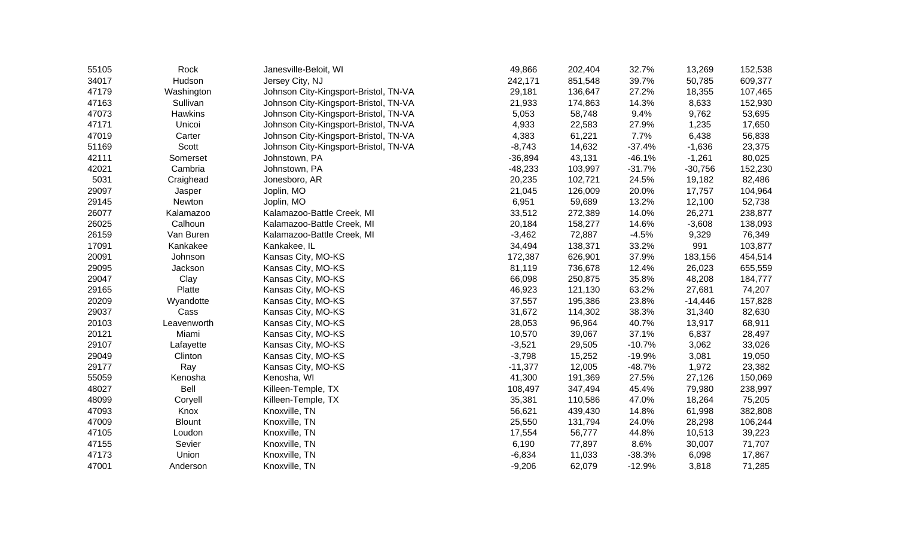| 55105 | Rock          | Janesville-Beloit, WI                 | 49,866    | 202,404 | 32.7%    | 13,269    | 152,538 |
|-------|---------------|---------------------------------------|-----------|---------|----------|-----------|---------|
| 34017 | Hudson        | Jersey City, NJ                       | 242,171   | 851,548 | 39.7%    | 50,785    | 609,377 |
| 47179 | Washington    | Johnson City-Kingsport-Bristol, TN-VA | 29,181    | 136,647 | 27.2%    | 18,355    | 107,465 |
| 47163 | Sullivan      | Johnson City-Kingsport-Bristol, TN-VA | 21,933    | 174,863 | 14.3%    | 8,633     | 152,930 |
| 47073 | Hawkins       | Johnson City-Kingsport-Bristol, TN-VA | 5,053     | 58,748  | 9.4%     | 9,762     | 53,695  |
| 47171 | Unicoi        | Johnson City-Kingsport-Bristol, TN-VA | 4,933     | 22,583  | 27.9%    | 1,235     | 17,650  |
| 47019 | Carter        | Johnson City-Kingsport-Bristol, TN-VA | 4,383     | 61,221  | 7.7%     | 6,438     | 56,838  |
| 51169 | Scott         | Johnson City-Kingsport-Bristol, TN-VA | $-8,743$  | 14,632  | $-37.4%$ | $-1,636$  | 23,375  |
| 42111 | Somerset      | Johnstown, PA                         | $-36,894$ | 43,131  | $-46.1%$ | $-1,261$  | 80,025  |
| 42021 | Cambria       | Johnstown, PA                         | $-48,233$ | 103,997 | $-31.7%$ | $-30,756$ | 152,230 |
| 5031  | Craighead     | Jonesboro, AR                         | 20,235    | 102,721 | 24.5%    | 19,182    | 82,486  |
| 29097 | Jasper        | Joplin, MO                            | 21,045    | 126,009 | 20.0%    | 17,757    | 104,964 |
| 29145 | Newton        | Joplin, MO                            | 6,951     | 59,689  | 13.2%    | 12,100    | 52,738  |
| 26077 | Kalamazoo     | Kalamazoo-Battle Creek, MI            | 33,512    | 272,389 | 14.0%    | 26,271    | 238,877 |
| 26025 | Calhoun       | Kalamazoo-Battle Creek, MI            | 20,184    | 158,277 | 14.6%    | $-3,608$  | 138,093 |
| 26159 | Van Buren     | Kalamazoo-Battle Creek, MI            | $-3,462$  | 72,887  | $-4.5%$  | 9,329     | 76,349  |
| 17091 | Kankakee      | Kankakee, IL                          | 34,494    | 138,371 | 33.2%    | 991       | 103,877 |
| 20091 | Johnson       | Kansas City, MO-KS                    | 172,387   | 626,901 | 37.9%    | 183,156   | 454,514 |
| 29095 | Jackson       | Kansas City, MO-KS                    | 81,119    | 736,678 | 12.4%    | 26,023    | 655,559 |
| 29047 | Clay          | Kansas City, MO-KS                    | 66,098    | 250,875 | 35.8%    | 48,208    | 184,777 |
| 29165 | Platte        | Kansas City, MO-KS                    | 46,923    | 121,130 | 63.2%    | 27,681    | 74,207  |
| 20209 | Wyandotte     | Kansas City, MO-KS                    | 37,557    | 195,386 | 23.8%    | $-14,446$ | 157,828 |
| 29037 | Cass          | Kansas City, MO-KS                    | 31,672    | 114,302 | 38.3%    | 31,340    | 82,630  |
| 20103 | Leavenworth   | Kansas City, MO-KS                    | 28,053    | 96,964  | 40.7%    | 13,917    | 68,911  |
| 20121 | Miami         | Kansas City, MO-KS                    | 10,570    | 39,067  | 37.1%    | 6,837     | 28,497  |
| 29107 | Lafayette     | Kansas City, MO-KS                    | $-3,521$  | 29,505  | $-10.7%$ | 3,062     | 33,026  |
| 29049 | Clinton       | Kansas City, MO-KS                    | $-3,798$  | 15,252  | $-19.9%$ | 3,081     | 19,050  |
| 29177 | Ray           | Kansas City, MO-KS                    | $-11,377$ | 12,005  | $-48.7%$ | 1,972     | 23,382  |
| 55059 | Kenosha       | Kenosha, WI                           | 41,300    | 191,369 | 27.5%    | 27,126    | 150,069 |
| 48027 | <b>Bell</b>   | Killeen-Temple, TX                    | 108,497   | 347,494 | 45.4%    | 79,980    | 238,997 |
| 48099 | Coryell       | Killeen-Temple, TX                    | 35,381    | 110,586 | 47.0%    | 18,264    | 75,205  |
| 47093 | Knox          | Knoxville, TN                         | 56,621    | 439,430 | 14.8%    | 61,998    | 382,808 |
| 47009 | <b>Blount</b> | Knoxville, TN                         | 25,550    | 131,794 | 24.0%    | 28,298    | 106,244 |
| 47105 | Loudon        | Knoxville, TN                         | 17,554    | 56,777  | 44.8%    | 10,513    | 39,223  |
| 47155 | Sevier        | Knoxville, TN                         | 6,190     | 77,897  | 8.6%     | 30,007    | 71,707  |
| 47173 | Union         | Knoxville, TN                         | $-6,834$  | 11,033  | $-38.3%$ | 6,098     | 17,867  |
| 47001 | Anderson      | Knoxville, TN                         | $-9,206$  | 62,079  | $-12.9%$ | 3,818     | 71,285  |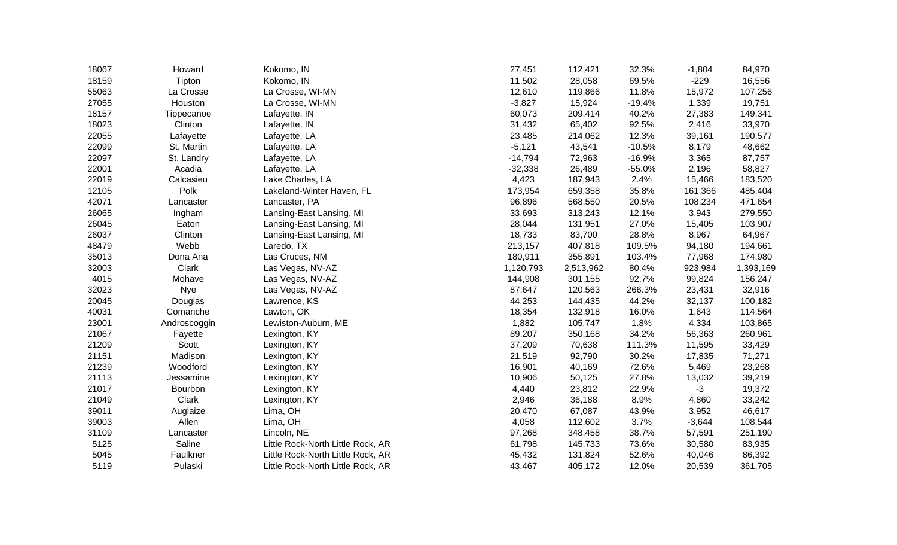| 18067 | Howard       | Kokomo, IN                        | 27,451    | 112,421   | 32.3%    | $-1,804$ | 84,970    |
|-------|--------------|-----------------------------------|-----------|-----------|----------|----------|-----------|
| 18159 | Tipton       | Kokomo, IN                        | 11,502    | 28,058    | 69.5%    | $-229$   | 16,556    |
| 55063 | La Crosse    | La Crosse, WI-MN                  | 12,610    | 119,866   | 11.8%    | 15,972   | 107,256   |
| 27055 | Houston      | La Crosse, WI-MN                  | $-3,827$  | 15,924    | $-19.4%$ | 1,339    | 19,751    |
| 18157 | Tippecanoe   | Lafayette, IN                     | 60,073    | 209,414   | 40.2%    | 27,383   | 149,341   |
| 18023 | Clinton      | Lafayette, IN                     | 31,432    | 65,402    | 92.5%    | 2,416    | 33,970    |
| 22055 | Lafayette    | Lafayette, LA                     | 23,485    | 214,062   | 12.3%    | 39,161   | 190,577   |
| 22099 | St. Martin   | Lafayette, LA                     | $-5,121$  | 43,541    | $-10.5%$ | 8,179    | 48,662    |
| 22097 | St. Landry   | Lafayette, LA                     | $-14,794$ | 72,963    | $-16.9%$ | 3,365    | 87,757    |
| 22001 | Acadia       | Lafayette, LA                     | $-32,338$ | 26,489    | $-55.0%$ | 2,196    | 58,827    |
| 22019 | Calcasieu    | Lake Charles, LA                  | 4,423     | 187,943   | 2.4%     | 15,466   | 183,520   |
| 12105 | Polk         | Lakeland-Winter Haven, FL         | 173,954   | 659,358   | 35.8%    | 161,366  | 485,404   |
| 42071 | Lancaster    | Lancaster, PA                     | 96,896    | 568,550   | 20.5%    | 108,234  | 471,654   |
| 26065 | Ingham       | Lansing-East Lansing, MI          | 33,693    | 313,243   | 12.1%    | 3,943    | 279,550   |
| 26045 | Eaton        | Lansing-East Lansing, MI          | 28,044    | 131,951   | 27.0%    | 15,405   | 103,907   |
| 26037 | Clinton      | Lansing-East Lansing, MI          | 18,733    | 83,700    | 28.8%    | 8,967    | 64,967    |
| 48479 | Webb         | Laredo, TX                        | 213,157   | 407,818   | 109.5%   | 94,180   | 194,661   |
| 35013 | Dona Ana     | Las Cruces, NM                    | 180,911   | 355,891   | 103.4%   | 77,968   | 174,980   |
| 32003 | Clark        | Las Vegas, NV-AZ                  | 1,120,793 | 2,513,962 | 80.4%    | 923,984  | 1,393,169 |
| 4015  | Mohave       | Las Vegas, NV-AZ                  | 144,908   | 301,155   | 92.7%    | 99,824   | 156,247   |
| 32023 | Nye          | Las Vegas, NV-AZ                  | 87,647    | 120,563   | 266.3%   | 23,431   | 32,916    |
| 20045 | Douglas      | Lawrence, KS                      | 44,253    | 144,435   | 44.2%    | 32,137   | 100,182   |
| 40031 | Comanche     | Lawton, OK                        | 18,354    | 132,918   | 16.0%    | 1,643    | 114,564   |
| 23001 | Androscoggin | Lewiston-Auburn, ME               | 1,882     | 105,747   | 1.8%     | 4,334    | 103,865   |
| 21067 | Fayette      | Lexington, KY                     | 89,207    | 350,168   | 34.2%    | 56,363   | 260,961   |
| 21209 | Scott        | Lexington, KY                     | 37,209    | 70,638    | 111.3%   | 11,595   | 33,429    |
| 21151 | Madison      | Lexington, KY                     | 21,519    | 92,790    | 30.2%    | 17,835   | 71,271    |
| 21239 | Woodford     | Lexington, KY                     | 16,901    | 40,169    | 72.6%    | 5,469    | 23,268    |
| 21113 | Jessamine    | Lexington, KY                     | 10,906    | 50,125    | 27.8%    | 13,032   | 39,219    |
| 21017 | Bourbon      | Lexington, KY                     | 4,440     | 23,812    | 22.9%    | $-3$     | 19,372    |
| 21049 | Clark        | Lexington, KY                     | 2,946     | 36,188    | 8.9%     | 4,860    | 33,242    |
| 39011 | Auglaize     | Lima, OH                          | 20,470    | 67,087    | 43.9%    | 3,952    | 46,617    |
| 39003 | Allen        | Lima, OH                          | 4,058     | 112,602   | 3.7%     | $-3,644$ | 108,544   |
| 31109 | Lancaster    | Lincoln, NE                       | 97,268    | 348,458   | 38.7%    | 57,591   | 251,190   |
| 5125  | Saline       | Little Rock-North Little Rock, AR | 61,798    | 145,733   | 73.6%    | 30,580   | 83,935    |
| 5045  | Faulkner     | Little Rock-North Little Rock, AR | 45,432    | 131,824   | 52.6%    | 40,046   | 86,392    |
| 5119  | Pulaski      | Little Rock-North Little Rock, AR | 43,467    | 405,172   | 12.0%    | 20,539   | 361,705   |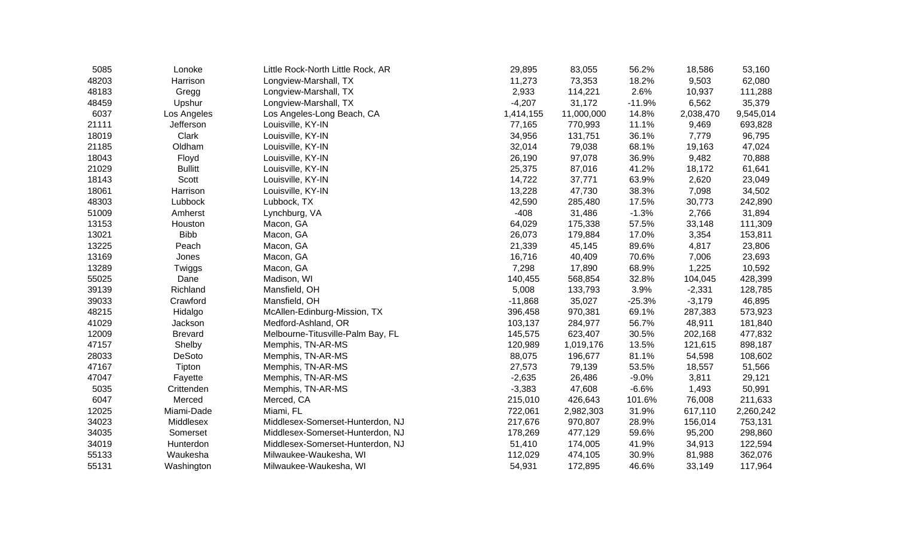| Lonoke         |                                           |                                                                                                                                                                    |                                                                                           | 56.2%                                              |                         | 53,160                                                                               |
|----------------|-------------------------------------------|--------------------------------------------------------------------------------------------------------------------------------------------------------------------|-------------------------------------------------------------------------------------------|----------------------------------------------------|-------------------------|--------------------------------------------------------------------------------------|
| Harrison       | Longview-Marshall, TX                     |                                                                                                                                                                    |                                                                                           |                                                    |                         | 62,080                                                                               |
| Gregg          | Longview-Marshall, TX                     | 2,933                                                                                                                                                              | 114,221                                                                                   | 2.6%                                               | 10,937                  | 111,288                                                                              |
| Upshur         | Longview-Marshall, TX                     | $-4,207$                                                                                                                                                           | 31,172                                                                                    | $-11.9%$                                           | 6,562                   | 35,379                                                                               |
|                |                                           | 1,414,155                                                                                                                                                          |                                                                                           |                                                    |                         | 9,545,014                                                                            |
| Jefferson      | Louisville, KY-IN                         | 77,165                                                                                                                                                             | 770,993                                                                                   | 11.1%                                              |                         | 693,828                                                                              |
| Clark          | Louisville, KY-IN                         |                                                                                                                                                                    | 131,751                                                                                   | 36.1%                                              | 7,779                   | 96,795                                                                               |
| Oldham         | Louisville, KY-IN                         |                                                                                                                                                                    |                                                                                           | 68.1%                                              |                         | 47,024                                                                               |
|                | Louisville, KY-IN                         | 26,190                                                                                                                                                             | 97,078                                                                                    | 36.9%                                              | 9,482                   | 70,888                                                                               |
| <b>Bullitt</b> | Louisville, KY-IN                         |                                                                                                                                                                    | 87,016                                                                                    | 41.2%                                              |                         | 61,641                                                                               |
| Scott          | Louisville, KY-IN                         |                                                                                                                                                                    | 37,771                                                                                    |                                                    |                         | 23,049                                                                               |
| Harrison       | Louisville, KY-IN                         | 13,228                                                                                                                                                             | 47,730                                                                                    | 38.3%                                              | 7,098                   | 34,502                                                                               |
| Lubbock        | Lubbock, TX                               |                                                                                                                                                                    | 285,480                                                                                   | 17.5%                                              | 30,773                  | 242,890                                                                              |
| Amherst        |                                           | $-408$                                                                                                                                                             |                                                                                           | $-1.3%$                                            |                         | 31,894                                                                               |
| Houston        | Macon, GA                                 | 64,029                                                                                                                                                             | 175,338                                                                                   | 57.5%                                              | 33,148                  | 111,309                                                                              |
| <b>Bibb</b>    | Macon, GA                                 |                                                                                                                                                                    | 179,884                                                                                   | 17.0%                                              |                         | 153,811                                                                              |
| Peach          | Macon, GA                                 | 21,339                                                                                                                                                             | 45,145                                                                                    | 89.6%                                              | 4,817                   | 23,806                                                                               |
| Jones          | Macon, GA                                 | 16,716                                                                                                                                                             | 40,409                                                                                    | 70.6%                                              | 7,006                   | 23,693                                                                               |
|                |                                           | 7,298                                                                                                                                                              | 17,890                                                                                    | 68.9%                                              | 1,225                   | 10,592                                                                               |
| Dane           | Madison, WI                               | 140,455                                                                                                                                                            | 568,854                                                                                   | 32.8%                                              | 104,045                 | 428,399                                                                              |
| Richland       | Mansfield, OH                             | 5,008                                                                                                                                                              | 133,793                                                                                   | 3.9%                                               | $-2,331$                | 128,785                                                                              |
| Crawford       | Mansfield, OH                             |                                                                                                                                                                    | 35,027                                                                                    | $-25.3%$                                           | $-3,179$                | 46,895                                                                               |
|                |                                           | 396,458                                                                                                                                                            | 970,381                                                                                   | 69.1%                                              | 287,383                 | 573,923                                                                              |
| Jackson        | Medford-Ashland, OR                       | 103,137                                                                                                                                                            | 284,977                                                                                   | 56.7%                                              | 48,911                  | 181,840                                                                              |
| <b>Brevard</b> |                                           | 145,575                                                                                                                                                            | 623,407                                                                                   | 30.5%                                              | 202,168                 | 477,832                                                                              |
| Shelby         | Memphis, TN-AR-MS                         | 120,989                                                                                                                                                            | 1,019,176                                                                                 | 13.5%                                              | 121,615                 | 898,187                                                                              |
| <b>DeSoto</b>  | Memphis, TN-AR-MS                         | 88,075                                                                                                                                                             | 196,677                                                                                   | 81.1%                                              | 54,598                  | 108,602                                                                              |
| Tipton         | Memphis, TN-AR-MS                         | 27,573                                                                                                                                                             | 79,139                                                                                    | 53.5%                                              | 18,557                  | 51,566                                                                               |
| Fayette        | Memphis, TN-AR-MS                         | $-2,635$                                                                                                                                                           | 26,486                                                                                    | $-9.0%$                                            | 3,811                   | 29,121                                                                               |
| Crittenden     | Memphis, TN-AR-MS                         | $-3,383$                                                                                                                                                           | 47,608                                                                                    | $-6.6%$                                            | 1,493                   | 50,991                                                                               |
| Merced         | Merced, CA                                | 215,010                                                                                                                                                            | 426,643                                                                                   | 101.6%                                             | 76,008                  | 211,633                                                                              |
| Miami-Dade     | Miami, FL                                 | 722,061                                                                                                                                                            | 2,982,303                                                                                 | 31.9%                                              | 617,110                 | 2,260,242                                                                            |
| Middlesex      | Middlesex-Somerset-Hunterdon, NJ          | 217,676                                                                                                                                                            | 970,807                                                                                   | 28.9%                                              | 156,014                 | 753,131                                                                              |
| Somerset       | Middlesex-Somerset-Hunterdon, NJ          | 178,269                                                                                                                                                            | 477,129                                                                                   | 59.6%                                              | 95,200                  | 298,860                                                                              |
| Hunterdon      | Middlesex-Somerset-Hunterdon, NJ          | 51,410                                                                                                                                                             | 174,005                                                                                   | 41.9%                                              | 34,913                  | 122,594                                                                              |
| Waukesha       | Milwaukee-Waukesha, WI                    | 112,029                                                                                                                                                            | 474,105                                                                                   | 30.9%                                              | 81,988                  | 362,076                                                                              |
| Washington     | Milwaukee-Waukesha, WI                    | 54,931                                                                                                                                                             | 172,895                                                                                   | 46.6%                                              | 33,149                  | 117,964                                                                              |
|                | Los Angeles<br>Floyd<br>Twiggs<br>Hidalgo | Little Rock-North Little Rock, AR<br>Los Angeles-Long Beach, CA<br>Lynchburg, VA<br>Macon, GA<br>McAllen-Edinburg-Mission, TX<br>Melbourne-Titusville-Palm Bay, FL | 29,895<br>11,273<br>34,956<br>32,014<br>25,375<br>14,722<br>42,590<br>26,073<br>$-11,868$ | 83,055<br>73,353<br>11,000,000<br>79,038<br>31,486 | 18.2%<br>14.8%<br>63.9% | 18,586<br>9,503<br>2,038,470<br>9,469<br>19,163<br>18,172<br>2,620<br>2,766<br>3,354 |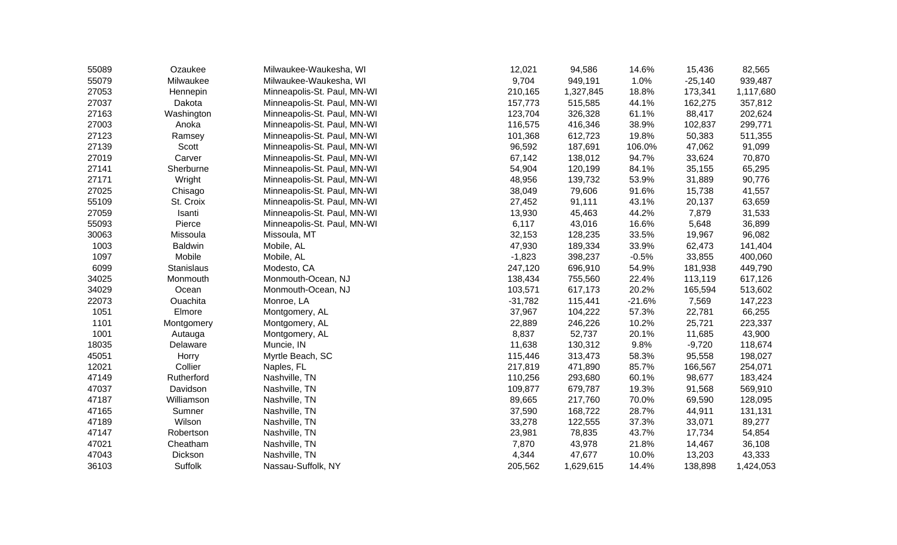| 55089 | Ozaukee        | Milwaukee-Waukesha, WI      | 12,021    | 94,586    | 14.6%    | 15,436    | 82,565    |
|-------|----------------|-----------------------------|-----------|-----------|----------|-----------|-----------|
| 55079 | Milwaukee      | Milwaukee-Waukesha, WI      | 9,704     | 949,191   | 1.0%     | $-25,140$ | 939,487   |
| 27053 | Hennepin       | Minneapolis-St. Paul, MN-WI | 210,165   | 1,327,845 | 18.8%    | 173,341   | 1,117,680 |
| 27037 | Dakota         | Minneapolis-St. Paul, MN-WI | 157,773   | 515,585   | 44.1%    | 162,275   | 357,812   |
| 27163 | Washington     | Minneapolis-St. Paul, MN-WI | 123,704   | 326,328   | 61.1%    | 88,417    | 202,624   |
| 27003 | Anoka          | Minneapolis-St. Paul, MN-WI | 116,575   | 416,346   | 38.9%    | 102,837   | 299,771   |
| 27123 | Ramsey         | Minneapolis-St. Paul, MN-WI | 101,368   | 612,723   | 19.8%    | 50,383    | 511,355   |
| 27139 | Scott          | Minneapolis-St. Paul, MN-WI | 96,592    | 187,691   | 106.0%   | 47,062    | 91,099    |
| 27019 | Carver         | Minneapolis-St. Paul, MN-WI | 67,142    | 138,012   | 94.7%    | 33,624    | 70,870    |
| 27141 | Sherburne      | Minneapolis-St. Paul, MN-WI | 54,904    | 120,199   | 84.1%    | 35,155    | 65,295    |
| 27171 | Wright         | Minneapolis-St. Paul, MN-WI | 48,956    | 139,732   | 53.9%    | 31,889    | 90,776    |
| 27025 | Chisago        | Minneapolis-St. Paul, MN-WI | 38,049    | 79,606    | 91.6%    | 15,738    | 41,557    |
| 55109 | St. Croix      | Minneapolis-St. Paul, MN-WI | 27,452    | 91,111    | 43.1%    | 20,137    | 63,659    |
| 27059 | Isanti         | Minneapolis-St. Paul, MN-WI | 13,930    | 45,463    | 44.2%    | 7,879     | 31,533    |
| 55093 | Pierce         | Minneapolis-St. Paul, MN-WI | 6,117     | 43,016    | 16.6%    | 5,648     | 36,899    |
| 30063 | Missoula       | Missoula, MT                | 32,153    | 128,235   | 33.5%    | 19,967    | 96,082    |
| 1003  | <b>Baldwin</b> | Mobile, AL                  | 47,930    | 189,334   | 33.9%    | 62,473    | 141,404   |
| 1097  | Mobile         | Mobile, AL                  | $-1,823$  | 398,237   | $-0.5%$  | 33,855    | 400,060   |
| 6099  | Stanislaus     | Modesto, CA                 | 247,120   | 696,910   | 54.9%    | 181,938   | 449,790   |
| 34025 | Monmouth       | Monmouth-Ocean, NJ          | 138,434   | 755,560   | 22.4%    | 113,119   | 617,126   |
| 34029 | Ocean          | Monmouth-Ocean, NJ          | 103,571   | 617,173   | 20.2%    | 165,594   | 513,602   |
| 22073 | Ouachita       | Monroe, LA                  | $-31,782$ | 115,441   | $-21.6%$ | 7,569     | 147,223   |
| 1051  | Elmore         | Montgomery, AL              | 37,967    | 104,222   | 57.3%    | 22,781    | 66,255    |
| 1101  | Montgomery     | Montgomery, AL              | 22,889    | 246,226   | 10.2%    | 25,721    | 223,337   |
| 1001  | Autauga        | Montgomery, AL              | 8,837     | 52,737    | 20.1%    | 11,685    | 43,900    |
| 18035 | Delaware       | Muncie, IN                  | 11,638    | 130,312   | 9.8%     | $-9,720$  | 118,674   |
| 45051 | Horry          | Myrtle Beach, SC            | 115,446   | 313,473   | 58.3%    | 95,558    | 198,027   |
| 12021 | Collier        | Naples, FL                  | 217,819   | 471,890   | 85.7%    | 166,567   | 254,071   |
| 47149 | Rutherford     | Nashville, TN               | 110,256   | 293,680   | 60.1%    | 98,677    | 183,424   |
| 47037 | Davidson       | Nashville, TN               | 109,877   | 679,787   | 19.3%    | 91,568    | 569,910   |
| 47187 | Williamson     | Nashville, TN               | 89,665    | 217,760   | 70.0%    | 69,590    | 128,095   |
| 47165 | Sumner         | Nashville, TN               | 37,590    | 168,722   | 28.7%    | 44,911    | 131,131   |
| 47189 | Wilson         | Nashville, TN               | 33,278    | 122,555   | 37.3%    | 33,071    | 89,277    |
| 47147 | Robertson      | Nashville, TN               | 23,981    | 78,835    | 43.7%    | 17,734    | 54,854    |
| 47021 | Cheatham       | Nashville, TN               | 7,870     | 43,978    | 21.8%    | 14,467    | 36,108    |
| 47043 | Dickson        | Nashville, TN               | 4,344     | 47,677    | 10.0%    | 13,203    | 43,333    |
| 36103 | Suffolk        | Nassau-Suffolk, NY          | 205,562   | 1,629,615 | 14.4%    | 138,898   | 1,424,053 |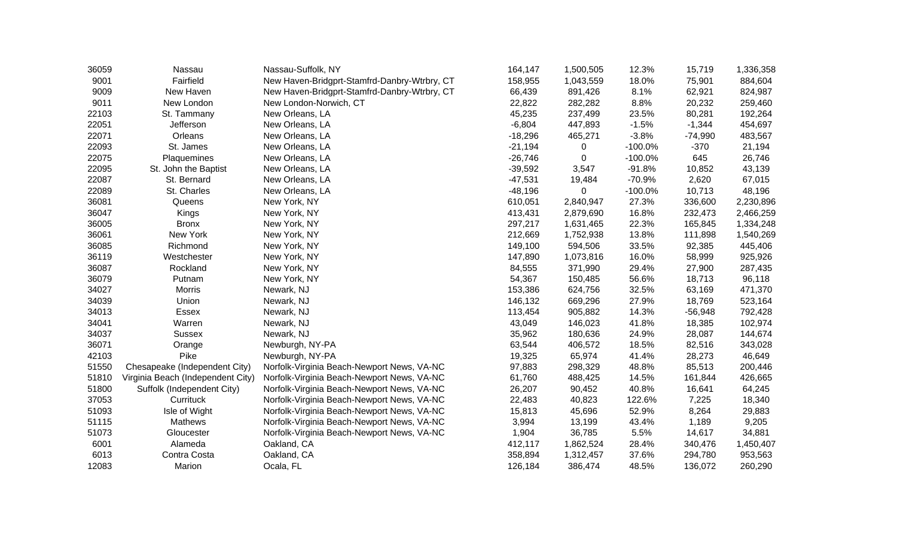| 36059 | Nassau                            | Nassau-Suffolk, NY                           | 164,147   | 1,500,505 | 12.3%      | 15,719    | 1,336,358 |
|-------|-----------------------------------|----------------------------------------------|-----------|-----------|------------|-----------|-----------|
| 9001  | Fairfield                         | New Haven-Bridgprt-Stamfrd-Danbry-Wtrbry, CT | 158,955   | 1,043,559 | 18.0%      | 75,901    | 884,604   |
| 9009  | New Haven                         | New Haven-Bridgprt-Stamfrd-Danbry-Wtrbry, CT | 66,439    | 891,426   | 8.1%       | 62,921    | 824,987   |
| 9011  | New London                        | New London-Norwich, CT                       | 22,822    | 282,282   | 8.8%       | 20,232    | 259,460   |
| 22103 | St. Tammany                       | New Orleans, LA                              | 45,235    | 237,499   | 23.5%      | 80,281    | 192,264   |
| 22051 | Jefferson                         | New Orleans, LA                              | $-6,804$  | 447,893   | $-1.5%$    | $-1,344$  | 454,697   |
| 22071 | Orleans                           | New Orleans, LA                              | $-18,296$ | 465,271   | $-3.8%$    | $-74,990$ | 483,567   |
| 22093 | St. James                         | New Orleans, LA                              | $-21,194$ | 0         | $-100.0\%$ | $-370$    | 21,194    |
| 22075 | Plaquemines                       | New Orleans, LA                              | $-26,746$ | 0         | $-100.0%$  | 645       | 26,746    |
| 22095 | St. John the Baptist              | New Orleans, LA                              | $-39,592$ | 3,547     | $-91.8%$   | 10,852    | 43,139    |
| 22087 | St. Bernard                       | New Orleans, LA                              | $-47,531$ | 19,484    | $-70.9%$   | 2,620     | 67,015    |
| 22089 | St. Charles                       | New Orleans, LA                              | $-48,196$ |           | $-100.0%$  | 10,713    | 48,196    |
| 36081 | Queens                            | New York, NY                                 | 610,051   | 2,840,947 | 27.3%      | 336,600   | 2,230,896 |
| 36047 | Kings                             | New York, NY                                 | 413,431   | 2,879,690 | 16.8%      | 232,473   | 2,466,259 |
| 36005 | <b>Bronx</b>                      | New York, NY                                 | 297,217   | 1,631,465 | 22.3%      | 165,845   | 1,334,248 |
| 36061 | New York                          | New York, NY                                 | 212,669   | 1,752,938 | 13.8%      | 111,898   | 1,540,269 |
| 36085 | Richmond                          | New York, NY                                 | 149,100   | 594,506   | 33.5%      | 92,385    | 445,406   |
| 36119 | Westchester                       | New York, NY                                 | 147,890   | 1,073,816 | 16.0%      | 58,999    | 925,926   |
| 36087 | Rockland                          | New York, NY                                 | 84,555    | 371,990   | 29.4%      | 27,900    | 287,435   |
| 36079 | Putnam                            | New York, NY                                 | 54,367    | 150,485   | 56.6%      | 18,713    | 96,118    |
| 34027 | <b>Morris</b>                     | Newark, NJ                                   | 153,386   | 624,756   | 32.5%      | 63,169    | 471,370   |
| 34039 | Union                             | Newark, NJ                                   | 146,132   | 669,296   | 27.9%      | 18,769    | 523,164   |
| 34013 | Essex                             | Newark, NJ                                   | 113,454   | 905,882   | 14.3%      | $-56,948$ | 792,428   |
| 34041 | Warren                            | Newark, NJ                                   | 43,049    | 146,023   | 41.8%      | 18,385    | 102,974   |
| 34037 | <b>Sussex</b>                     | Newark, NJ                                   | 35,962    | 180,636   | 24.9%      | 28,087    | 144,674   |
| 36071 | Orange                            | Newburgh, NY-PA                              | 63,544    | 406,572   | 18.5%      | 82,516    | 343,028   |
| 42103 | Pike                              | Newburgh, NY-PA                              | 19,325    | 65,974    | 41.4%      | 28,273    | 46,649    |
| 51550 | Chesapeake (Independent City)     | Norfolk-Virginia Beach-Newport News, VA-NC   | 97,883    | 298,329   | 48.8%      | 85,513    | 200,446   |
| 51810 | Virginia Beach (Independent City) | Norfolk-Virginia Beach-Newport News, VA-NC   | 61,760    | 488,425   | 14.5%      | 161,844   | 426,665   |
| 51800 | Suffolk (Independent City)        | Norfolk-Virginia Beach-Newport News, VA-NC   | 26,207    | 90,452    | 40.8%      | 16,641    | 64,245    |
| 37053 | Currituck                         | Norfolk-Virginia Beach-Newport News, VA-NC   | 22,483    | 40,823    | 122.6%     | 7,225     | 18,340    |
| 51093 | Isle of Wight                     | Norfolk-Virginia Beach-Newport News, VA-NC   | 15,813    | 45,696    | 52.9%      | 8,264     | 29,883    |
| 51115 | Mathews                           | Norfolk-Virginia Beach-Newport News, VA-NC   | 3,994     | 13,199    | 43.4%      | 1,189     | 9,205     |
| 51073 | Gloucester                        | Norfolk-Virginia Beach-Newport News, VA-NC   | 1,904     | 36,785    | 5.5%       | 14,617    | 34,881    |
| 6001  | Alameda                           | Oakland, CA                                  | 412,117   | 1,862,524 | 28.4%      | 340,476   | 1,450,407 |
| 6013  | Contra Costa                      | Oakland, CA                                  | 358,894   | 1,312,457 | 37.6%      | 294,780   | 953,563   |
| 12083 | Marion                            | Ocala, FL                                    | 126,184   | 386,474   | 48.5%      | 136,072   | 260,290   |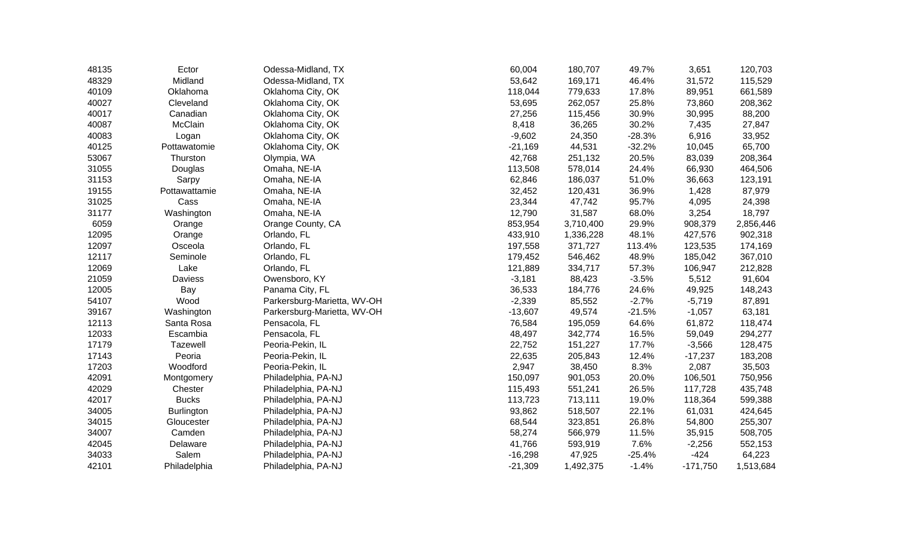| 48135 | Ector             | Odessa-Midland, TX          | 60,004    | 180,707   | 49.7%    | 3,651      | 120,703   |
|-------|-------------------|-----------------------------|-----------|-----------|----------|------------|-----------|
| 48329 | Midland           | Odessa-Midland, TX          | 53,642    | 169,171   | 46.4%    | 31,572     | 115,529   |
| 40109 | Oklahoma          | Oklahoma City, OK           | 118,044   | 779,633   | 17.8%    | 89,951     | 661,589   |
| 40027 | Cleveland         | Oklahoma City, OK           | 53,695    | 262,057   | 25.8%    | 73,860     | 208,362   |
| 40017 | Canadian          | Oklahoma City, OK           | 27,256    | 115,456   | 30.9%    | 30,995     | 88,200    |
| 40087 | McClain           | Oklahoma City, OK           | 8,418     | 36,265    | 30.2%    | 7,435      | 27,847    |
| 40083 | Logan             | Oklahoma City, OK           | $-9,602$  | 24,350    | $-28.3%$ | 6,916      | 33,952    |
| 40125 | Pottawatomie      | Oklahoma City, OK           | $-21,169$ | 44,531    | $-32.2%$ | 10,045     | 65,700    |
| 53067 | Thurston          | Olympia, WA                 | 42,768    | 251,132   | 20.5%    | 83,039     | 208,364   |
| 31055 | Douglas           | Omaha, NE-IA                | 113,508   | 578,014   | 24.4%    | 66,930     | 464,506   |
| 31153 | Sarpy             | Omaha, NE-IA                | 62,846    | 186,037   | 51.0%    | 36,663     | 123,191   |
| 19155 | Pottawattamie     | Omaha, NE-IA                | 32,452    | 120,431   | 36.9%    | 1,428      | 87,979    |
| 31025 | Cass              | Omaha, NE-IA                | 23,344    | 47,742    | 95.7%    | 4,095      | 24,398    |
| 31177 | Washington        | Omaha, NE-IA                | 12,790    | 31,587    | 68.0%    | 3,254      | 18,797    |
| 6059  | Orange            | Orange County, CA           | 853,954   | 3,710,400 | 29.9%    | 908,379    | 2,856,446 |
| 12095 | Orange            | Orlando, FL                 | 433,910   | 1,336,228 | 48.1%    | 427,576    | 902,318   |
| 12097 | Osceola           | Orlando, FL                 | 197,558   | 371,727   | 113.4%   | 123,535    | 174,169   |
| 12117 | Seminole          | Orlando, FL                 | 179,452   | 546,462   | 48.9%    | 185,042    | 367,010   |
| 12069 | Lake              | Orlando, FL                 | 121,889   | 334,717   | 57.3%    | 106,947    | 212,828   |
| 21059 | Daviess           | Owensboro, KY               | $-3,181$  | 88,423    | $-3.5%$  | 5,512      | 91,604    |
| 12005 | Bay               | Panama City, FL             | 36,533    | 184,776   | 24.6%    | 49,925     | 148,243   |
| 54107 | Wood              | Parkersburg-Marietta, WV-OH | $-2,339$  | 85,552    | $-2.7%$  | $-5,719$   | 87,891    |
| 39167 | Washington        | Parkersburg-Marietta, WV-OH | $-13,607$ | 49,574    | $-21.5%$ | $-1,057$   | 63,181    |
| 12113 | Santa Rosa        | Pensacola, FL               | 76,584    | 195,059   | 64.6%    | 61,872     | 118,474   |
| 12033 | Escambia          | Pensacola, FL               | 48,497    | 342,774   | 16.5%    | 59,049     | 294,277   |
| 17179 | Tazewell          | Peoria-Pekin, IL            | 22,752    | 151,227   | 17.7%    | $-3,566$   | 128,475   |
| 17143 | Peoria            | Peoria-Pekin, IL            | 22,635    | 205,843   | 12.4%    | $-17,237$  | 183,208   |
| 17203 | Woodford          | Peoria-Pekin, IL            | 2,947     | 38,450    | 8.3%     | 2,087      | 35,503    |
| 42091 | Montgomery        | Philadelphia, PA-NJ         | 150,097   | 901,053   | 20.0%    | 106,501    | 750,956   |
| 42029 | Chester           | Philadelphia, PA-NJ         | 115,493   | 551,241   | 26.5%    | 117,728    | 435,748   |
| 42017 | <b>Bucks</b>      | Philadelphia, PA-NJ         | 113,723   | 713,111   | 19.0%    | 118,364    | 599,388   |
| 34005 | <b>Burlington</b> | Philadelphia, PA-NJ         | 93,862    | 518,507   | 22.1%    | 61,031     | 424,645   |
| 34015 | Gloucester        | Philadelphia, PA-NJ         | 68,544    | 323,851   | 26.8%    | 54,800     | 255,307   |
| 34007 | Camden            | Philadelphia, PA-NJ         | 58,274    | 566,979   | 11.5%    | 35,915     | 508,705   |
| 42045 | Delaware          | Philadelphia, PA-NJ         | 41,766    | 593,919   | 7.6%     | $-2,256$   | 552,153   |
| 34033 | Salem             | Philadelphia, PA-NJ         | $-16,298$ | 47,925    | $-25.4%$ | $-424$     | 64,223    |
| 42101 | Philadelphia      | Philadelphia, PA-NJ         | $-21,309$ | 1,492,375 | $-1.4%$  | $-171,750$ | 1,513,684 |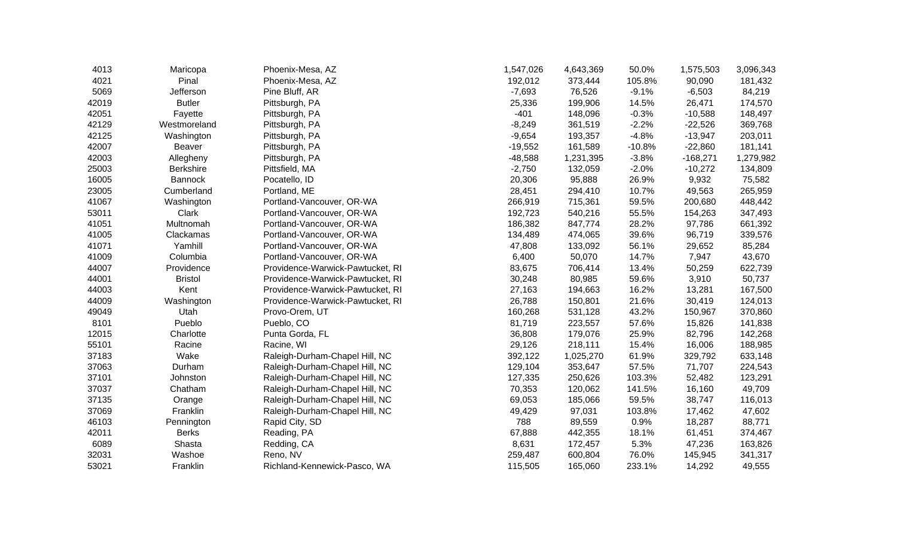| 4013  | Maricopa         | Phoenix-Mesa, AZ                 | 1,547,026 | 4,643,369 | 50.0%    | 1,575,503  | 3,096,343 |
|-------|------------------|----------------------------------|-----------|-----------|----------|------------|-----------|
| 4021  | Pinal            | Phoenix-Mesa, AZ                 | 192,012   | 373,444   | 105.8%   | 90,090     | 181,432   |
| 5069  | Jefferson        | Pine Bluff, AR                   | $-7,693$  | 76,526    | $-9.1%$  | $-6,503$   | 84,219    |
| 42019 | <b>Butler</b>    | Pittsburgh, PA                   | 25,336    | 199,906   | 14.5%    | 26,471     | 174,570   |
| 42051 | Fayette          | Pittsburgh, PA                   | $-401$    | 148,096   | $-0.3%$  | $-10,588$  | 148,497   |
| 42129 | Westmoreland     | Pittsburgh, PA                   | $-8,249$  | 361,519   | $-2.2%$  | $-22,526$  | 369,768   |
| 42125 | Washington       | Pittsburgh, PA                   | $-9,654$  | 193,357   | $-4.8%$  | $-13,947$  | 203,011   |
| 42007 | <b>Beaver</b>    | Pittsburgh, PA                   | $-19,552$ | 161,589   | $-10.8%$ | $-22,860$  | 181,141   |
| 42003 | Allegheny        | Pittsburgh, PA                   | $-48,588$ | 1,231,395 | $-3.8%$  | $-168,271$ | 1,279,982 |
| 25003 | <b>Berkshire</b> | Pittsfield, MA                   | $-2,750$  | 132,059   | $-2.0%$  | $-10,272$  | 134,809   |
| 16005 | <b>Bannock</b>   | Pocatello, ID                    | 20,306    | 95,888    | 26.9%    | 9,932      | 75,582    |
| 23005 | Cumberland       | Portland, ME                     | 28,451    | 294,410   | 10.7%    | 49,563     | 265,959   |
| 41067 | Washington       | Portland-Vancouver, OR-WA        | 266,919   | 715,361   | 59.5%    | 200,680    | 448,442   |
| 53011 | Clark            | Portland-Vancouver, OR-WA        | 192,723   | 540,216   | 55.5%    | 154,263    | 347,493   |
| 41051 | Multnomah        | Portland-Vancouver, OR-WA        | 186,382   | 847,774   | 28.2%    | 97,786     | 661,392   |
| 41005 | Clackamas        | Portland-Vancouver, OR-WA        | 134,489   | 474,065   | 39.6%    | 96,719     | 339,576   |
| 41071 | Yamhill          | Portland-Vancouver, OR-WA        | 47,808    | 133,092   | 56.1%    | 29,652     | 85,284    |
| 41009 | Columbia         | Portland-Vancouver, OR-WA        | 6,400     | 50,070    | 14.7%    | 7,947      | 43,670    |
| 44007 | Providence       | Providence-Warwick-Pawtucket, RI | 83,675    | 706,414   | 13.4%    | 50,259     | 622,739   |
| 44001 | <b>Bristol</b>   | Providence-Warwick-Pawtucket, RI | 30,248    | 80,985    | 59.6%    | 3,910      | 50,737    |
| 44003 | Kent             | Providence-Warwick-Pawtucket, RI | 27,163    | 194,663   | 16.2%    | 13,281     | 167,500   |
| 44009 | Washington       | Providence-Warwick-Pawtucket, RI | 26,788    | 150,801   | 21.6%    | 30,419     | 124,013   |
| 49049 | Utah             | Provo-Orem, UT                   | 160,268   | 531,128   | 43.2%    | 150,967    | 370,860   |
| 8101  | Pueblo           | Pueblo, CO                       | 81,719    | 223,557   | 57.6%    | 15,826     | 141,838   |
| 12015 | Charlotte        | Punta Gorda, FL                  | 36,808    | 179,076   | 25.9%    | 82,796     | 142,268   |
| 55101 | Racine           | Racine, WI                       | 29,126    | 218,111   | 15.4%    | 16,006     | 188,985   |
| 37183 | Wake             | Raleigh-Durham-Chapel Hill, NC   | 392,122   | 1,025,270 | 61.9%    | 329,792    | 633,148   |
| 37063 | Durham           | Raleigh-Durham-Chapel Hill, NC   | 129,104   | 353,647   | 57.5%    | 71,707     | 224,543   |
| 37101 | Johnston         | Raleigh-Durham-Chapel Hill, NC   | 127,335   | 250,626   | 103.3%   | 52,482     | 123,291   |
| 37037 | Chatham          | Raleigh-Durham-Chapel Hill, NC   | 70,353    | 120,062   | 141.5%   | 16,160     | 49,709    |
| 37135 | Orange           | Raleigh-Durham-Chapel Hill, NC   | 69,053    | 185,066   | 59.5%    | 38,747     | 116,013   |
| 37069 | Franklin         | Raleigh-Durham-Chapel Hill, NC   | 49,429    | 97,031    | 103.8%   | 17,462     | 47,602    |
| 46103 | Pennington       | Rapid City, SD                   | 788       | 89,559    | 0.9%     | 18,287     | 88,771    |
| 42011 | <b>Berks</b>     | Reading, PA                      | 67,888    | 442,355   | 18.1%    | 61,451     | 374,467   |
| 6089  | Shasta           | Redding, CA                      | 8,631     | 172,457   | 5.3%     | 47,236     | 163,826   |
| 32031 | Washoe           | Reno, NV                         | 259,487   | 600,804   | 76.0%    | 145,945    | 341,317   |
| 53021 | Franklin         | Richland-Kennewick-Pasco, WA     | 115,505   | 165,060   | 233.1%   | 14,292     | 49,555    |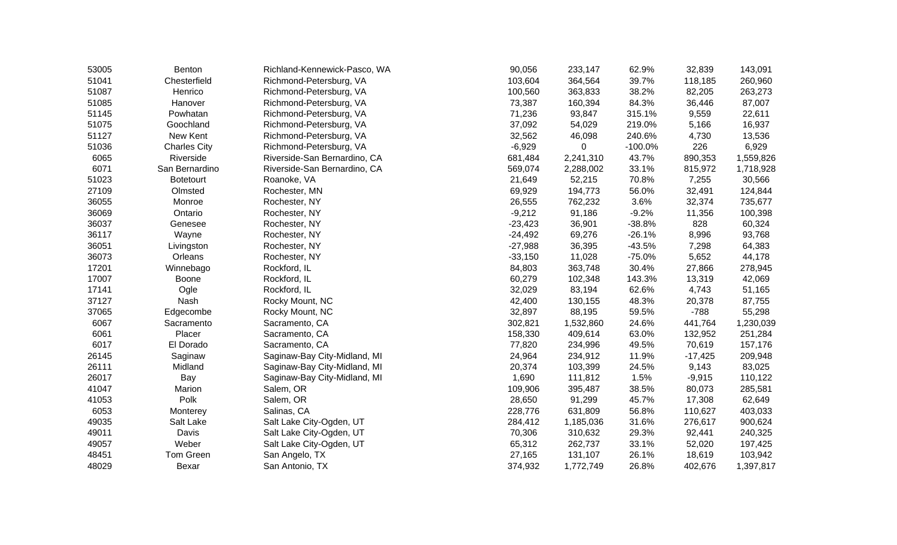| 53005 | Benton              | Richland-Kennewick-Pasco, WA | 90,056    | 233,147   | 62.9%     | 32,839    | 143,091   |
|-------|---------------------|------------------------------|-----------|-----------|-----------|-----------|-----------|
| 51041 | Chesterfield        | Richmond-Petersburg, VA      | 103,604   | 364,564   | 39.7%     | 118,185   | 260,960   |
| 51087 | Henrico             | Richmond-Petersburg, VA      | 100,560   | 363,833   | 38.2%     | 82,205    | 263,273   |
| 51085 | Hanover             | Richmond-Petersburg, VA      | 73,387    | 160,394   | 84.3%     | 36,446    | 87,007    |
| 51145 | Powhatan            | Richmond-Petersburg, VA      | 71,236    | 93,847    | 315.1%    | 9,559     | 22,611    |
| 51075 | Goochland           | Richmond-Petersburg, VA      | 37,092    | 54,029    | 219.0%    | 5,166     | 16,937    |
| 51127 | New Kent            | Richmond-Petersburg, VA      | 32,562    | 46,098    | 240.6%    | 4,730     | 13,536    |
| 51036 | <b>Charles City</b> | Richmond-Petersburg, VA      | $-6,929$  | 0         | $-100.0%$ | 226       | 6,929     |
| 6065  | Riverside           | Riverside-San Bernardino, CA | 681,484   | 2,241,310 | 43.7%     | 890,353   | 1,559,826 |
| 6071  | San Bernardino      | Riverside-San Bernardino, CA | 569,074   | 2,288,002 | 33.1%     | 815,972   | 1,718,928 |
| 51023 | <b>Botetourt</b>    | Roanoke, VA                  | 21,649    | 52,215    | 70.8%     | 7,255     | 30,566    |
| 27109 | Olmsted             | Rochester, MN                | 69,929    | 194,773   | 56.0%     | 32,491    | 124,844   |
| 36055 | Monroe              | Rochester, NY                | 26,555    | 762,232   | 3.6%      | 32,374    | 735,677   |
| 36069 | Ontario             | Rochester, NY                | $-9,212$  | 91,186    | $-9.2%$   | 11,356    | 100,398   |
| 36037 | Genesee             | Rochester, NY                | $-23,423$ | 36,901    | $-38.8%$  | 828       | 60,324    |
| 36117 | Wayne               | Rochester, NY                | $-24,492$ | 69,276    | $-26.1%$  | 8,996     | 93,768    |
| 36051 | Livingston          | Rochester, NY                | $-27,988$ | 36,395    | $-43.5%$  | 7,298     | 64,383    |
| 36073 | Orleans             | Rochester, NY                | $-33,150$ | 11,028    | $-75.0%$  | 5,652     | 44,178    |
| 17201 | Winnebago           | Rockford, IL                 | 84,803    | 363,748   | 30.4%     | 27,866    | 278,945   |
| 17007 | Boone               | Rockford, IL                 | 60,279    | 102,348   | 143.3%    | 13,319    | 42,069    |
| 17141 | Ogle                | Rockford, IL                 | 32,029    | 83,194    | 62.6%     | 4,743     | 51,165    |
| 37127 | Nash                | Rocky Mount, NC              | 42,400    | 130,155   | 48.3%     | 20,378    | 87,755    |
| 37065 | Edgecombe           | Rocky Mount, NC              | 32,897    | 88,195    | 59.5%     | $-788$    | 55,298    |
| 6067  | Sacramento          | Sacramento, CA               | 302,821   | 1,532,860 | 24.6%     | 441,764   | 1,230,039 |
| 6061  | Placer              | Sacramento, CA               | 158,330   | 409,614   | 63.0%     | 132,952   | 251,284   |
| 6017  | El Dorado           | Sacramento, CA               | 77,820    | 234,996   | 49.5%     | 70,619    | 157,176   |
| 26145 | Saginaw             | Saginaw-Bay City-Midland, MI | 24,964    | 234,912   | 11.9%     | $-17,425$ | 209,948   |
| 26111 | Midland             | Saginaw-Bay City-Midland, MI | 20,374    | 103,399   | 24.5%     | 9,143     | 83,025    |
| 26017 | Bay                 | Saginaw-Bay City-Midland, MI | 1,690     | 111,812   | 1.5%      | $-9,915$  | 110,122   |
| 41047 | Marion              | Salem, OR                    | 109,906   | 395,487   | 38.5%     | 80,073    | 285,581   |
| 41053 | Polk                | Salem, OR                    | 28,650    | 91,299    | 45.7%     | 17,308    | 62,649    |
| 6053  | Monterey            | Salinas, CA                  | 228,776   | 631,809   | 56.8%     | 110,627   | 403,033   |
| 49035 | Salt Lake           | Salt Lake City-Ogden, UT     | 284,412   | 1,185,036 | 31.6%     | 276,617   | 900,624   |
| 49011 | Davis               | Salt Lake City-Ogden, UT     | 70,306    | 310,632   | 29.3%     | 92,441    | 240,325   |
| 49057 | Weber               | Salt Lake City-Ogden, UT     | 65,312    | 262,737   | 33.1%     | 52,020    | 197,425   |
| 48451 | Tom Green           | San Angelo, TX               | 27,165    | 131,107   | 26.1%     | 18,619    | 103,942   |
| 48029 | Bexar               | San Antonio, TX              | 374,932   | 1,772,749 | 26.8%     | 402,676   | 1,397,817 |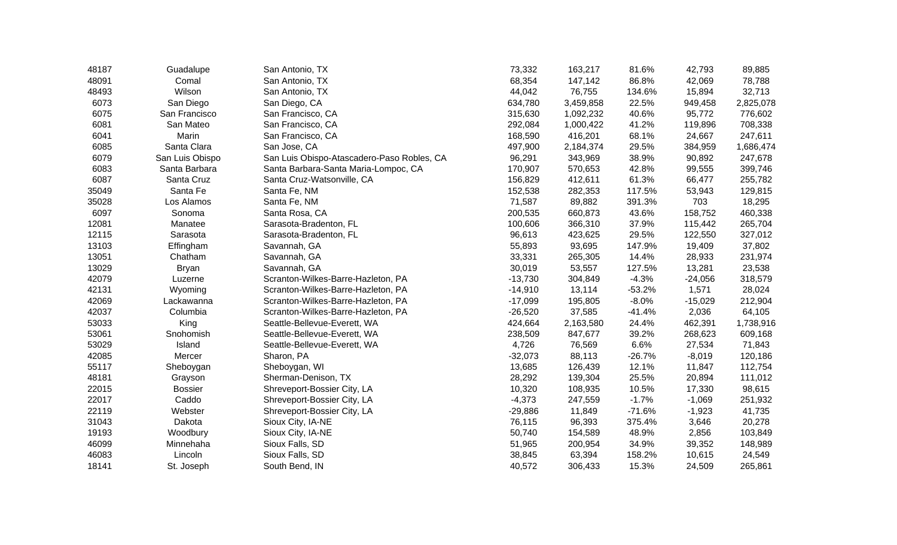| 48187 | Guadalupe       | San Antonio, TX                            | 73,332    | 163,217   | 81.6%    | 42,793    | 89,885    |
|-------|-----------------|--------------------------------------------|-----------|-----------|----------|-----------|-----------|
| 48091 | Comal           | San Antonio, TX                            | 68,354    | 147,142   | 86.8%    | 42,069    | 78,788    |
| 48493 | Wilson          | San Antonio, TX                            | 44,042    | 76,755    | 134.6%   | 15,894    | 32,713    |
| 6073  | San Diego       | San Diego, CA                              | 634,780   | 3,459,858 | 22.5%    | 949,458   | 2,825,078 |
| 6075  | San Francisco   | San Francisco, CA                          | 315,630   | 1,092,232 | 40.6%    | 95,772    | 776,602   |
| 6081  | San Mateo       | San Francisco, CA                          | 292,084   | 1,000,422 | 41.2%    | 119,896   | 708,338   |
| 6041  | Marin           | San Francisco, CA                          | 168,590   | 416,201   | 68.1%    | 24,667    | 247,611   |
| 6085  | Santa Clara     | San Jose, CA                               | 497,900   | 2,184,374 | 29.5%    | 384,959   | 1,686,474 |
| 6079  | San Luis Obispo | San Luis Obispo-Atascadero-Paso Robles, CA | 96,291    | 343,969   | 38.9%    | 90,892    | 247,678   |
| 6083  | Santa Barbara   | Santa Barbara-Santa Maria-Lompoc, CA       | 170,907   | 570,653   | 42.8%    | 99,555    | 399,746   |
| 6087  | Santa Cruz      | Santa Cruz-Watsonville, CA                 | 156,829   | 412,611   | 61.3%    | 66,477    | 255,782   |
| 35049 | Santa Fe        | Santa Fe, NM                               | 152,538   | 282,353   | 117.5%   | 53,943    | 129,815   |
| 35028 | Los Alamos      | Santa Fe, NM                               | 71,587    | 89,882    | 391.3%   | 703       | 18,295    |
| 6097  | Sonoma          | Santa Rosa, CA                             | 200,535   | 660,873   | 43.6%    | 158,752   | 460,338   |
| 12081 | Manatee         | Sarasota-Bradenton, FL                     | 100,606   | 366,310   | 37.9%    | 115,442   | 265,704   |
| 12115 | Sarasota        | Sarasota-Bradenton, FL                     | 96,613    | 423,625   | 29.5%    | 122,550   | 327,012   |
| 13103 | Effingham       | Savannah, GA                               | 55,893    | 93,695    | 147.9%   | 19,409    | 37,802    |
| 13051 | Chatham         | Savannah, GA                               | 33,331    | 265,305   | 14.4%    | 28,933    | 231,974   |
| 13029 | Bryan           | Savannah, GA                               | 30,019    | 53,557    | 127.5%   | 13,281    | 23,538    |
| 42079 | Luzerne         | Scranton-Wilkes-Barre-Hazleton, PA         | $-13,730$ | 304,849   | $-4.3%$  | $-24,056$ | 318,579   |
| 42131 | Wyoming         | Scranton-Wilkes-Barre-Hazleton, PA         | $-14,910$ | 13,114    | $-53.2%$ | 1,571     | 28,024    |
| 42069 | Lackawanna      | Scranton-Wilkes-Barre-Hazleton, PA         | $-17,099$ | 195,805   | $-8.0%$  | $-15,029$ | 212,904   |
| 42037 | Columbia        | Scranton-Wilkes-Barre-Hazleton, PA         | $-26,520$ | 37,585    | $-41.4%$ | 2,036     | 64,105    |
| 53033 | King            | Seattle-Bellevue-Everett, WA               | 424,664   | 2,163,580 | 24.4%    | 462,391   | 1,738,916 |
| 53061 | Snohomish       | Seattle-Bellevue-Everett, WA               | 238,509   | 847,677   | 39.2%    | 268,623   | 609,168   |
| 53029 | Island          | Seattle-Bellevue-Everett, WA               | 4,726     | 76,569    | 6.6%     | 27,534    | 71,843    |
| 42085 | Mercer          | Sharon, PA                                 | $-32,073$ | 88,113    | $-26.7%$ | $-8,019$  | 120,186   |
| 55117 | Sheboygan       | Sheboygan, WI                              | 13,685    | 126,439   | 12.1%    | 11,847    | 112,754   |
| 48181 | Grayson         | Sherman-Denison, TX                        | 28,292    | 139,304   | 25.5%    | 20,894    | 111,012   |
| 22015 | <b>Bossier</b>  | Shreveport-Bossier City, LA                | 10,320    | 108,935   | 10.5%    | 17,330    | 98,615    |
| 22017 | Caddo           | Shreveport-Bossier City, LA                | $-4,373$  | 247,559   | $-1.7%$  | $-1,069$  | 251,932   |
| 22119 | Webster         | Shreveport-Bossier City, LA                | $-29,886$ | 11,849    | $-71.6%$ | $-1,923$  | 41,735    |
| 31043 | Dakota          | Sioux City, IA-NE                          | 76,115    | 96,393    | 375.4%   | 3,646     | 20,278    |
| 19193 | Woodbury        | Sioux City, IA-NE                          | 50,740    | 154,589   | 48.9%    | 2,856     | 103,849   |
| 46099 | Minnehaha       | Sioux Falls, SD                            | 51,965    | 200,954   | 34.9%    | 39,352    | 148,989   |
| 46083 | Lincoln         | Sioux Falls, SD                            | 38,845    | 63,394    | 158.2%   | 10,615    | 24,549    |
| 18141 | St. Joseph      | South Bend, IN                             | 40,572    | 306,433   | 15.3%    | 24,509    | 265,861   |
|       |                 |                                            |           |           |          |           |           |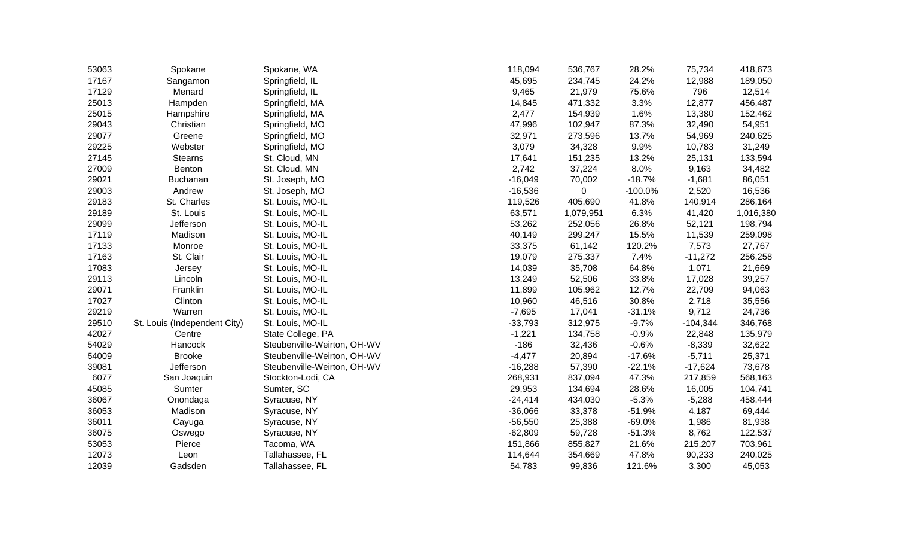| 53063 | Spokane                      | Spokane, WA                 | 118,094   | 536,767   | 28.2%     | 75,734     | 418,673   |
|-------|------------------------------|-----------------------------|-----------|-----------|-----------|------------|-----------|
| 17167 | Sangamon                     | Springfield, IL             | 45,695    | 234,745   | 24.2%     | 12,988     | 189,050   |
| 17129 | Menard                       | Springfield, IL             | 9,465     | 21,979    | 75.6%     | 796        | 12,514    |
| 25013 | Hampden                      | Springfield, MA             | 14,845    | 471,332   | 3.3%      | 12,877     | 456,487   |
| 25015 | Hampshire                    | Springfield, MA             | 2,477     | 154,939   | 1.6%      | 13,380     | 152,462   |
| 29043 | Christian                    | Springfield, MO             | 47,996    | 102,947   | 87.3%     | 32,490     | 54,951    |
| 29077 | Greene                       | Springfield, MO             | 32,971    | 273,596   | 13.7%     | 54,969     | 240,625   |
| 29225 | Webster                      | Springfield, MO             | 3,079     | 34,328    | 9.9%      | 10,783     | 31,249    |
| 27145 | <b>Stearns</b>               | St. Cloud, MN               | 17,641    | 151,235   | 13.2%     | 25,131     | 133,594   |
| 27009 | Benton                       | St. Cloud, MN               | 2,742     | 37,224    | 8.0%      | 9,163      | 34,482    |
| 29021 | Buchanan                     | St. Joseph, MO              | $-16,049$ | 70,002    | $-18.7%$  | $-1,681$   | 86,051    |
| 29003 | Andrew                       | St. Joseph, MO              | $-16,536$ | 0         | $-100.0%$ | 2,520      | 16,536    |
| 29183 | St. Charles                  | St. Louis, MO-IL            | 119,526   | 405,690   | 41.8%     | 140,914    | 286,164   |
| 29189 | St. Louis                    | St. Louis, MO-IL            | 63,571    | 1,079,951 | 6.3%      | 41,420     | 1,016,380 |
| 29099 | Jefferson                    | St. Louis, MO-IL            | 53,262    | 252,056   | 26.8%     | 52,121     | 198,794   |
| 17119 | Madison                      | St. Louis, MO-IL            | 40,149    | 299,247   | 15.5%     | 11,539     | 259,098   |
| 17133 | Monroe                       | St. Louis, MO-IL            | 33,375    | 61,142    | 120.2%    | 7,573      | 27,767    |
| 17163 | St. Clair                    | St. Louis, MO-IL            | 19,079    | 275,337   | 7.4%      | $-11,272$  | 256,258   |
| 17083 | Jersey                       | St. Louis, MO-IL            | 14,039    | 35,708    | 64.8%     | 1,071      | 21,669    |
| 29113 | Lincoln                      | St. Louis, MO-IL            | 13,249    | 52,506    | 33.8%     | 17,028     | 39,257    |
| 29071 | Franklin                     | St. Louis, MO-IL            | 11,899    | 105,962   | 12.7%     | 22,709     | 94,063    |
| 17027 | Clinton                      | St. Louis, MO-IL            | 10,960    | 46,516    | 30.8%     | 2,718      | 35,556    |
| 29219 | Warren                       | St. Louis, MO-IL            | $-7,695$  | 17,041    | $-31.1%$  | 9,712      | 24,736    |
| 29510 | St. Louis (Independent City) | St. Louis, MO-IL            | $-33,793$ | 312,975   | $-9.7%$   | $-104,344$ | 346,768   |
| 42027 | Centre                       | State College, PA           | $-1,221$  | 134,758   | $-0.9%$   | 22,848     | 135,979   |
| 54029 | Hancock                      | Steubenville-Weirton, OH-WV | $-186$    | 32,436    | $-0.6%$   | $-8,339$   | 32,622    |
| 54009 | <b>Brooke</b>                | Steubenville-Weirton, OH-WV | $-4,477$  | 20,894    | $-17.6%$  | $-5,711$   | 25,371    |
| 39081 | Jefferson                    | Steubenville-Weirton, OH-WV | $-16,288$ | 57,390    | $-22.1%$  | $-17,624$  | 73,678    |
| 6077  | San Joaquin                  | Stockton-Lodi, CA           | 268,931   | 837,094   | 47.3%     | 217,859    | 568,163   |
| 45085 | Sumter                       | Sumter, SC                  | 29,953    | 134,694   | 28.6%     | 16,005     | 104,741   |
| 36067 | Onondaga                     | Syracuse, NY                | $-24,414$ | 434,030   | $-5.3%$   | $-5,288$   | 458,444   |
| 36053 | Madison                      | Syracuse, NY                | $-36,066$ | 33,378    | $-51.9%$  | 4,187      | 69,444    |
| 36011 | Cayuga                       | Syracuse, NY                | $-56,550$ | 25,388    | $-69.0%$  | 1,986      | 81,938    |
| 36075 | Oswego                       | Syracuse, NY                | $-62,809$ | 59,728    | $-51.3%$  | 8,762      | 122,537   |
| 53053 | Pierce                       | Tacoma, WA                  | 151,866   | 855,827   | 21.6%     | 215,207    | 703,961   |
| 12073 | Leon                         | Tallahassee, FL             | 114,644   | 354,669   | 47.8%     | 90,233     | 240,025   |
| 12039 | Gadsden                      | Tallahassee, FL             | 54,783    | 99,836    | 121.6%    | 3,300      | 45,053    |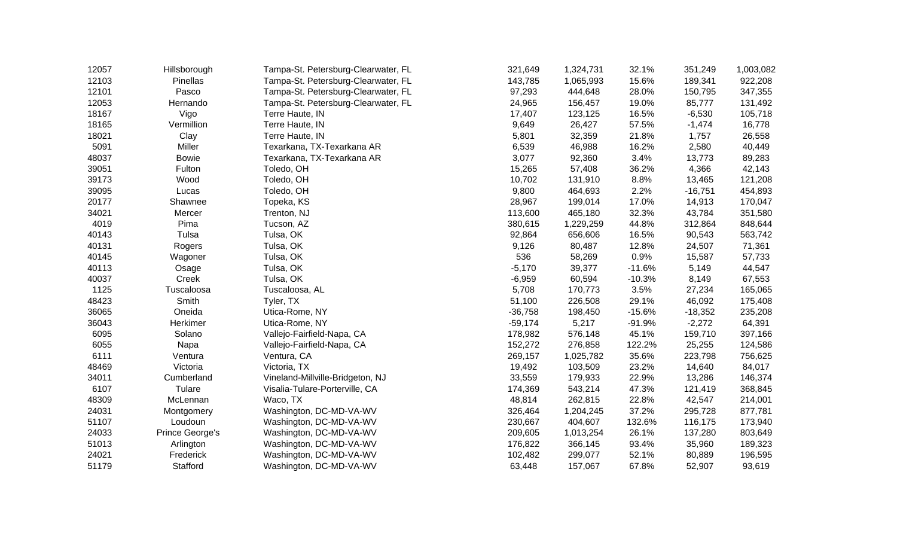| 12057 | Hillsborough    | Tampa-St. Petersburg-Clearwater, FL | 321,649   | 1,324,731 | 32.1%    | 351,249   | 1,003,082 |
|-------|-----------------|-------------------------------------|-----------|-----------|----------|-----------|-----------|
| 12103 | Pinellas        | Tampa-St. Petersburg-Clearwater, FL | 143,785   | 1,065,993 | 15.6%    | 189,341   | 922,208   |
| 12101 | Pasco           | Tampa-St. Petersburg-Clearwater, FL | 97,293    | 444,648   | 28.0%    | 150,795   | 347,355   |
| 12053 | Hernando        | Tampa-St. Petersburg-Clearwater, FL | 24,965    | 156,457   | 19.0%    | 85,777    | 131,492   |
| 18167 | Vigo            | Terre Haute, IN                     | 17,407    | 123,125   | 16.5%    | $-6,530$  | 105,718   |
| 18165 | Vermillion      | Terre Haute, IN                     | 9,649     | 26,427    | 57.5%    | $-1,474$  | 16,778    |
| 18021 | Clay            | Terre Haute, IN                     | 5,801     | 32,359    | 21.8%    | 1,757     | 26,558    |
| 5091  | Miller          | Texarkana, TX-Texarkana AR          | 6,539     | 46,988    | 16.2%    | 2,580     | 40,449    |
| 48037 | <b>Bowie</b>    | Texarkana, TX-Texarkana AR          | 3,077     | 92,360    | 3.4%     | 13,773    | 89,283    |
| 39051 | Fulton          | Toledo, OH                          | 15,265    | 57,408    | 36.2%    | 4,366     | 42,143    |
| 39173 | Wood            | Toledo, OH                          | 10,702    | 131,910   | 8.8%     | 13,465    | 121,208   |
| 39095 | Lucas           | Toledo, OH                          | 9,800     | 464,693   | 2.2%     | $-16,751$ | 454,893   |
| 20177 | Shawnee         | Topeka, KS                          | 28,967    | 199,014   | 17.0%    | 14,913    | 170,047   |
| 34021 | Mercer          | Trenton, NJ                         | 113,600   | 465,180   | 32.3%    | 43,784    | 351,580   |
| 4019  | Pima            | Tucson, AZ                          | 380,615   | 1,229,259 | 44.8%    | 312,864   | 848,644   |
| 40143 | Tulsa           | Tulsa, OK                           | 92,864    | 656,606   | 16.5%    | 90,543    | 563,742   |
| 40131 | Rogers          | Tulsa, OK                           | 9,126     | 80,487    | 12.8%    | 24,507    | 71,361    |
| 40145 | Wagoner         | Tulsa, OK                           | 536       | 58,269    | 0.9%     | 15,587    | 57,733    |
| 40113 | Osage           | Tulsa, OK                           | $-5,170$  | 39,377    | $-11.6%$ | 5,149     | 44,547    |
| 40037 | Creek           | Tulsa, OK                           | $-6,959$  | 60,594    | $-10.3%$ | 8,149     | 67,553    |
| 1125  | Tuscaloosa      | Tuscaloosa, AL                      | 5,708     | 170,773   | 3.5%     | 27,234    | 165,065   |
| 48423 | Smith           | Tyler, TX                           | 51,100    | 226,508   | 29.1%    | 46,092    | 175,408   |
| 36065 | Oneida          | Utica-Rome, NY                      | $-36,758$ | 198,450   | $-15.6%$ | $-18,352$ | 235,208   |
| 36043 | Herkimer        | Utica-Rome, NY                      | $-59,174$ | 5,217     | $-91.9%$ | $-2,272$  | 64,391    |
| 6095  | Solano          | Vallejo-Fairfield-Napa, CA          | 178,982   | 576,148   | 45.1%    | 159,710   | 397,166   |
| 6055  | Napa            | Vallejo-Fairfield-Napa, CA          | 152,272   | 276,858   | 122.2%   | 25,255    | 124,586   |
| 6111  | Ventura         | Ventura, CA                         | 269,157   | 1,025,782 | 35.6%    | 223,798   | 756,625   |
| 48469 | Victoria        | Victoria, TX                        | 19,492    | 103,509   | 23.2%    | 14,640    | 84,017    |
| 34011 | Cumberland      | Vineland-Millville-Bridgeton, NJ    | 33,559    | 179,933   | 22.9%    | 13,286    | 146,374   |
| 6107  | Tulare          | Visalia-Tulare-Porterville, CA      | 174,369   | 543,214   | 47.3%    | 121,419   | 368,845   |
| 48309 | McLennan        | Waco, TX                            | 48,814    | 262,815   | 22.8%    | 42,547    | 214,001   |
| 24031 | Montgomery      | Washington, DC-MD-VA-WV             | 326,464   | 1,204,245 | 37.2%    | 295,728   | 877,781   |
| 51107 | Loudoun         | Washington, DC-MD-VA-WV             | 230,667   | 404,607   | 132.6%   | 116,175   | 173,940   |
| 24033 | Prince George's | Washington, DC-MD-VA-WV             | 209,605   | 1,013,254 | 26.1%    | 137,280   | 803,649   |
| 51013 | Arlington       | Washington, DC-MD-VA-WV             | 176,822   | 366,145   | 93.4%    | 35,960    | 189,323   |
| 24021 | Frederick       | Washington, DC-MD-VA-WV             | 102,482   | 299,077   | 52.1%    | 80,889    | 196,595   |
| 51179 | Stafford        | Washington, DC-MD-VA-WV             | 63,448    | 157,067   | 67.8%    | 52,907    | 93,619    |
|       |                 |                                     |           |           |          |           |           |